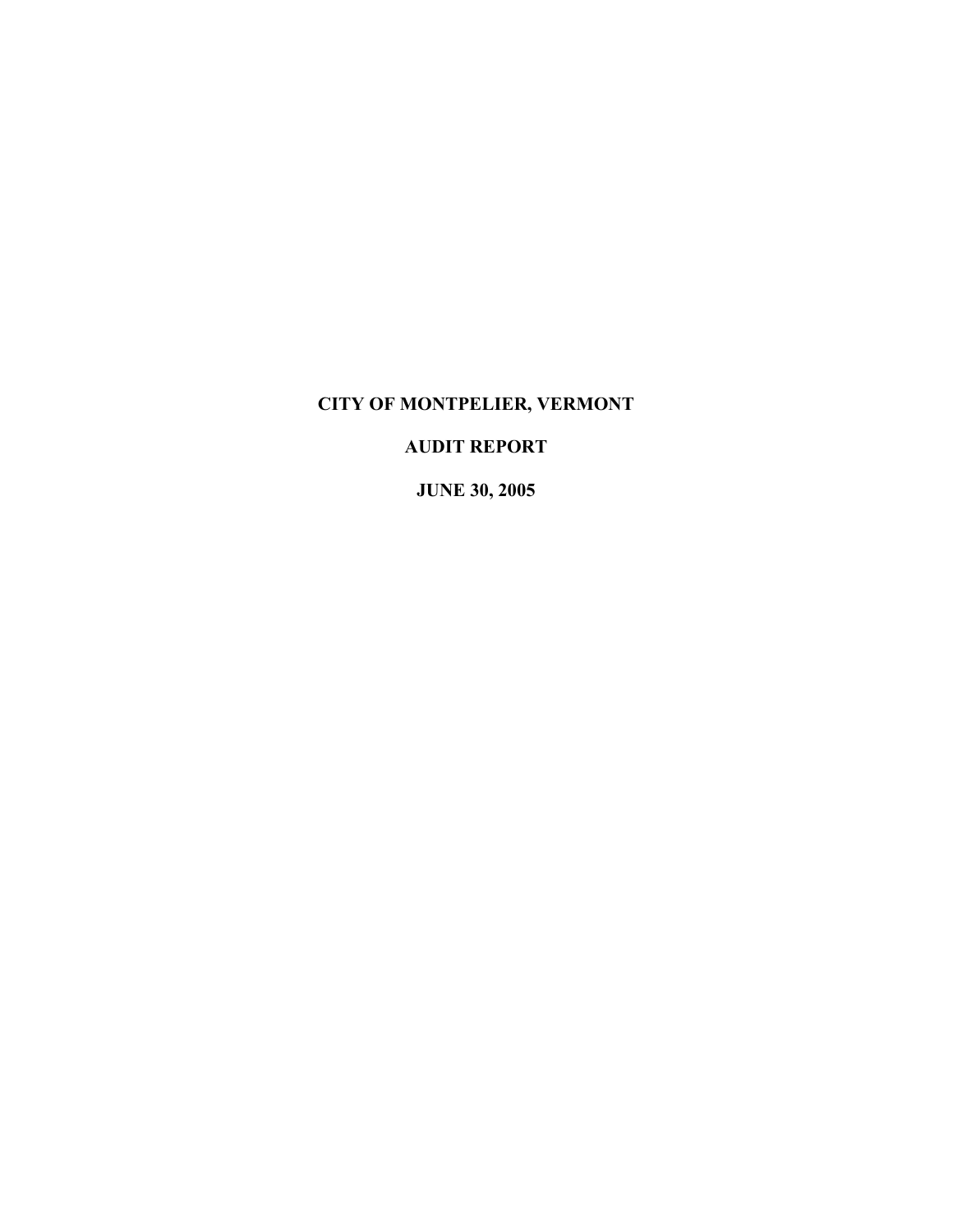# **CITY OF MONTPELIER, VERMONT**

# **AUDIT REPORT**

**JUNE 30, 2005**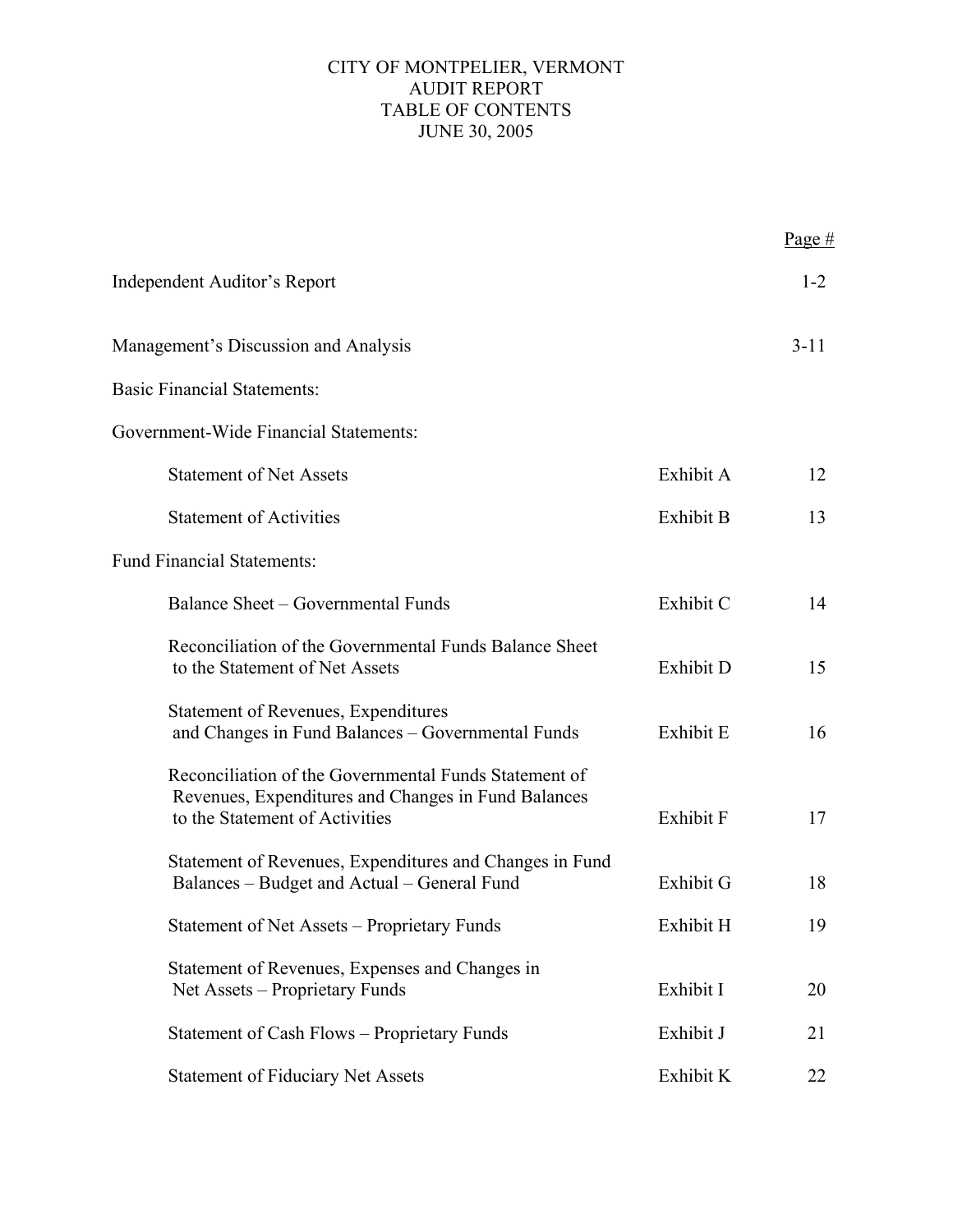## CITY OF MONTPELIER, VERMONT AUDIT REPORT TABLE OF CONTENTS JUNE 30, 2005

|                                                                                                                                                |                  | Page#    |
|------------------------------------------------------------------------------------------------------------------------------------------------|------------------|----------|
| <b>Independent Auditor's Report</b>                                                                                                            |                  | $1 - 2$  |
| Management's Discussion and Analysis                                                                                                           |                  | $3 - 11$ |
| <b>Basic Financial Statements:</b>                                                                                                             |                  |          |
| Government-Wide Financial Statements:                                                                                                          |                  |          |
| <b>Statement of Net Assets</b>                                                                                                                 | Exhibit A        | 12       |
| <b>Statement of Activities</b>                                                                                                                 | <b>Exhibit B</b> | 13       |
| <b>Fund Financial Statements:</b>                                                                                                              |                  |          |
| Balance Sheet – Governmental Funds                                                                                                             | Exhibit C        | 14       |
| Reconciliation of the Governmental Funds Balance Sheet<br>to the Statement of Net Assets                                                       | Exhibit D        | 15       |
| <b>Statement of Revenues, Expenditures</b><br>and Changes in Fund Balances - Governmental Funds                                                | Exhibit E        | 16       |
| Reconciliation of the Governmental Funds Statement of<br>Revenues, Expenditures and Changes in Fund Balances<br>to the Statement of Activities | Exhibit F        | 17       |
| Statement of Revenues, Expenditures and Changes in Fund<br>Balances – Budget and Actual – General Fund                                         | Exhibit G        | 18       |
| Statement of Net Assets – Proprietary Funds                                                                                                    | Exhibit H        | 19       |
| Statement of Revenues, Expenses and Changes in<br>Net Assets – Proprietary Funds                                                               | Exhibit I        | 20       |
| Statement of Cash Flows - Proprietary Funds                                                                                                    | Exhibit J        | 21       |
| <b>Statement of Fiduciary Net Assets</b>                                                                                                       | Exhibit K        | 22       |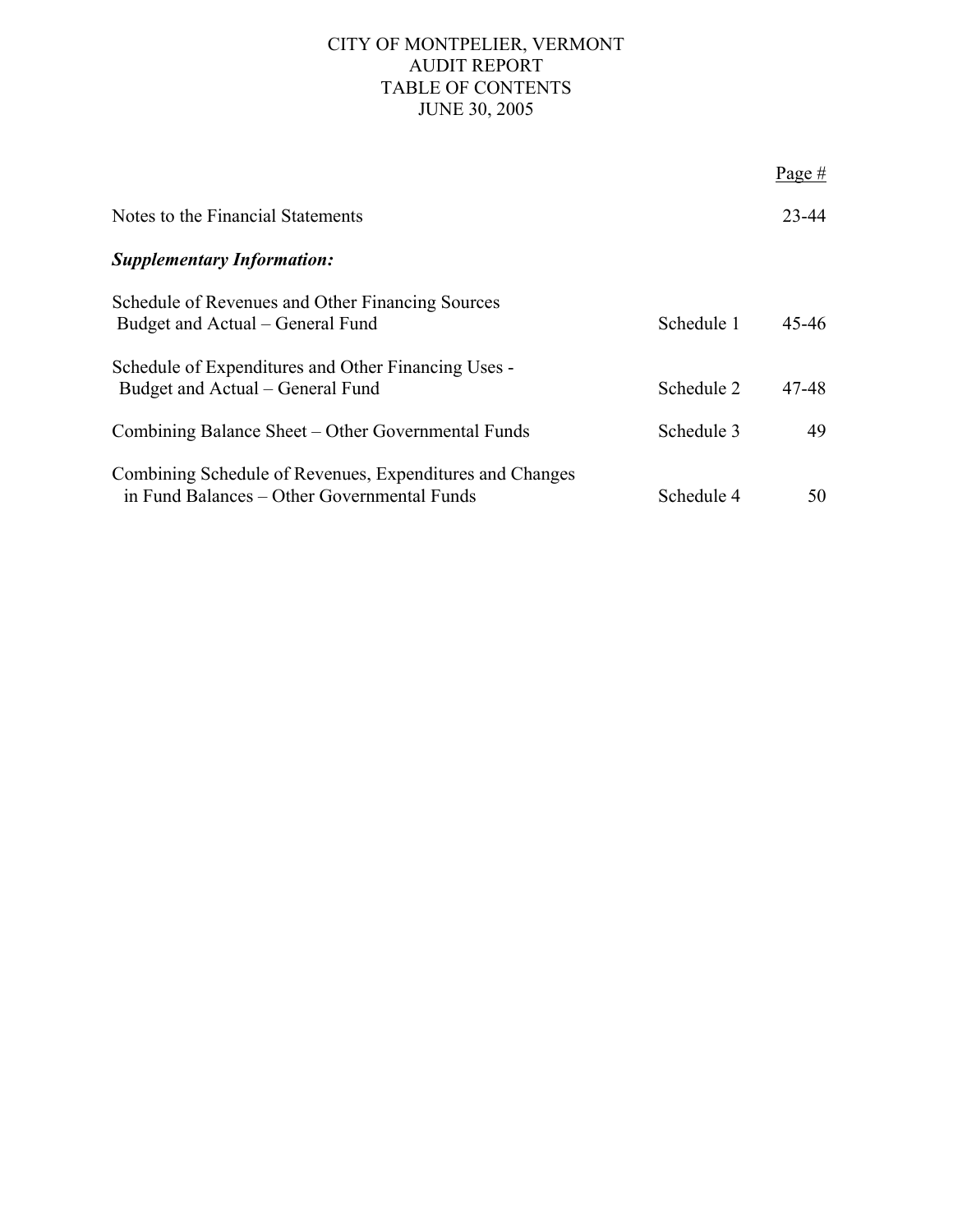## CITY OF MONTPELIER, VERMONT AUDIT REPORT TABLE OF CONTENTS JUNE 30, 2005

|                                                                                                         |            | Page $#$  |
|---------------------------------------------------------------------------------------------------------|------------|-----------|
| Notes to the Financial Statements                                                                       |            | $23 - 44$ |
| <b>Supplementary Information:</b>                                                                       |            |           |
| Schedule of Revenues and Other Financing Sources<br>Budget and Actual – General Fund                    | Schedule 1 | $45 - 46$ |
| Schedule of Expenditures and Other Financing Uses -<br>Budget and Actual – General Fund                 | Schedule 2 | 47-48     |
| Combining Balance Sheet – Other Governmental Funds                                                      | Schedule 3 | 49        |
| Combining Schedule of Revenues, Expenditures and Changes<br>in Fund Balances – Other Governmental Funds | Schedule 4 | 50        |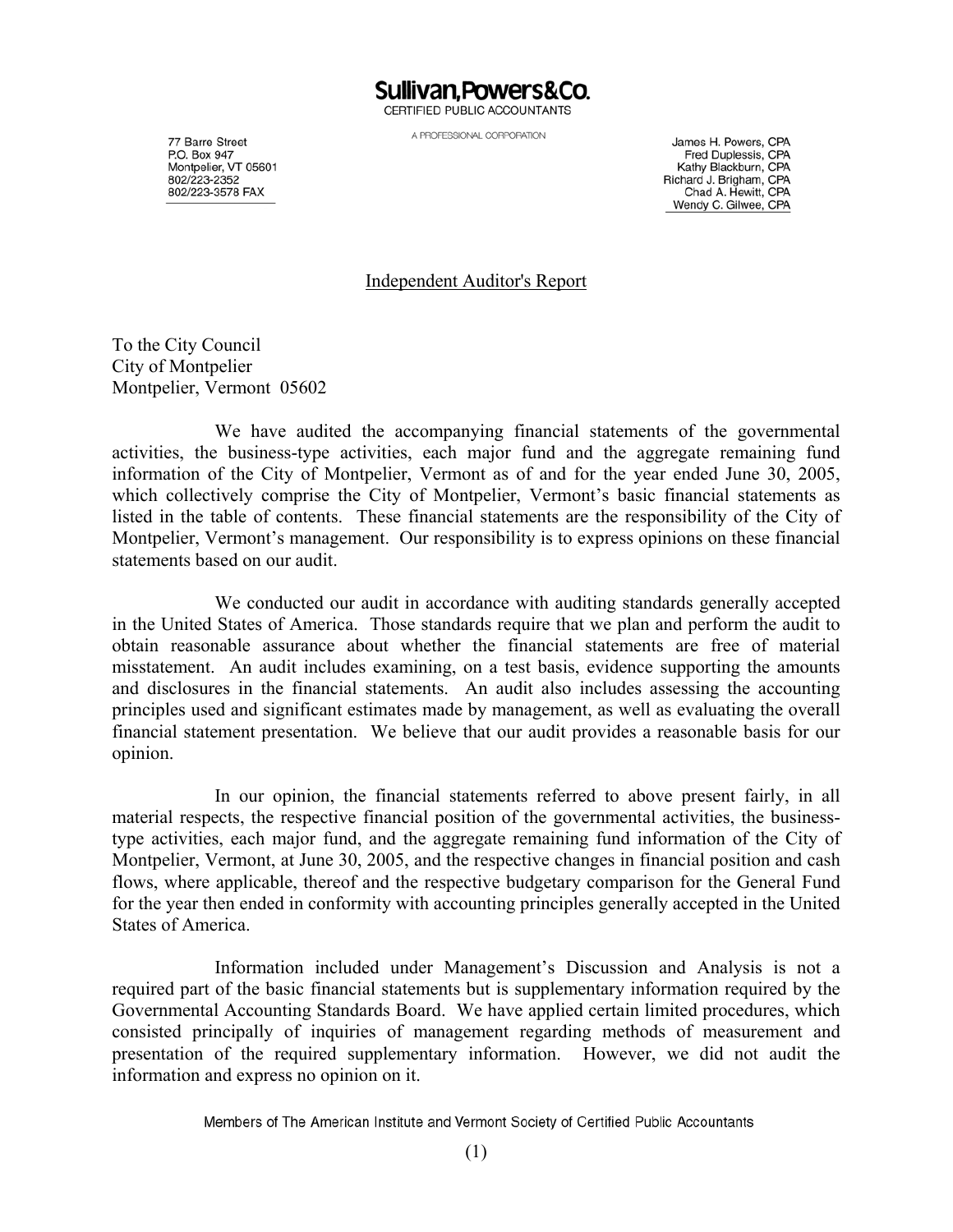Sullivan.Powers&Co. CERTIFIED PUBLIC ACCOUNTANTS

A PROFESSIONAL CORPORATION

77 Barre Street P.O. Box 947 P.O. Box 947<br>Montpelier, VT 05601 802/223-2352 802/223-3578 FAX

James H. Powers, CPA Fred Duplessis, CPA Kathy Blackburn, CPA Richard J. Brigham, CPA Chad A. Hewitt, CPA Wendy C. Gilwee, CPA

#### Independent Auditor's Report

To the City Council City of Montpelier Montpelier, Vermont 05602

We have audited the accompanying financial statements of the governmental activities, the business-type activities, each major fund and the aggregate remaining fund information of the City of Montpelier, Vermont as of and for the year ended June 30, 2005, which collectively comprise the City of Montpelier, Vermont's basic financial statements as listed in the table of contents. These financial statements are the responsibility of the City of Montpelier, Vermont's management. Our responsibility is to express opinions on these financial statements based on our audit.

We conducted our audit in accordance with auditing standards generally accepted in the United States of America. Those standards require that we plan and perform the audit to obtain reasonable assurance about whether the financial statements are free of material misstatement. An audit includes examining, on a test basis, evidence supporting the amounts and disclosures in the financial statements. An audit also includes assessing the accounting principles used and significant estimates made by management, as well as evaluating the overall financial statement presentation. We believe that our audit provides a reasonable basis for our opinion.

In our opinion, the financial statements referred to above present fairly, in all material respects, the respective financial position of the governmental activities, the businesstype activities, each major fund, and the aggregate remaining fund information of the City of Montpelier, Vermont, at June 30, 2005, and the respective changes in financial position and cash flows, where applicable, thereof and the respective budgetary comparison for the General Fund for the year then ended in conformity with accounting principles generally accepted in the United States of America.

Information included under Management's Discussion and Analysis is not a required part of the basic financial statements but is supplementary information required by the Governmental Accounting Standards Board. We have applied certain limited procedures, which consisted principally of inquiries of management regarding methods of measurement and presentation of the required supplementary information. However, we did not audit the information and express no opinion on it.

Members of The American Institute and Vermont Society of Certified Public Accountants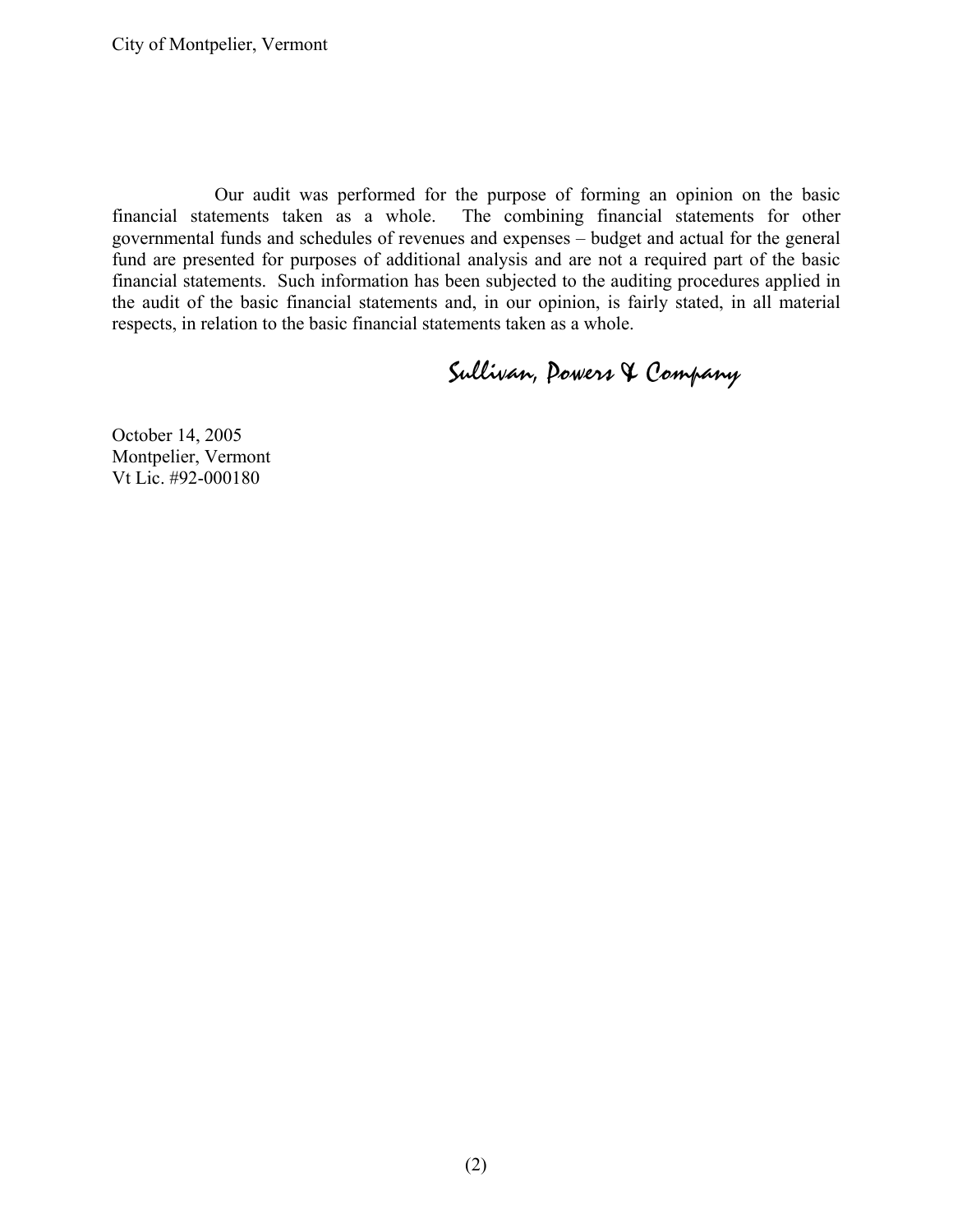Our audit was performed for the purpose of forming an opinion on the basic financial statements taken as a whole. The combining financial statements for other governmental funds and schedules of revenues and expenses – budget and actual for the general fund are presented for purposes of additional analysis and are not a required part of the basic financial statements. Such information has been subjected to the auditing procedures applied in the audit of the basic financial statements and, in our opinion, is fairly stated, in all material respects, in relation to the basic financial statements taken as a whole.

# Sullivan, Powers & Company

October 14, 2005 Montpelier, Vermont Vt Lic. #92-000180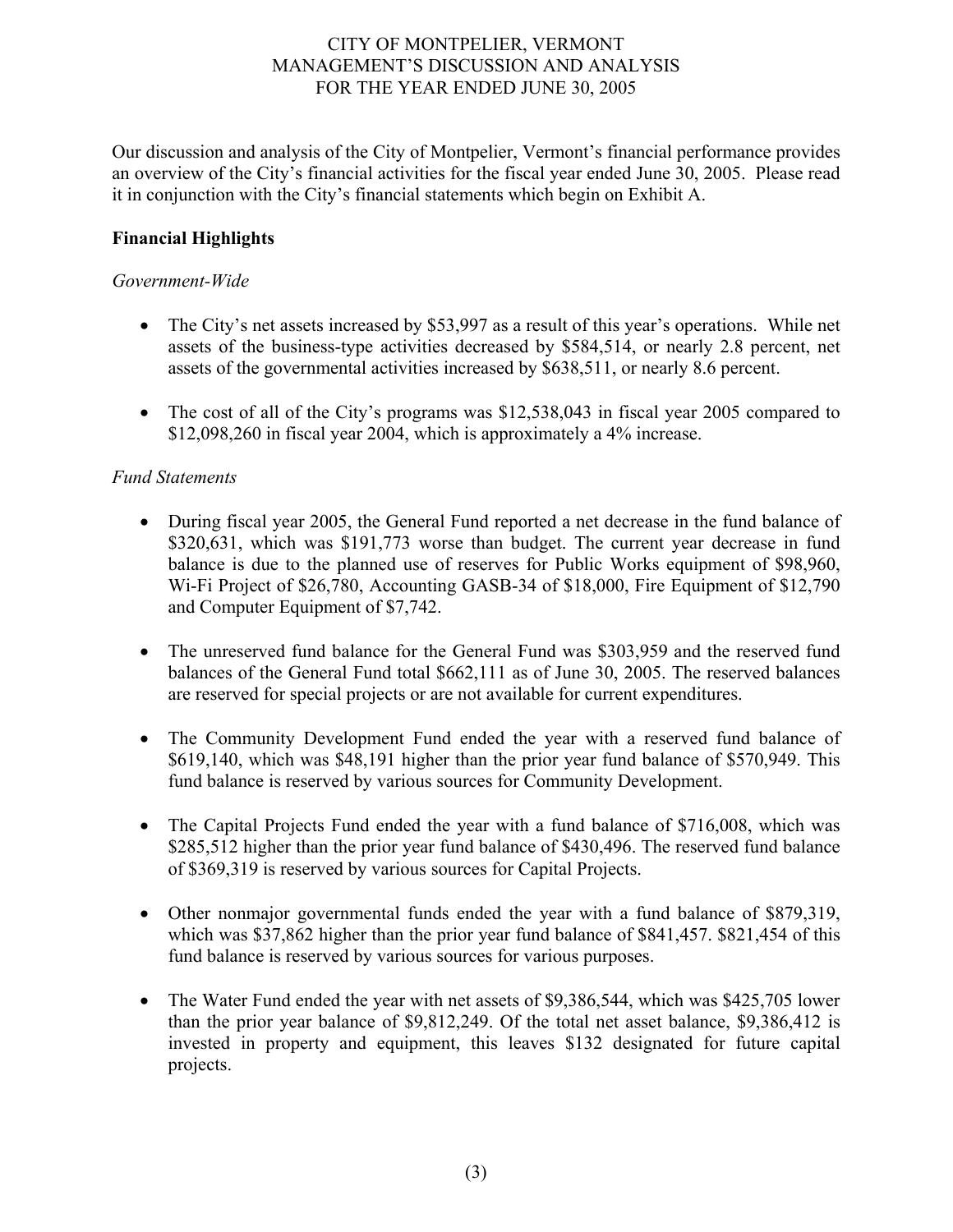Our discussion and analysis of the City of Montpelier, Vermont's financial performance provides an overview of the City's financial activities for the fiscal year ended June 30, 2005. Please read it in conjunction with the City's financial statements which begin on Exhibit A.

## **Financial Highlights**

## *Government-Wide*

- The City's net assets increased by \$53,997 as a result of this year's operations. While net assets of the business-type activities decreased by \$584,514, or nearly 2.8 percent, net assets of the governmental activities increased by \$638,511, or nearly 8.6 percent.
- The cost of all of the City's programs was \$12,538,043 in fiscal year 2005 compared to \$12,098,260 in fiscal year 2004, which is approximately a 4% increase.

## *Fund Statements*

- During fiscal year 2005, the General Fund reported a net decrease in the fund balance of \$320,631, which was \$191,773 worse than budget. The current year decrease in fund balance is due to the planned use of reserves for Public Works equipment of \$98,960, Wi-Fi Project of \$26,780, Accounting GASB-34 of \$18,000, Fire Equipment of \$12,790 and Computer Equipment of \$7,742.
- The unreserved fund balance for the General Fund was \$303,959 and the reserved fund balances of the General Fund total \$662,111 as of June 30, 2005. The reserved balances are reserved for special projects or are not available for current expenditures.
- The Community Development Fund ended the year with a reserved fund balance of \$619,140, which was \$48,191 higher than the prior year fund balance of \$570,949. This fund balance is reserved by various sources for Community Development.
- The Capital Projects Fund ended the year with a fund balance of \$716,008, which was \$285,512 higher than the prior year fund balance of \$430,496. The reserved fund balance of \$369,319 is reserved by various sources for Capital Projects.
- Other nonmajor governmental funds ended the year with a fund balance of \$879,319, which was \$37,862 higher than the prior year fund balance of \$841,457. \$821,454 of this fund balance is reserved by various sources for various purposes.
- The Water Fund ended the year with net assets of \$9,386,544, which was \$425,705 lower than the prior year balance of \$9,812,249. Of the total net asset balance, \$9,386,412 is invested in property and equipment, this leaves \$132 designated for future capital projects.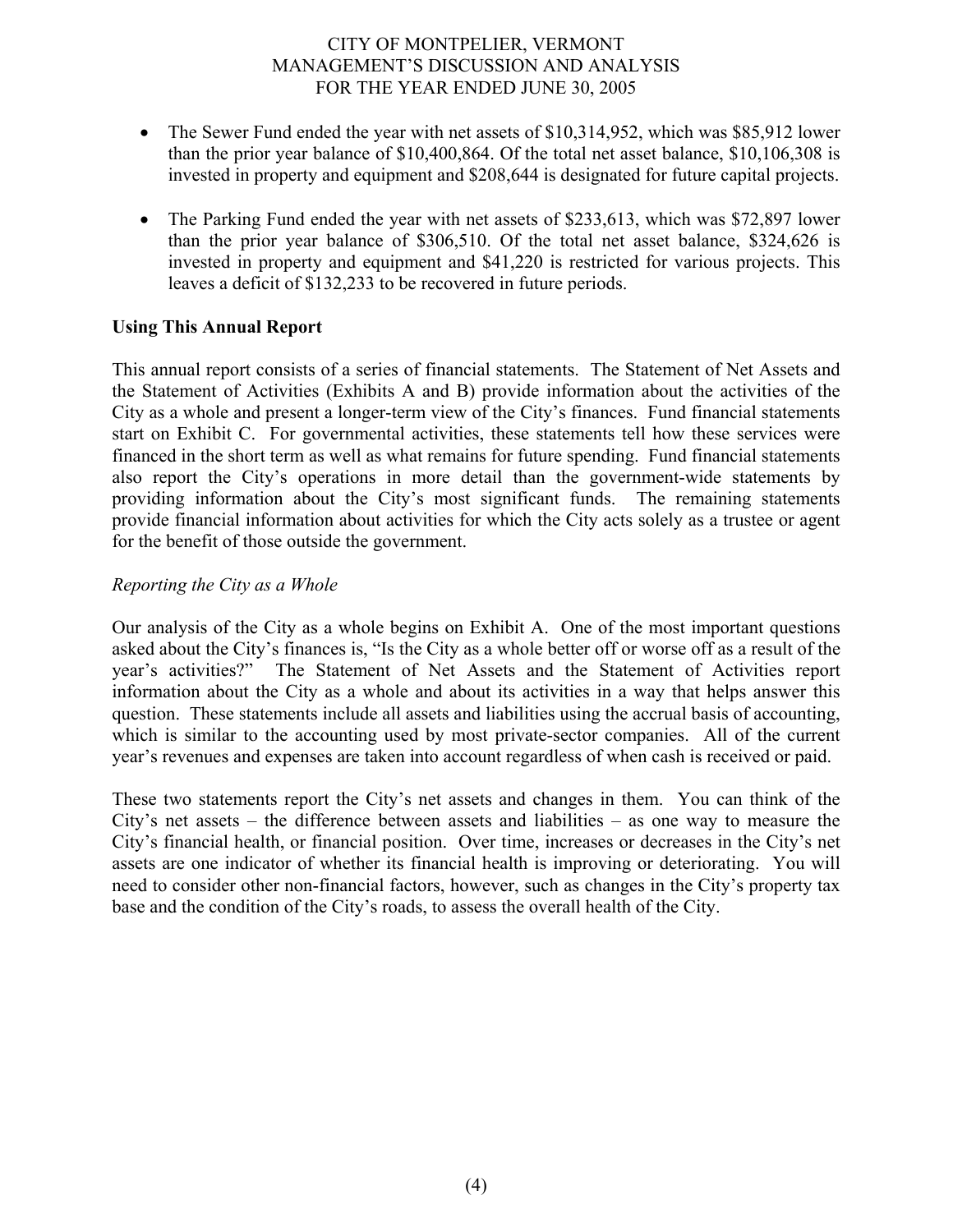- The Sewer Fund ended the year with net assets of \$10,314,952, which was \$85,912 lower than the prior year balance of \$10,400,864. Of the total net asset balance, \$10,106,308 is invested in property and equipment and \$208,644 is designated for future capital projects.
- The Parking Fund ended the year with net assets of \$233,613, which was \$72,897 lower than the prior year balance of \$306,510. Of the total net asset balance, \$324,626 is invested in property and equipment and \$41,220 is restricted for various projects. This leaves a deficit of \$132,233 to be recovered in future periods.

## **Using This Annual Report**

This annual report consists of a series of financial statements. The Statement of Net Assets and the Statement of Activities (Exhibits A and B) provide information about the activities of the City as a whole and present a longer-term view of the City's finances. Fund financial statements start on Exhibit C. For governmental activities, these statements tell how these services were financed in the short term as well as what remains for future spending. Fund financial statements also report the City's operations in more detail than the government-wide statements by providing information about the City's most significant funds. The remaining statements provide financial information about activities for which the City acts solely as a trustee or agent for the benefit of those outside the government.

#### *Reporting the City as a Whole*

Our analysis of the City as a whole begins on Exhibit A. One of the most important questions asked about the City's finances is, "Is the City as a whole better off or worse off as a result of the year's activities?" The Statement of Net Assets and the Statement of Activities report information about the City as a whole and about its activities in a way that helps answer this question. These statements include all assets and liabilities using the accrual basis of accounting, which is similar to the accounting used by most private-sector companies. All of the current year's revenues and expenses are taken into account regardless of when cash is received or paid.

These two statements report the City's net assets and changes in them. You can think of the City's net assets – the difference between assets and liabilities – as one way to measure the City's financial health, or financial position. Over time, increases or decreases in the City's net assets are one indicator of whether its financial health is improving or deteriorating. You will need to consider other non-financial factors, however, such as changes in the City's property tax base and the condition of the City's roads, to assess the overall health of the City.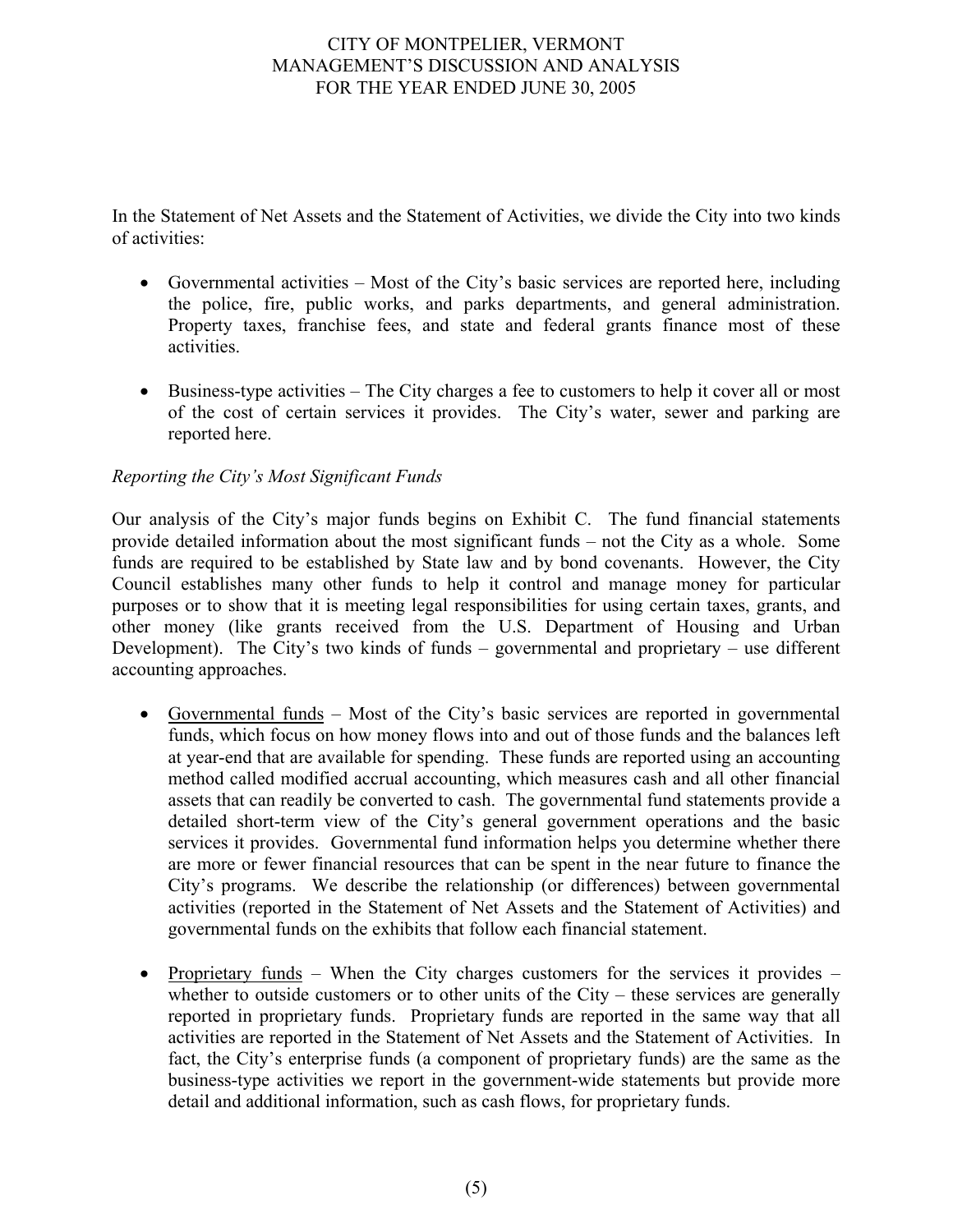In the Statement of Net Assets and the Statement of Activities, we divide the City into two kinds of activities:

- Governmental activities Most of the City's basic services are reported here, including the police, fire, public works, and parks departments, and general administration. Property taxes, franchise fees, and state and federal grants finance most of these activities.
- Business-type activities The City charges a fee to customers to help it cover all or most of the cost of certain services it provides. The City's water, sewer and parking are reported here.

# *Reporting the City's Most Significant Funds*

Our analysis of the City's major funds begins on Exhibit C. The fund financial statements provide detailed information about the most significant funds – not the City as a whole. Some funds are required to be established by State law and by bond covenants. However, the City Council establishes many other funds to help it control and manage money for particular purposes or to show that it is meeting legal responsibilities for using certain taxes, grants, and other money (like grants received from the U.S. Department of Housing and Urban Development). The City's two kinds of funds – governmental and proprietary – use different accounting approaches.

- Governmental funds Most of the City's basic services are reported in governmental funds, which focus on how money flows into and out of those funds and the balances left at year-end that are available for spending. These funds are reported using an accounting method called modified accrual accounting, which measures cash and all other financial assets that can readily be converted to cash. The governmental fund statements provide a detailed short-term view of the City's general government operations and the basic services it provides. Governmental fund information helps you determine whether there are more or fewer financial resources that can be spent in the near future to finance the City's programs. We describe the relationship (or differences) between governmental activities (reported in the Statement of Net Assets and the Statement of Activities) and governmental funds on the exhibits that follow each financial statement.
- Proprietary funds When the City charges customers for the services it provides whether to outside customers or to other units of the City – these services are generally reported in proprietary funds. Proprietary funds are reported in the same way that all activities are reported in the Statement of Net Assets and the Statement of Activities. In fact, the City's enterprise funds (a component of proprietary funds) are the same as the business-type activities we report in the government-wide statements but provide more detail and additional information, such as cash flows, for proprietary funds.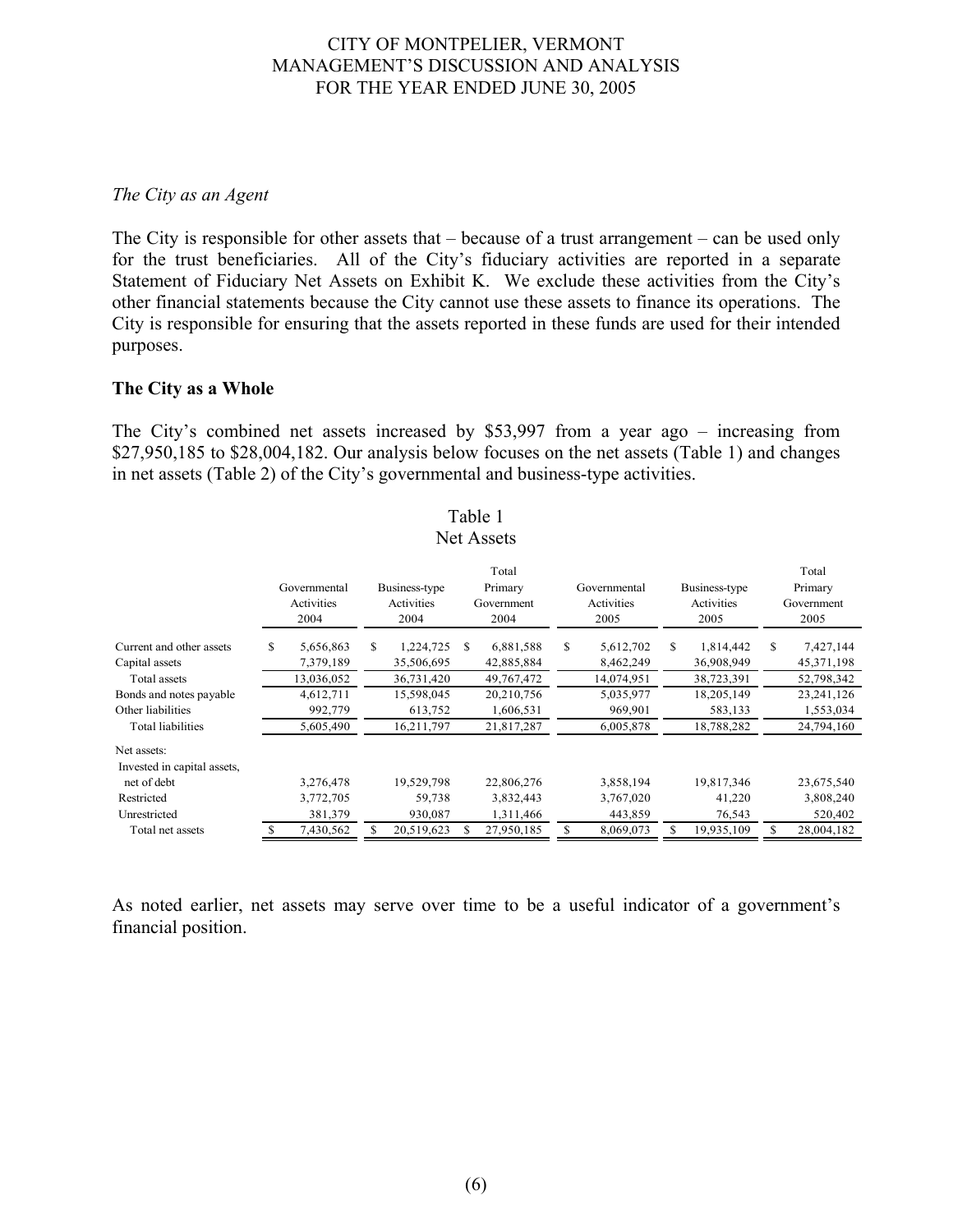#### *The City as an Agent*

The City is responsible for other assets that – because of a trust arrangement – can be used only for the trust beneficiaries. All of the City's fiduciary activities are reported in a separate Statement of Fiduciary Net Assets on Exhibit K. We exclude these activities from the City's other financial statements because the City cannot use these assets to finance its operations. The City is responsible for ensuring that the assets reported in these funds are used for their intended purposes.

#### **The City as a Whole**

The City's combined net assets increased by \$53,997 from a year ago – increasing from \$27,950,185 to \$28,004,182. Our analysis below focuses on the net assets (Table 1) and changes in net assets (Table 2) of the City's governmental and business-type activities.

|                                                                           |                                                                               |                                                                              |     | <b>Net Assets</b>                                                              |    |                                                                           |    |                                                                              |                                        |                                                                                    |  |  |  |  |  |  |  |
|---------------------------------------------------------------------------|-------------------------------------------------------------------------------|------------------------------------------------------------------------------|-----|--------------------------------------------------------------------------------|----|---------------------------------------------------------------------------|----|------------------------------------------------------------------------------|----------------------------------------|------------------------------------------------------------------------------------|--|--|--|--|--|--|--|
| Governmental<br>Activities<br>2004                                        | Total<br>Primary<br>Business-type<br>Activities<br>Government<br>2004<br>2004 |                                                                              |     |                                                                                |    | Governmental<br>Activities<br>2005                                        |    | Business-type<br>Activities<br>2005                                          | Total<br>Primary<br>Government<br>2005 |                                                                                    |  |  |  |  |  |  |  |
| 5,656,863<br>7,379,189<br>13,036,052<br>4,612,711<br>992,779<br>5,605,490 | S.                                                                            | 1,224,725<br>35,506,695<br>36,731,420<br>15,598,045<br>613,752<br>16,211,797 | \$. | 6,881,588<br>42,885,884<br>49,767,472<br>20,210,756<br>1,606,531<br>21,817,287 | S. | 5,612,702<br>8,462,249<br>14,074,951<br>5,035,977<br>969,901<br>6,005,878 | S. | 1,814,442<br>36,908,949<br>38,723,391<br>18,205,149<br>583,133<br>18,788,282 | S                                      | 7,427,144<br>45, 371, 198<br>52,798,342<br>23, 241, 126<br>1,553,034<br>24,794,160 |  |  |  |  |  |  |  |
| 3,276,478<br>3,772,705<br>381,379                                         |                                                                               | 19,529,798<br>59,738<br>930,087                                              |     | 22,806,276<br>3,832,443<br>1,311,466                                           |    | 3,858,194<br>3,767,020<br>443,859                                         |    | 19,817,346<br>41,220<br>76,543                                               |                                        | 23,675,540<br>3,808,240<br>520,402<br>28,004,182                                   |  |  |  |  |  |  |  |
|                                                                           | 7,430,562                                                                     |                                                                              |     | S                                                                              |    |                                                                           |    | \$<br>8,069,073<br>S<br>20,519,623<br>27,950,185                             |                                        | S<br>19,935,109                                                                    |  |  |  |  |  |  |  |

# Table 1

As noted earlier, net assets may serve over time to be a useful indicator of a government's financial position.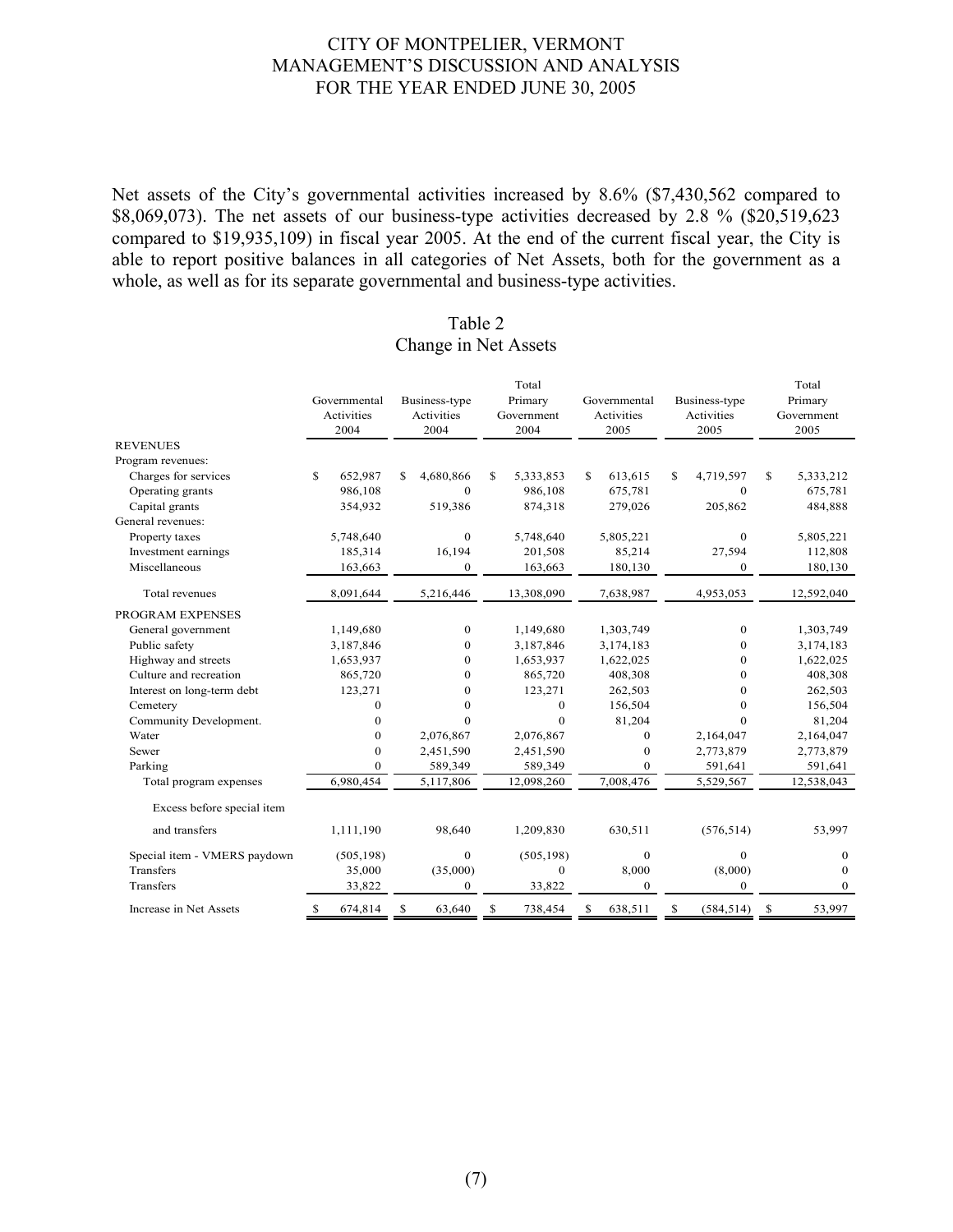Net assets of the City's governmental activities increased by 8.6% (\$7,430,562 compared to \$8,069,073). The net assets of our business-type activities decreased by 2.8 % (\$20,519,623) compared to \$19,935,109) in fiscal year 2005. At the end of the current fiscal year, the City is able to report positive balances in all categories of Net Assets, both for the government as a whole, as well as for its separate governmental and business-type activities.

|                                    | Governmental<br>Activities<br>2004 | Business-type<br>Activities<br>2004 | Total<br>Primary<br>Government<br>2004 | Governmental<br>Activities<br>2005 | Business-type<br>Activities<br>2005 | Total<br>Primary<br>Government<br>2005 |  |  |
|------------------------------------|------------------------------------|-------------------------------------|----------------------------------------|------------------------------------|-------------------------------------|----------------------------------------|--|--|
| <b>REVENUES</b>                    |                                    |                                     |                                        |                                    |                                     |                                        |  |  |
| Program revenues:                  |                                    |                                     |                                        |                                    |                                     |                                        |  |  |
| Charges for services               | S.<br>652,987<br>986,108           | 4,680,866<br>\$<br>$\Omega$         | \$<br>5,333,853<br>986,108             | S<br>613,615<br>675,781            | \$<br>4,719,597<br>$\mathbf{0}$     | \$<br>5,333,212<br>675,781             |  |  |
| Operating grants<br>Capital grants | 354,932                            | 519,386                             | 874,318                                | 279,026                            | 205,862                             | 484,888                                |  |  |
| General revenues:                  |                                    |                                     |                                        |                                    |                                     |                                        |  |  |
| Property taxes                     | 5,748,640                          | $\mathbf{0}$                        | 5,748,640                              | 5,805,221                          | $\mathbf{0}$                        | 5,805,221                              |  |  |
| Investment earnings                | 185,314                            | 16,194                              | 201,508                                | 85,214                             | 27,594                              | 112,808                                |  |  |
| Miscellaneous                      | 163,663                            | $\boldsymbol{0}$                    | 163,663                                | 180,130                            | $\boldsymbol{0}$                    | 180,130                                |  |  |
|                                    |                                    |                                     |                                        |                                    |                                     |                                        |  |  |
| Total revenues                     | 8,091,644                          | 5,216,446                           | 13,308,090                             | 7,638,987                          | 4,953,053                           | 12,592,040                             |  |  |
| PROGRAM EXPENSES                   |                                    |                                     |                                        |                                    |                                     |                                        |  |  |
| General government                 | 1,149,680                          | $\mathbf{0}$                        | 1,149,680                              | 1,303,749                          | $\mathbf{0}$                        | 1,303,749                              |  |  |
| Public safety                      | 3,187,846                          | $\Omega$                            | 3,187,846                              | 3,174,183                          | $\Omega$                            | 3,174,183                              |  |  |
| Highway and streets                | 1,653,937                          | $\mathbf{0}$                        | 1,653,937                              | 1,622,025                          | $\mathbf{0}$                        | 1,622,025                              |  |  |
| Culture and recreation             | 865,720                            | $\Omega$                            | 865,720                                | 408,308                            | $\mathbf{0}$                        | 408,308                                |  |  |
| Interest on long-term debt         | 123,271                            | $\Omega$                            | 123,271                                | 262,503                            | $\Omega$                            | 262,503                                |  |  |
| Cemetery                           | $\mathbf{0}$                       | $\Omega$                            | $\Omega$                               | 156,504                            | $\Omega$                            | 156,504                                |  |  |
| Community Development.             | $\mathbf{0}$                       | $\Omega$                            | $\Omega$                               | 81,204                             | $\Omega$                            | 81,204                                 |  |  |
| Water                              | $\mathbf{0}$                       | 2,076,867                           | 2,076,867                              | $\Omega$                           | 2,164,047                           | 2,164,047                              |  |  |
| Sewer                              | $\mathbf{0}$                       | 2,451,590                           | 2,451,590                              | $\Omega$                           | 2,773,879                           | 2,773,879                              |  |  |
| Parking                            | $\Omega$                           | 589,349                             | 589,349                                | $\Omega$                           | 591,641                             | 591,641                                |  |  |
| Total program expenses             | 6,980,454                          | 5,117,806                           | 12,098,260                             | 7,008,476                          | 5,529,567                           | 12,538,043                             |  |  |
| Excess before special item         |                                    |                                     |                                        |                                    |                                     |                                        |  |  |
| and transfers                      | 1,111,190                          | 98,640                              | 1,209,830                              | 630,511                            | (576, 514)                          | 53,997                                 |  |  |
| Special item - VMERS paydown       | (505, 198)                         | $\mathbf{0}$                        | (505, 198)                             | $\mathbf{0}$                       | $\mathbf{0}$                        | $\mathbf{0}$                           |  |  |
| Transfers                          | 35,000                             | (35,000)                            | $\mathbf{0}$                           | 8,000                              | (8,000)                             | $\theta$                               |  |  |
| Transfers                          | 33,822                             | $\mathbf{0}$                        | 33,822                                 | $\mathbf{0}$                       | $\mathbf{0}$                        | $\mathbf{0}$                           |  |  |
| Increase in Net Assets             | 674,814<br>\$                      | 63,640<br>S                         | 738,454<br>S                           | 638,511<br>\$                      | (584, 514)<br>\$                    | 53,997<br>\$                           |  |  |

#### Table 2 Change in Net Assets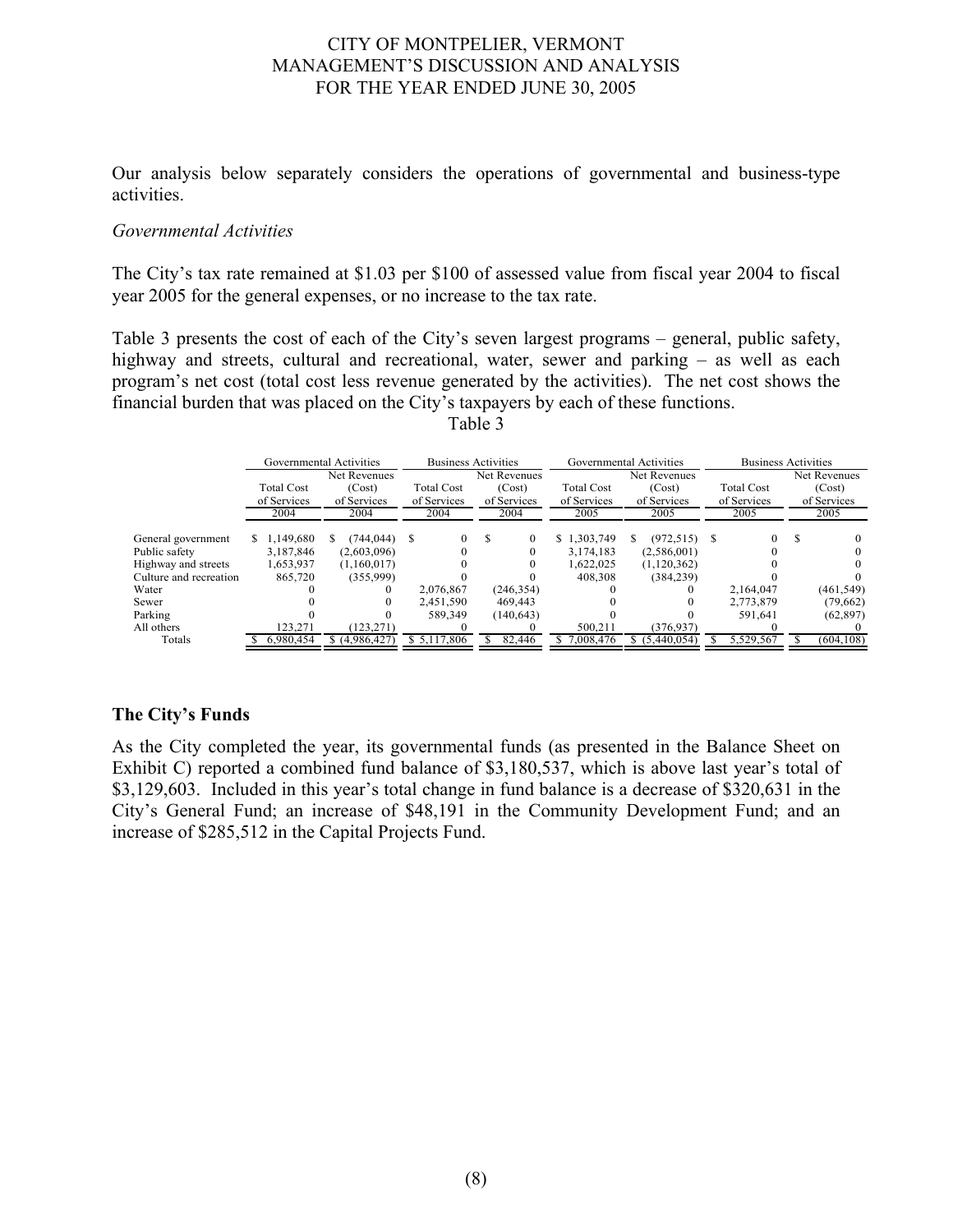Our analysis below separately considers the operations of governmental and business-type activities.

#### *Governmental Activities*

The City's tax rate remained at \$1.03 per \$100 of assessed value from fiscal year 2004 to fiscal year 2005 for the general expenses, or no increase to the tax rate.

Table 3 presents the cost of each of the City's seven largest programs – general, public safety, highway and streets, cultural and recreational, water, sewer and parking – as well as each program's net cost (total cost less revenue generated by the activities). The net cost shows the financial burden that was placed on the City's taxpayers by each of these functions.

|                        |                   | Governmental Activities | <b>Business Activities</b> |                |                   | Governmental Activities | <b>Business Activities</b> |              |  |  |
|------------------------|-------------------|-------------------------|----------------------------|----------------|-------------------|-------------------------|----------------------------|--------------|--|--|
|                        |                   | Net Revenues            |                            | Net Revenues   |                   | Net Revenues            |                            | Net Revenues |  |  |
|                        | <b>Total Cost</b> | (Cost)                  | <b>Total Cost</b>          | (Cost)         | <b>Total Cost</b> | (Cost)                  | <b>Total Cost</b>          | (Cost)       |  |  |
|                        | of Services       | of Services             | of Services                | of Services    | of Services       | of Services             |                            | of Services  |  |  |
|                        | 2004              | 2004                    | 2004                       | 2004           | 2005              | 2005                    | 2005                       | 2005         |  |  |
| General government     | 1,149,680         | (744, 044)              | £.                         | S.<br>$\Omega$ | \$1,303,749       | $(972, 515)$ \$<br>S.   |                            |              |  |  |
| Public safety          | 3,187,846         | (2,603,096)             |                            |                | 3,174,183         | (2,586,001)             |                            |              |  |  |
| Highway and streets    | 1,653,937         | (1,160,017)             |                            |                | 1,622,025         | (1,120,362)             |                            |              |  |  |
| Culture and recreation | 865,720           | (355,999)               |                            |                | 408.308           | (384, 239)              |                            |              |  |  |
| Water                  |                   |                         | 2,076,867                  | (246, 354)     |                   |                         | 2,164,047                  | (461, 549)   |  |  |
| Sewer                  |                   |                         | 2,451,590                  | 469,443        |                   |                         | 2,773,879                  | (79,662)     |  |  |
| Parking                |                   |                         | 589.349                    | (140, 643)     |                   |                         | 591.641                    | (62, 897)    |  |  |
| All others             | 123,271           | (123, 271)              |                            |                | 500,211           | (376, 937)              |                            |              |  |  |
| Totals                 | 6,980,454         | \$(4,986,427)           | \$5,117,806                | 82,446         | 7,008,476         | \$(5,440,054)           | 5,529,567                  | (604, 108)   |  |  |

Table 3

## **The City's Funds**

As the City completed the year, its governmental funds (as presented in the Balance Sheet on Exhibit C) reported a combined fund balance of \$3,180,537, which is above last year's total of \$3,129,603. Included in this year's total change in fund balance is a decrease of \$320,631 in the City's General Fund; an increase of \$48,191 in the Community Development Fund; and an increase of \$285,512 in the Capital Projects Fund.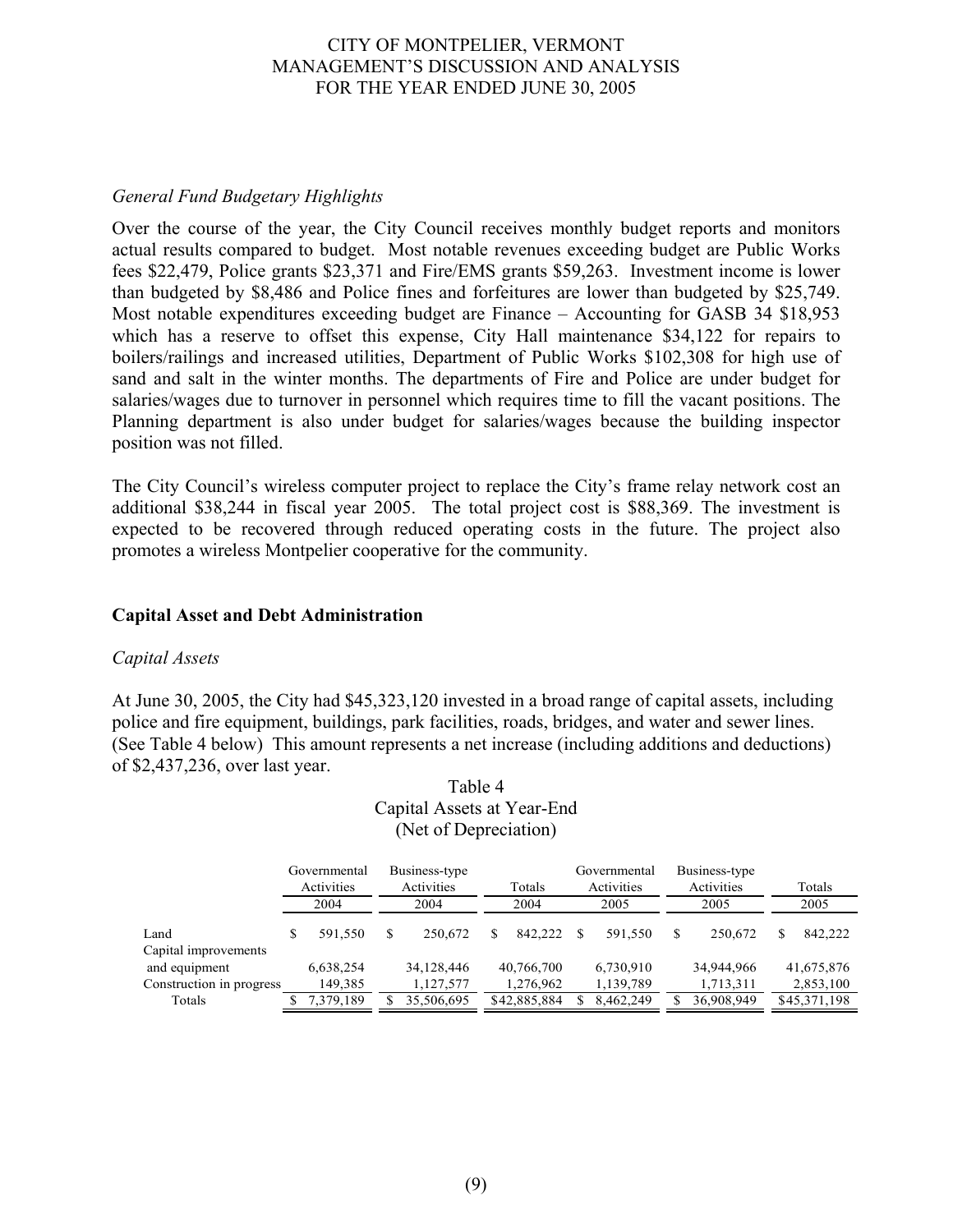## *General Fund Budgetary Highlights*

Over the course of the year, the City Council receives monthly budget reports and monitors actual results compared to budget. Most notable revenues exceeding budget are Public Works fees \$22,479, Police grants \$23,371 and Fire/EMS grants \$59,263. Investment income is lower than budgeted by \$8,486 and Police fines and forfeitures are lower than budgeted by \$25,749. Most notable expenditures exceeding budget are Finance – Accounting for GASB 34 \$18,953 which has a reserve to offset this expense, City Hall maintenance \$34,122 for repairs to boilers/railings and increased utilities, Department of Public Works \$102,308 for high use of sand and salt in the winter months. The departments of Fire and Police are under budget for salaries/wages due to turnover in personnel which requires time to fill the vacant positions. The Planning department is also under budget for salaries/wages because the building inspector position was not filled.

The City Council's wireless computer project to replace the City's frame relay network cost an additional \$38,244 in fiscal year 2005. The total project cost is \$88,369. The investment is expected to be recovered through reduced operating costs in the future. The project also promotes a wireless Montpelier cooperative for the community.

## **Capital Asset and Debt Administration**

#### *Capital Assets*

At June 30, 2005, the City had \$45,323,120 invested in a broad range of capital assets, including police and fire equipment, buildings, park facilities, roads, bridges, and water and sewer lines. (See Table 4 below) This amount represents a net increase (including additions and deductions) of \$2,437,236, over last year.

| (Net of Depreciation)    |    |                                                           |    |            |        |              |   |                            |      |                             |      |              |
|--------------------------|----|-----------------------------------------------------------|----|------------|--------|--------------|---|----------------------------|------|-----------------------------|------|--------------|
|                          |    | Business-type<br>Governmental<br>Activities<br>Activities |    |            | Totals |              |   | Governmental<br>Activities |      | Business-type<br>Activities |      | Totals       |
|                          |    | 2004                                                      |    | 2004       |        | 2004<br>2005 |   |                            | 2005 |                             | 2005 |              |
| Land                     | \$ | 591,550                                                   | \$ | 250.672    | S      | 842.222      | S | 591,550                    | S.   | 250,672                     | S    | 842,222      |
| Capital improvements     |    |                                                           |    |            |        |              |   |                            |      |                             |      |              |
| and equipment            |    | 6,638,254                                                 |    | 34,128,446 |        | 40,766,700   |   | 6,730,910                  |      | 34,944,966                  |      | 41,675,876   |
| Construction in progress |    | 149,385                                                   |    | 1,127,577  |        | 1,276,962    |   | 1,139,789                  |      | 1,713,311                   |      | 2,853,100    |
| Totals                   |    | 7,379,189                                                 |    | 35,506,695 |        | \$42,885,884 |   | 8,462,249                  |      | 36,908,949                  |      | \$45,371,198 |

# Table 4 Capital Assets at Year-End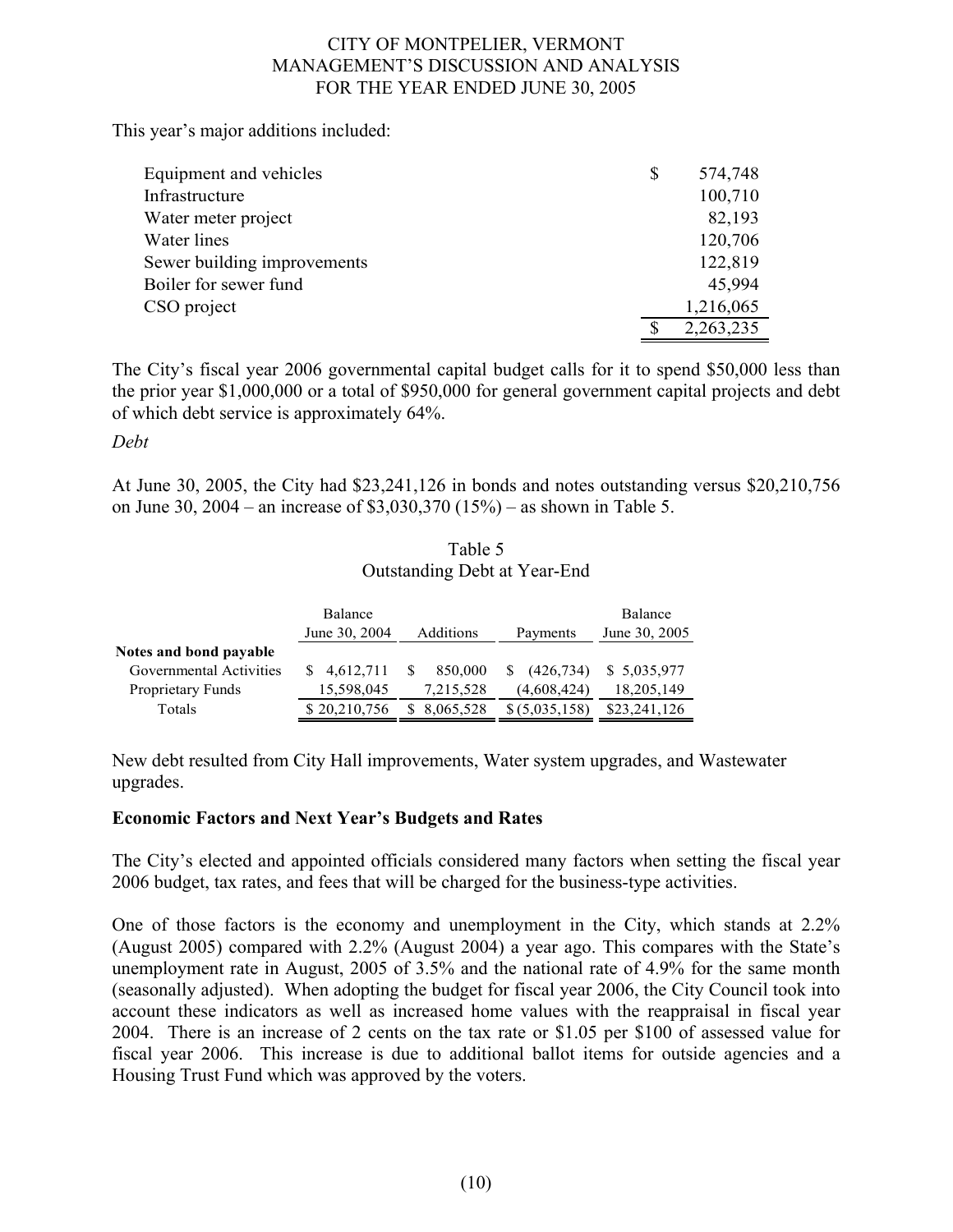This year's major additions included:

| Equipment and vehicles      | \$<br>574,748 |
|-----------------------------|---------------|
| Infrastructure              | 100,710       |
| Water meter project         | 82,193        |
| Water lines                 | 120,706       |
| Sewer building improvements | 122,819       |
| Boiler for sewer fund       | 45,994        |
| CSO project                 | 1,216,065     |
|                             | 2,263,235     |

The City's fiscal year 2006 governmental capital budget calls for it to spend \$50,000 less than the prior year \$1,000,000 or a total of \$950,000 for general government capital projects and debt of which debt service is approximately 64%.

*Debt* 

At June 30, 2005, the City had \$23,241,126 in bonds and notes outstanding versus \$20,210,756 on June 30, 2004 – an increase of \$3,030,370 (15%) – as shown in Table 5.

| Table 5                             |
|-------------------------------------|
| <b>Outstanding Debt at Year-End</b> |

|                         | Balance<br>June 30, 2004 | Additions | Payments       | Balance<br>June 30, 2005 |
|-------------------------|--------------------------|-----------|----------------|--------------------------|
| Notes and bond payable  |                          |           |                |                          |
| Governmental Activities | \$4,612,711              | 850,000   | (426, 734)     | \$ 5,035,977             |
| Proprietary Funds       | 15,598,045               | 7,215,528 | (4,608,424)    | 18,205,149               |
| Totals                  | \$20,210,756             | 8,065,528 | \$ (5,035,158) | \$23,241,126             |

New debt resulted from City Hall improvements, Water system upgrades, and Wastewater upgrades.

## **Economic Factors and Next Year's Budgets and Rates**

The City's elected and appointed officials considered many factors when setting the fiscal year 2006 budget, tax rates, and fees that will be charged for the business-type activities.

One of those factors is the economy and unemployment in the City, which stands at 2.2% (August 2005) compared with 2.2% (August 2004) a year ago. This compares with the State's unemployment rate in August, 2005 of 3.5% and the national rate of 4.9% for the same month (seasonally adjusted). When adopting the budget for fiscal year 2006, the City Council took into account these indicators as well as increased home values with the reappraisal in fiscal year 2004. There is an increase of 2 cents on the tax rate or \$1.05 per \$100 of assessed value for fiscal year 2006. This increase is due to additional ballot items for outside agencies and a Housing Trust Fund which was approved by the voters.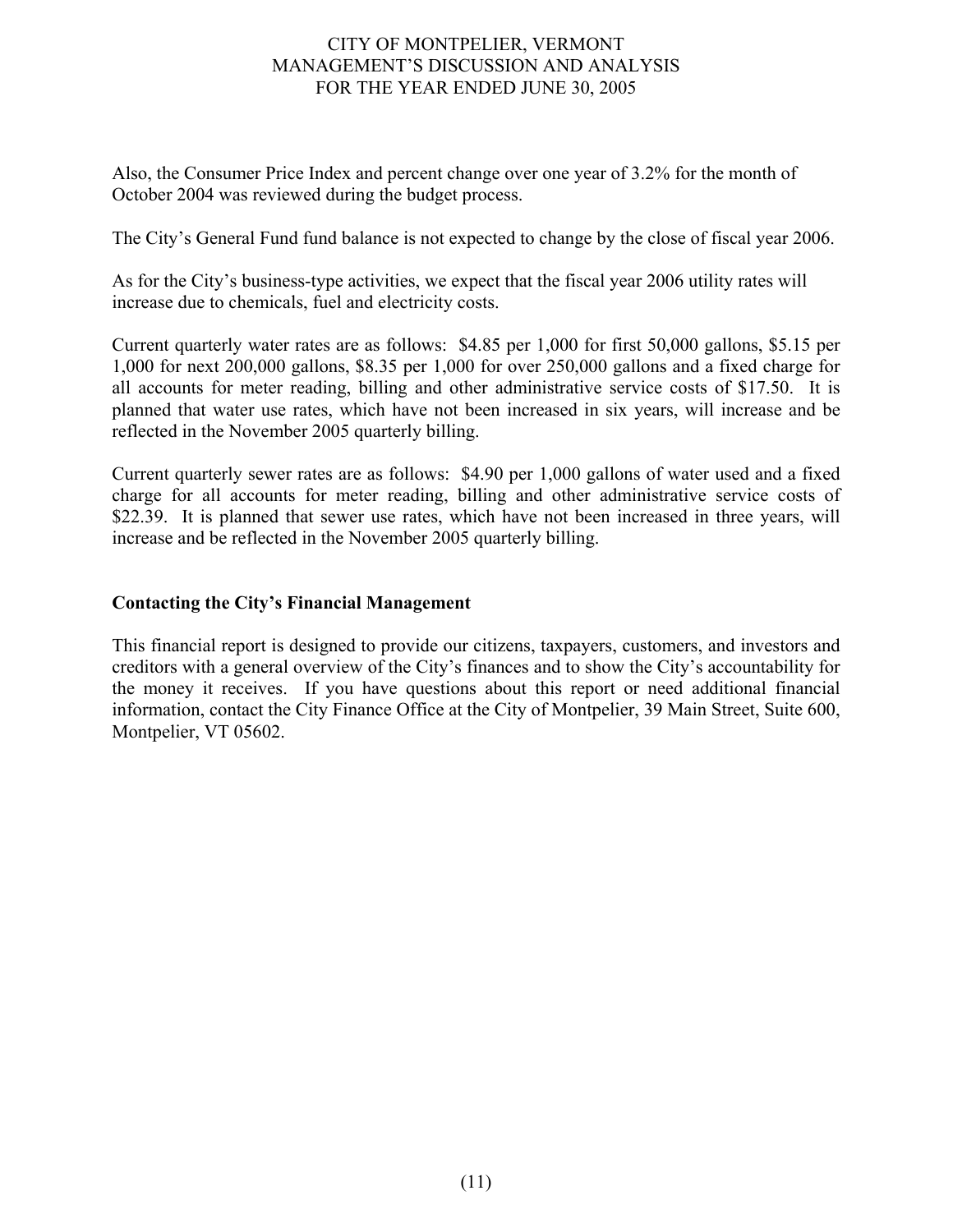Also, the Consumer Price Index and percent change over one year of 3.2% for the month of October 2004 was reviewed during the budget process.

The City's General Fund fund balance is not expected to change by the close of fiscal year 2006.

As for the City's business-type activities, we expect that the fiscal year 2006 utility rates will increase due to chemicals, fuel and electricity costs.

Current quarterly water rates are as follows: \$4.85 per 1,000 for first 50,000 gallons, \$5.15 per 1,000 for next 200,000 gallons, \$8.35 per 1,000 for over 250,000 gallons and a fixed charge for all accounts for meter reading, billing and other administrative service costs of \$17.50. It is planned that water use rates, which have not been increased in six years, will increase and be reflected in the November 2005 quarterly billing.

Current quarterly sewer rates are as follows: \$4.90 per 1,000 gallons of water used and a fixed charge for all accounts for meter reading, billing and other administrative service costs of \$22.39. It is planned that sewer use rates, which have not been increased in three years, will increase and be reflected in the November 2005 quarterly billing.

## **Contacting the City's Financial Management**

This financial report is designed to provide our citizens, taxpayers, customers, and investors and creditors with a general overview of the City's finances and to show the City's accountability for the money it receives. If you have questions about this report or need additional financial information, contact the City Finance Office at the City of Montpelier, 39 Main Street, Suite 600, Montpelier, VT 05602.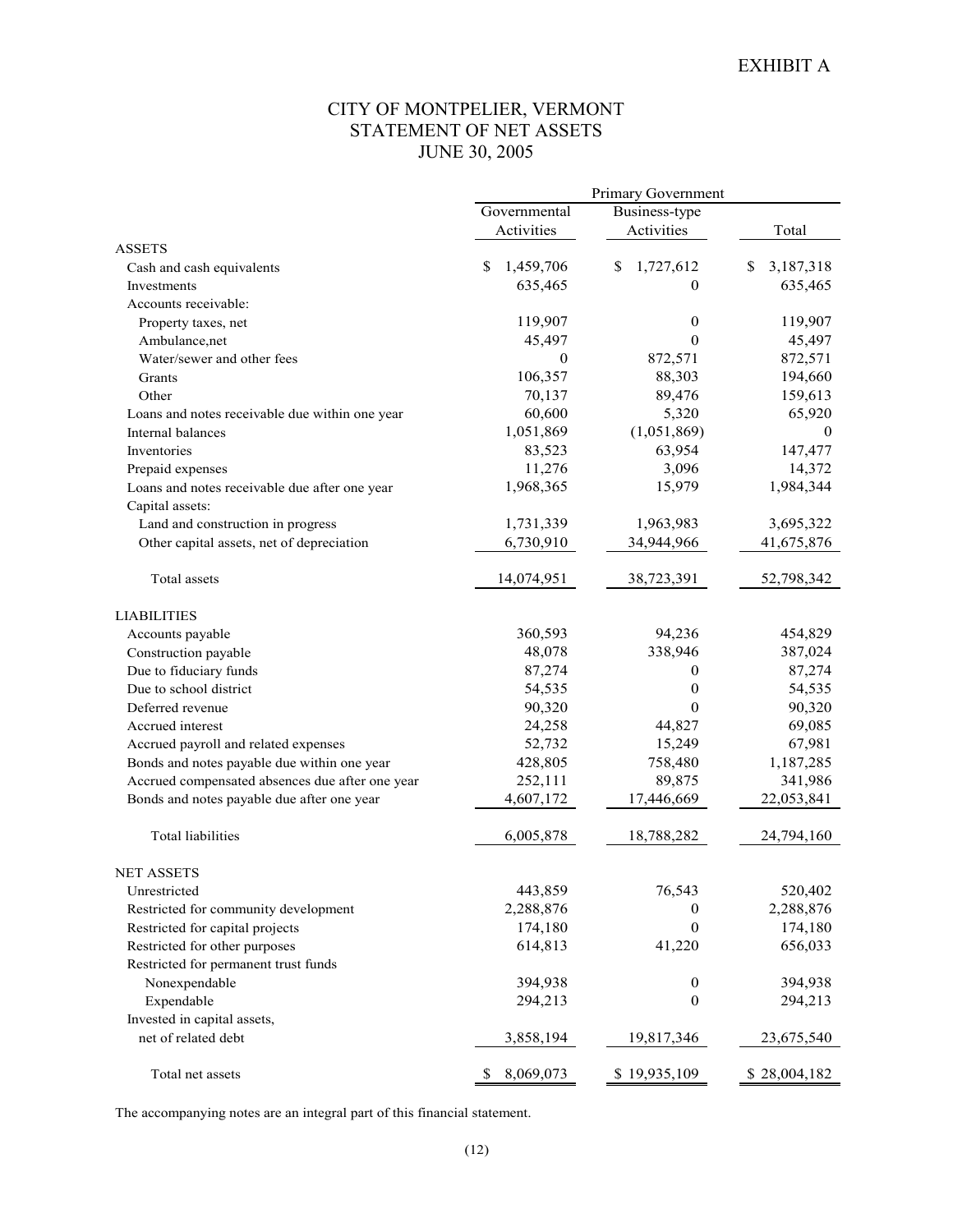## CITY OF MONTPELIER, VERMONT STATEMENT OF NET ASSETS JUNE 30, 2005

|                                                 | Primary Government |                  |                |  |  |  |
|-------------------------------------------------|--------------------|------------------|----------------|--|--|--|
|                                                 | Governmental       | Business-type    |                |  |  |  |
|                                                 | Activities         | Activities       | Total          |  |  |  |
| <b>ASSETS</b>                                   |                    |                  |                |  |  |  |
| Cash and cash equivalents                       | S<br>1,459,706     | \$<br>1,727,612  | 3,187,318<br>S |  |  |  |
| Investments                                     | 635,465            | $\Omega$         | 635,465        |  |  |  |
| Accounts receivable:                            |                    |                  |                |  |  |  |
| Property taxes, net                             | 119,907            | $\mathbf{0}$     | 119,907        |  |  |  |
| Ambulance, net                                  | 45,497             | $\Omega$         | 45,497         |  |  |  |
| Water/sewer and other fees                      | 0                  | 872,571          | 872,571        |  |  |  |
| Grants                                          | 106,357            | 88,303           | 194,660        |  |  |  |
| Other                                           | 70,137             | 89,476           | 159,613        |  |  |  |
| Loans and notes receivable due within one year  | 60,600             | 5,320            | 65,920         |  |  |  |
| Internal balances                               | 1,051,869          | (1,051,869)      | 0              |  |  |  |
| Inventories                                     | 83,523             | 63,954           | 147,477        |  |  |  |
| Prepaid expenses                                | 11,276             | 3,096            | 14,372         |  |  |  |
| Loans and notes receivable due after one year   | 1,968,365          | 15,979           | 1,984,344      |  |  |  |
| Capital assets:                                 |                    |                  |                |  |  |  |
| Land and construction in progress               | 1,731,339          | 1,963,983        | 3,695,322      |  |  |  |
| Other capital assets, net of depreciation       | 6,730,910          | 34,944,966       | 41,675,876     |  |  |  |
|                                                 |                    |                  |                |  |  |  |
| Total assets                                    | 14,074,951         | 38,723,391       | 52,798,342     |  |  |  |
| <b>LIABILITIES</b>                              |                    |                  |                |  |  |  |
| Accounts payable                                | 360,593            | 94,236           | 454,829        |  |  |  |
| Construction payable                            | 48,078             | 338,946          | 387,024        |  |  |  |
| Due to fiduciary funds                          | 87,274             | $\boldsymbol{0}$ | 87,274         |  |  |  |
| Due to school district                          | 54,535             | $\mathbf{0}$     | 54,535         |  |  |  |
| Deferred revenue                                | 90,320             | $\Omega$         | 90,320         |  |  |  |
| Accrued interest                                | 24,258             | 44,827           | 69,085         |  |  |  |
| Accrued payroll and related expenses            | 52,732             | 15,249           | 67,981         |  |  |  |
| Bonds and notes payable due within one year     | 428,805            | 758,480          | 1,187,285      |  |  |  |
| Accrued compensated absences due after one year | 252,111            | 89,875           | 341,986        |  |  |  |
| Bonds and notes payable due after one year      | 4,607,172          | 17,446,669       | 22,053,841     |  |  |  |
|                                                 |                    |                  |                |  |  |  |
| <b>Total liabilities</b>                        | 6,005,878          | 18,788,282       | 24,794,160     |  |  |  |
| <b>NET ASSETS</b>                               |                    |                  |                |  |  |  |
| Unrestricted                                    | 443,859            | 76,543           | 520,402        |  |  |  |
| Restricted for community development            | 2,288,876          | 0                | 2,288,876      |  |  |  |
| Restricted for capital projects                 | 174,180            | $\boldsymbol{0}$ | 174,180        |  |  |  |
| Restricted for other purposes                   | 614,813            | 41,220           | 656,033        |  |  |  |
| Restricted for permanent trust funds            |                    |                  |                |  |  |  |
| Nonexpendable                                   | 394,938            | 0                | 394,938        |  |  |  |
| Expendable                                      | 294,213            | $\mathbf{0}$     | 294,213        |  |  |  |
| Invested in capital assets,                     |                    |                  |                |  |  |  |
| net of related debt                             | 3,858,194          | 19,817,346       | 23,675,540     |  |  |  |
| Total net assets                                | 8,069,073<br>\$    | \$19,935,109     | \$28,004,182   |  |  |  |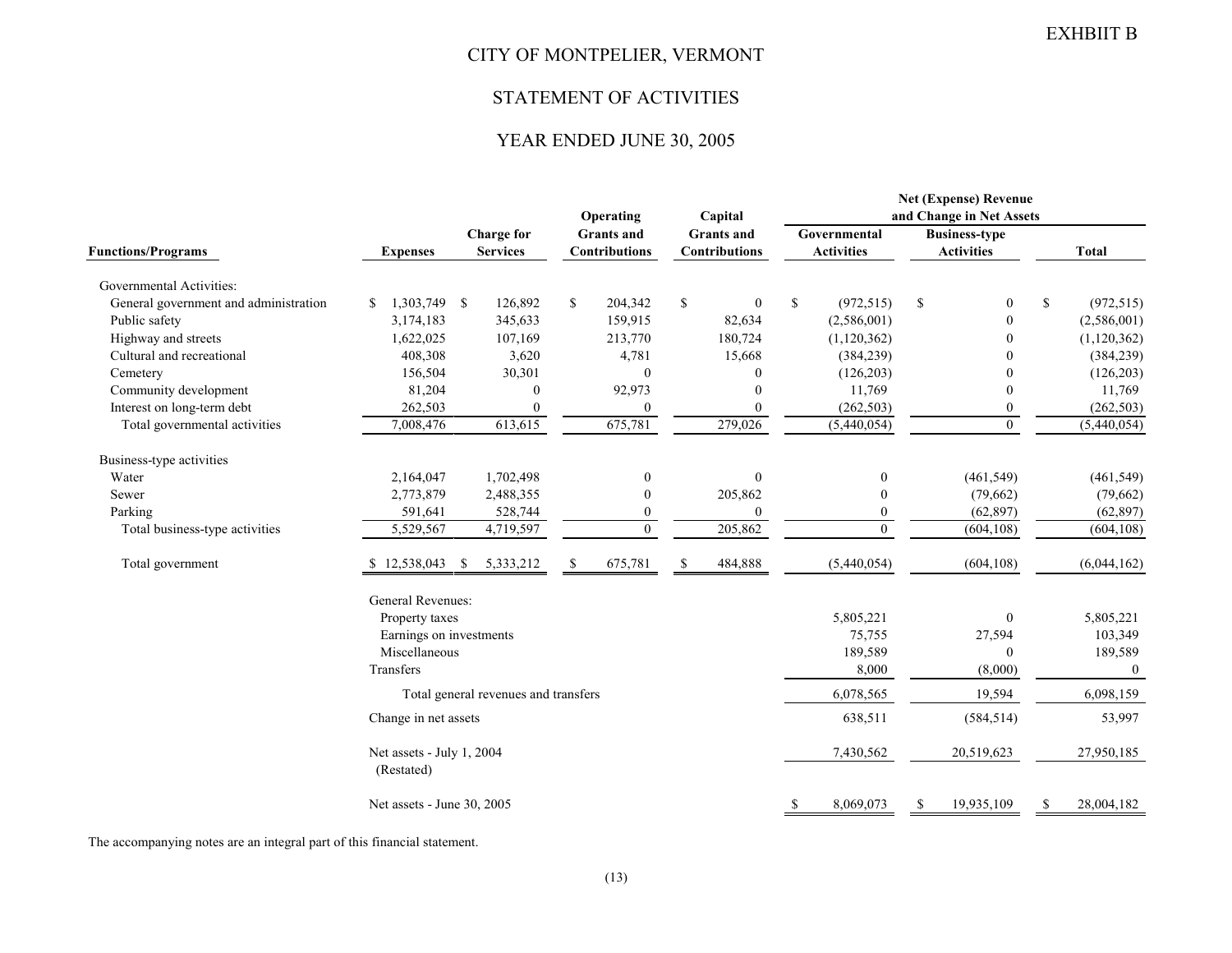## CITY OF MONTPELIER, VERMONT

#### STATEMENT OF ACTIVITIES

## YEAR ENDED JUNE 30, 2005

|                                       |                            |                                      |                                      |              | Operating<br>Capital                      |    |                                           | <b>Net (Expense) Revenue</b><br>and Change in Net Assets |                                   |               |                                           |     |                |  |
|---------------------------------------|----------------------------|--------------------------------------|--------------------------------------|--------------|-------------------------------------------|----|-------------------------------------------|----------------------------------------------------------|-----------------------------------|---------------|-------------------------------------------|-----|----------------|--|
| <b>Functions/Programs</b>             | <b>Expenses</b>            | <b>Charge for</b><br><b>Services</b> |                                      |              | <b>Grants</b> and<br><b>Contributions</b> |    | <b>Grants</b> and<br><b>Contributions</b> |                                                          | Governmental<br><b>Activities</b> |               | <b>Business-type</b><br><b>Activities</b> |     | <b>Total</b>   |  |
|                                       |                            |                                      |                                      |              |                                           |    |                                           |                                                          |                                   |               |                                           |     |                |  |
| Governmental Activities:              |                            |                                      |                                      |              |                                           |    |                                           |                                                          |                                   |               |                                           |     |                |  |
| General government and administration | 1,303,749 \$<br>\$         |                                      | 126,892                              | $\mathbb{S}$ | 204,342                                   | \$ | $\boldsymbol{0}$                          | $\mathbb{S}$                                             | (972, 515)                        | $\mathbb{S}$  | $\boldsymbol{0}$                          | \$  | (972, 515)     |  |
| Public safety                         | 3,174,183                  |                                      | 345,633                              |              | 159,915                                   |    | 82,634                                    |                                                          | (2,586,001)                       |               | $\boldsymbol{0}$                          |     | (2,586,001)    |  |
| Highway and streets                   | 1,622,025                  |                                      | 107,169                              |              | 213,770                                   |    | 180,724                                   |                                                          | (1,120,362)                       |               | $\mathbf{0}$                              |     | (1,120,362)    |  |
| Cultural and recreational             | 408,308                    |                                      | 3,620                                |              | 4,781                                     |    | 15,668                                    |                                                          | (384, 239)                        |               | 0                                         |     | (384, 239)     |  |
| Cemetery                              | 156,504                    |                                      | 30,301                               |              | $\theta$                                  |    | $\mathbf{0}$                              |                                                          | (126, 203)                        |               | $\theta$                                  |     | (126, 203)     |  |
| Community development                 | 81,204                     |                                      | $\mathbf{0}$                         |              | 92,973                                    |    | $\theta$                                  |                                                          | 11,769                            |               | $\mathbf{0}$                              |     | 11,769         |  |
| Interest on long-term debt            | 262,503                    |                                      | $\theta$                             |              | $\mathbf{0}$                              |    | $\mathbf{0}$                              |                                                          | (262, 503)                        |               | 0                                         |     | (262, 503)     |  |
| Total governmental activities         | 7,008,476                  |                                      | 613,615                              |              | 675,781                                   |    | 279,026                                   |                                                          | (5,440,054)                       |               | $\theta$                                  |     | (5,440,054)    |  |
| Business-type activities              |                            |                                      |                                      |              |                                           |    |                                           |                                                          |                                   |               |                                           |     |                |  |
| Water                                 | 2,164,047                  |                                      | 1,702,498                            |              | $\boldsymbol{0}$                          |    | $\boldsymbol{0}$                          |                                                          | $\boldsymbol{0}$                  |               | (461, 549)                                |     | (461, 549)     |  |
| Sewer                                 | 2,773,879                  |                                      | 2,488,355                            |              | $\overline{0}$                            |    | 205,862                                   |                                                          | $\boldsymbol{0}$                  |               | (79,662)                                  |     | (79,662)       |  |
| Parking                               | 591,641                    |                                      | 528,744                              |              | $\boldsymbol{0}$                          |    | $\mathbf{0}$                              |                                                          | $\boldsymbol{0}$                  |               | (62, 897)                                 |     | (62, 897)      |  |
| Total business-type activities        | 5,529,567                  |                                      | 4,719,597                            |              | $\mathbf{0}$                              |    | 205,862                                   |                                                          | $\mathbf{0}$                      |               | (604, 108)                                |     | (604, 108)     |  |
| Total government                      | 12,538,043                 | -S                                   | 5,333,212                            | \$           | 675,781                                   | \$ | 484,888                                   |                                                          | (5,440,054)                       |               | (604, 108)                                |     | (6,044,162)    |  |
|                                       | General Revenues:          |                                      |                                      |              |                                           |    |                                           |                                                          |                                   |               |                                           |     |                |  |
|                                       | Property taxes             |                                      |                                      |              |                                           |    |                                           |                                                          | 5,805,221                         |               | $\mathbf{0}$                              |     | 5,805,221      |  |
|                                       | Earnings on investments    |                                      |                                      |              |                                           |    |                                           |                                                          | 75,755                            |               | 27,594                                    |     | 103,349        |  |
|                                       | Miscellaneous              |                                      |                                      |              |                                           |    |                                           |                                                          | 189,589                           |               | $\Omega$                                  |     | 189,589        |  |
|                                       | Transfers                  |                                      |                                      |              |                                           |    |                                           |                                                          | 8,000                             |               | (8,000)                                   |     | $\overline{0}$ |  |
|                                       |                            |                                      | Total general revenues and transfers |              |                                           |    |                                           |                                                          | 6,078,565                         |               | 19,594                                    |     | 6,098,159      |  |
|                                       | Change in net assets       |                                      |                                      |              |                                           |    |                                           |                                                          | 638,511                           |               | (584, 514)                                |     | 53,997         |  |
|                                       |                            | Net assets - July 1, 2004            |                                      |              |                                           |    |                                           |                                                          | 7,430,562                         |               | 20,519,623                                |     | 27,950,185     |  |
|                                       | (Restated)                 |                                      |                                      |              |                                           |    |                                           |                                                          |                                   |               |                                           |     |                |  |
|                                       | Net assets - June 30, 2005 |                                      |                                      |              |                                           |    |                                           |                                                          | 8,069,073                         | <sup>\$</sup> | 19,935,109                                | \$. | 28,004,182     |  |
|                                       |                            |                                      |                                      |              |                                           |    |                                           |                                                          |                                   |               |                                           |     |                |  |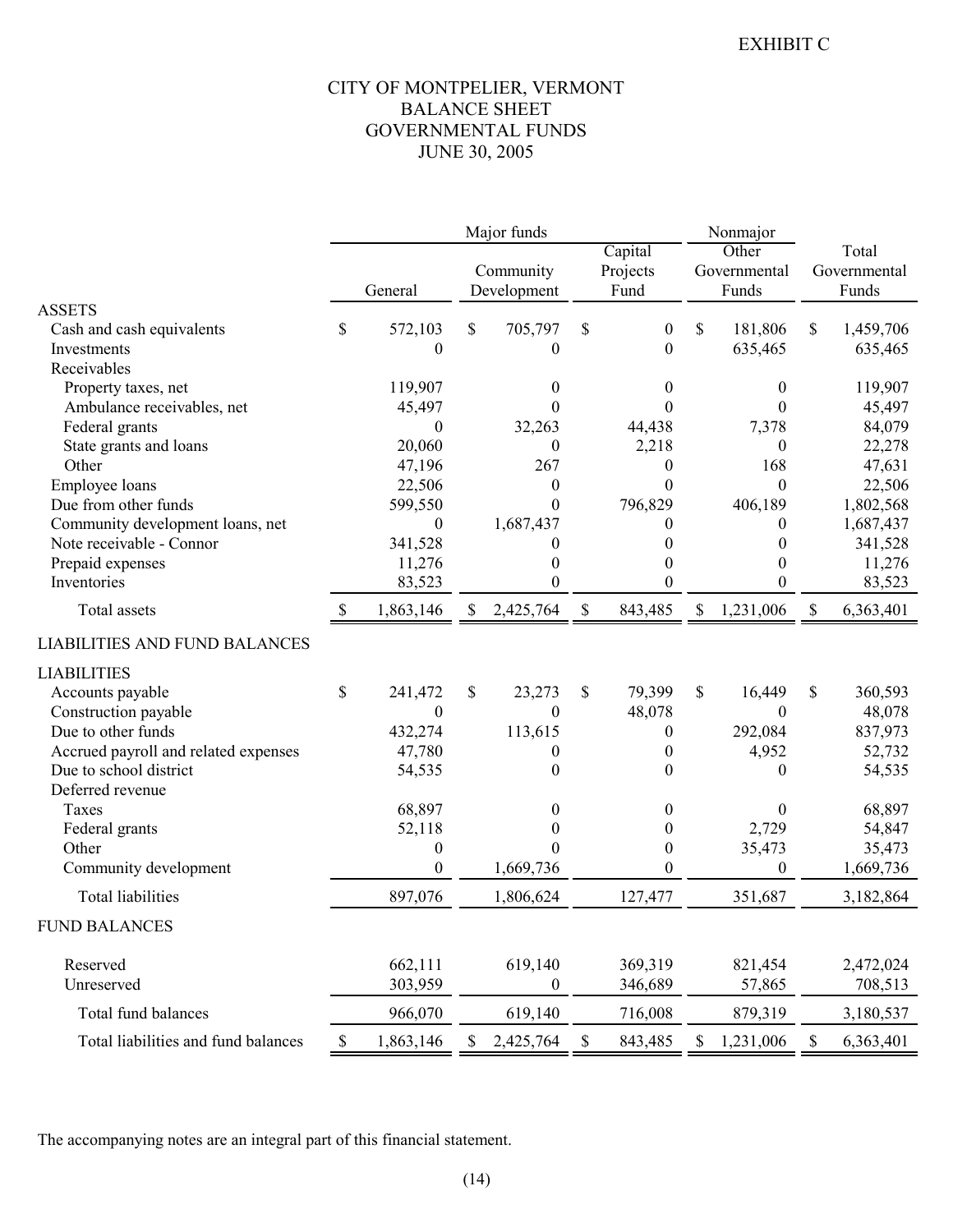## CITY OF MONTPELIER, VERMONT BALANCE SHEET GOVERNMENTAL FUNDS JUNE 30, 2005

|                                      |      |                  |    | Major funds              |                           |                             | Nonmajor                  |                                |                           |                                |
|--------------------------------------|------|------------------|----|--------------------------|---------------------------|-----------------------------|---------------------------|--------------------------------|---------------------------|--------------------------------|
|                                      |      | General          |    | Community<br>Development |                           | Capital<br>Projects<br>Fund |                           | Other<br>Governmental<br>Funds |                           | Total<br>Governmental<br>Funds |
| <b>ASSETS</b>                        |      |                  |    |                          |                           |                             |                           |                                |                           |                                |
| Cash and cash equivalents            | \$   | 572,103          | \$ | 705,797                  | \$                        | $\overline{0}$              | \$                        | 181,806                        | \$                        | 1,459,706                      |
| Investments                          |      | 0                |    | $\theta$                 |                           | $\boldsymbol{0}$            |                           | 635,465                        |                           | 635,465                        |
| Receivables                          |      |                  |    |                          |                           |                             |                           |                                |                           |                                |
| Property taxes, net                  |      | 119,907          |    | 0                        |                           | $\theta$                    |                           | $\boldsymbol{0}$               |                           | 119,907                        |
| Ambulance receivables, net           |      | 45,497           |    | $\theta$                 |                           | 0                           |                           | $\mathbf{0}$                   |                           | 45,497                         |
| Federal grants                       |      | $\boldsymbol{0}$ |    | 32,263                   |                           | 44,438                      |                           | 7,378                          |                           | 84,079                         |
| State grants and loans               |      | 20,060           |    | $\boldsymbol{0}$         |                           | 2,218                       |                           | $\mathbf{0}$                   |                           | 22,278                         |
| Other                                |      | 47,196           |    | 267                      |                           | $\theta$                    |                           | 168                            |                           | 47,631                         |
| Employee loans                       |      | 22,506           |    | $\theta$                 |                           | $\Omega$                    |                           | $\theta$                       |                           | 22,506                         |
| Due from other funds                 |      | 599,550          |    | $\mathbf{0}$             |                           | 796,829                     |                           | 406,189                        |                           | 1,802,568                      |
| Community development loans, net     |      | $\boldsymbol{0}$ |    | 1,687,437                |                           | 0                           |                           | $\overline{0}$                 |                           | 1,687,437                      |
| Note receivable - Connor             |      | 341,528          |    |                          |                           | $\mathbf{\Omega}$           |                           | $\theta$                       |                           | 341,528                        |
| Prepaid expenses                     |      | 11,276           |    | 0                        |                           | $_{0}$                      |                           | $\theta$                       |                           | 11,276                         |
| Inventories                          |      | 83,523           |    | $\theta$                 |                           | $\theta$                    |                           | $\theta$                       |                           | 83,523                         |
| Total assets                         | S    | 1,863,146        | S. | 2,425,764                | $\boldsymbol{\mathsf{S}}$ | 843,485                     | $\boldsymbol{\mathsf{S}}$ | 1,231,006                      | $\boldsymbol{\mathsf{S}}$ | 6,363,401                      |
| <b>LIABILITIES AND FUND BALANCES</b> |      |                  |    |                          |                           |                             |                           |                                |                           |                                |
| <b>LIABILITIES</b>                   |      |                  |    |                          |                           |                             |                           |                                |                           |                                |
| Accounts payable                     | \$   | 241,472          | \$ | 23,273                   | \$                        | 79,399                      | \$                        | 16,449                         | \$                        | 360,593                        |
| Construction payable                 |      | $\boldsymbol{0}$ |    | $\boldsymbol{0}$         |                           | 48,078                      |                           | $\theta$                       |                           | 48,078                         |
| Due to other funds                   |      | 432,274          |    | 113,615                  |                           | 0                           |                           | 292,084                        |                           | 837,973                        |
| Accrued payroll and related expenses |      | 47,780           |    | $\theta$                 |                           | 0                           |                           | 4,952                          |                           | 52,732                         |
| Due to school district               |      | 54,535           |    | $\theta$                 |                           | 0                           |                           | $\mathbf{0}$                   |                           | 54,535                         |
| Deferred revenue                     |      |                  |    |                          |                           |                             |                           |                                |                           |                                |
| Taxes                                |      | 68,897           |    | 0                        |                           | 0                           |                           | $\mathbf{0}$                   |                           | 68,897                         |
| Federal grants                       |      | 52,118           |    | 0                        |                           | 0                           |                           | 2,729                          |                           | 54,847                         |
| Other                                |      | 0                |    | $\Omega$                 |                           | $\boldsymbol{0}$            |                           | 35,473                         |                           | 35,473                         |
| Community development                |      | $\boldsymbol{0}$ |    | 1,669,736                |                           | $\theta$                    |                           | $\theta$                       |                           | 1,669,736                      |
| <b>Total liabilities</b>             |      | 897,076          |    | 1,806,624                |                           | 127,477                     |                           | 351,687                        |                           | 3,182,864                      |
| <b>FUND BALANCES</b>                 |      |                  |    |                          |                           |                             |                           |                                |                           |                                |
| Reserved                             |      | 662,111          |    | 619,140                  |                           | 369,319                     |                           | 821,454                        |                           | 2,472,024                      |
| Unreserved                           |      | 303,959          |    | $\boldsymbol{0}$         |                           | 346,689                     |                           | 57,865                         |                           | 708,513                        |
| Total fund balances                  |      | 966,070          |    | 619,140                  |                           | 716,008                     |                           | 879,319                        |                           | 3,180,537                      |
| Total liabilities and fund balances  | $\$$ | 1,863,146        | \$ | 2,425,764                | $\mathbb S$               | 843,485                     | $\mathbb{S}$              | 1,231,006                      | $\mathbb{S}$              | 6,363,401                      |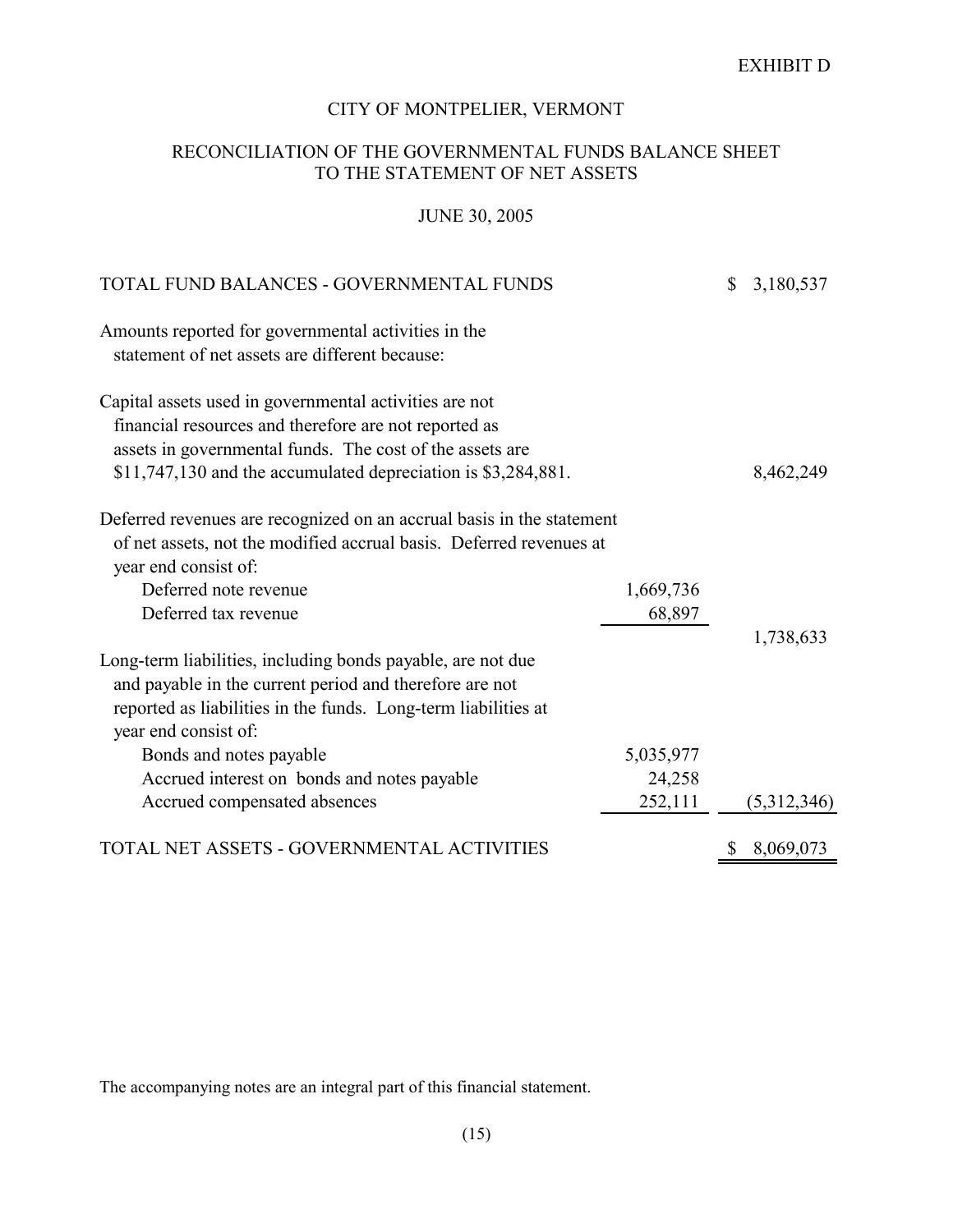## CITY OF MONTPELIER, VERMONT

## RECONCILIATION OF THE GOVERNMENTAL FUNDS BALANCE SHEET TO THE STATEMENT OF NET ASSETS

## JUNE 30, 2005

|         | \$                                         | 3,180,537   |
|---------|--------------------------------------------|-------------|
|         |                                            |             |
|         |                                            |             |
|         |                                            |             |
|         |                                            |             |
|         |                                            | 8,462,249   |
|         |                                            |             |
|         |                                            |             |
|         |                                            |             |
|         |                                            | 1,738,633   |
|         |                                            |             |
|         |                                            |             |
|         |                                            |             |
| 252,111 |                                            | (5,312,346) |
|         |                                            | 8,069,073   |
|         | 1,669,736<br>68,897<br>5,035,977<br>24,258 |             |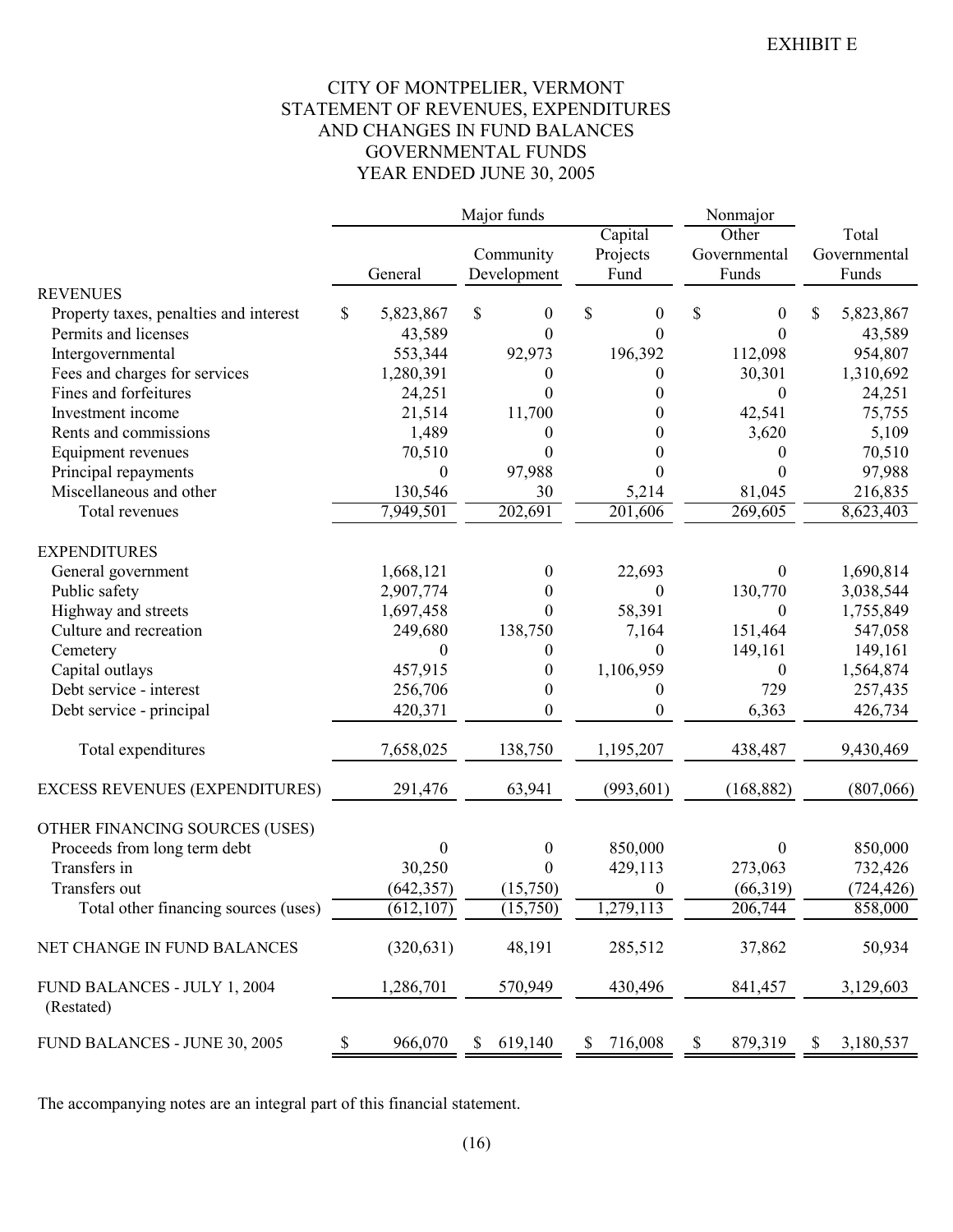## CITY OF MONTPELIER, VERMONT STATEMENT OF REVENUES, EXPENDITURES AND CHANGES IN FUND BALANCES GOVERNMENTAL FUNDS YEAR ENDED JUNE 30, 2005

|                                            |                 | Major funds             |                        | Nonmajor         |                 |
|--------------------------------------------|-----------------|-------------------------|------------------------|------------------|-----------------|
|                                            |                 |                         | Capital                | Other            | Total           |
|                                            |                 | Community               | Projects               | Governmental     | Governmental    |
|                                            | General         | Development             | Fund                   | Funds            | Funds           |
| <b>REVENUES</b>                            |                 |                         |                        |                  |                 |
| Property taxes, penalties and interest     | \$<br>5,823,867 | \$<br>$\boldsymbol{0}$  | \$<br>$\boldsymbol{0}$ | \$<br>0          | \$<br>5,823,867 |
| Permits and licenses                       | 43,589          | $\theta$                | 0                      | $\theta$         | 43,589          |
| Intergovernmental                          | 553,344         | 92,973                  | 196,392                | 112,098          | 954,807         |
| Fees and charges for services              | 1,280,391       | $\boldsymbol{0}$        | 0                      | 30,301           | 1,310,692       |
| Fines and forfeitures                      | 24,251          | $\theta$                | 0                      | 0                | 24,251          |
| Investment income                          | 21,514          | 11,700                  | 0                      | 42,541           | 75,755          |
| Rents and commissions                      | 1,489           | $\boldsymbol{0}$        | 0                      | 3,620            | 5,109           |
| Equipment revenues                         | 70,510          | $\theta$                | 0                      | 0                | 70,510          |
| Principal repayments                       | $\theta$        | 97,988                  | 0                      | 0                | 97,988          |
| Miscellaneous and other                    | 130,546         | 30                      | 5,214                  | 81,045           | 216,835         |
| Total revenues                             | 7,949,501       | 202,691                 | 201,606                | 269,605          | 8,623,403       |
| <b>EXPENDITURES</b>                        |                 |                         |                        |                  |                 |
| General government                         | 1,668,121       | $\boldsymbol{0}$        | 22,693                 | $\boldsymbol{0}$ | 1,690,814       |
| Public safety                              | 2,907,774       | $\overline{0}$          | $\boldsymbol{0}$       | 130,770          | 3,038,544       |
| Highway and streets                        | 1,697,458       | $\theta$                | 58,391                 | 0                | 1,755,849       |
| Culture and recreation                     | 249,680         | 138,750                 | 7,164                  | 151,464          | 547,058         |
| Cemetery                                   | $\theta$        | $\boldsymbol{0}$        | 0                      | 149,161          | 149,161         |
| Capital outlays                            | 457,915         | $\boldsymbol{0}$        | 1,106,959              | 0                | 1,564,874       |
| Debt service - interest                    | 256,706         | $\boldsymbol{0}$        | 0                      | 729              | 257,435         |
| Debt service - principal                   | 420,371         | $\boldsymbol{0}$        | 0                      | 6,363            | 426,734         |
|                                            |                 |                         |                        |                  |                 |
| Total expenditures                         | 7,658,025       | 138,750                 | 1,195,207              | 438,487          | 9,430,469       |
| EXCESS REVENUES (EXPENDITURES)             | 291,476         | 63,941                  | (993, 601)             | (168, 882)       | (807,066)       |
|                                            |                 |                         |                        |                  |                 |
| OTHER FINANCING SOURCES (USES)             |                 |                         |                        |                  |                 |
| Proceeds from long term debt               | $\theta$        | $\boldsymbol{0}$        | 850,000                | 0                | 850,000         |
| Transfers in                               | 30,250          | $\theta$                | 429,113                | 273,063          | 732,426         |
| Transfers out                              | (642, 357)      | (15,750)                | $\mathbf{0}$           | (66,319)         | (724, 426)      |
| Total other financing sources (uses)       | (612, 107)      | (15,750)                | 1,279,113              | 206,744          | 858,000         |
| NET CHANGE IN FUND BALANCES                | (320, 631)      | 48,191                  | 285,512                | 37,862           | 50,934          |
| FUND BALANCES - JULY 1, 2004<br>(Restated) | 1,286,701       | 570,949                 | 430,496                | 841,457          | 3,129,603       |
| FUND BALANCES - JUNE 30, 2005              | \$<br>966,070   | 619,140<br>$\mathbb{S}$ | 716,008<br>\$          | \$<br>879,319    | \$<br>3,180,537 |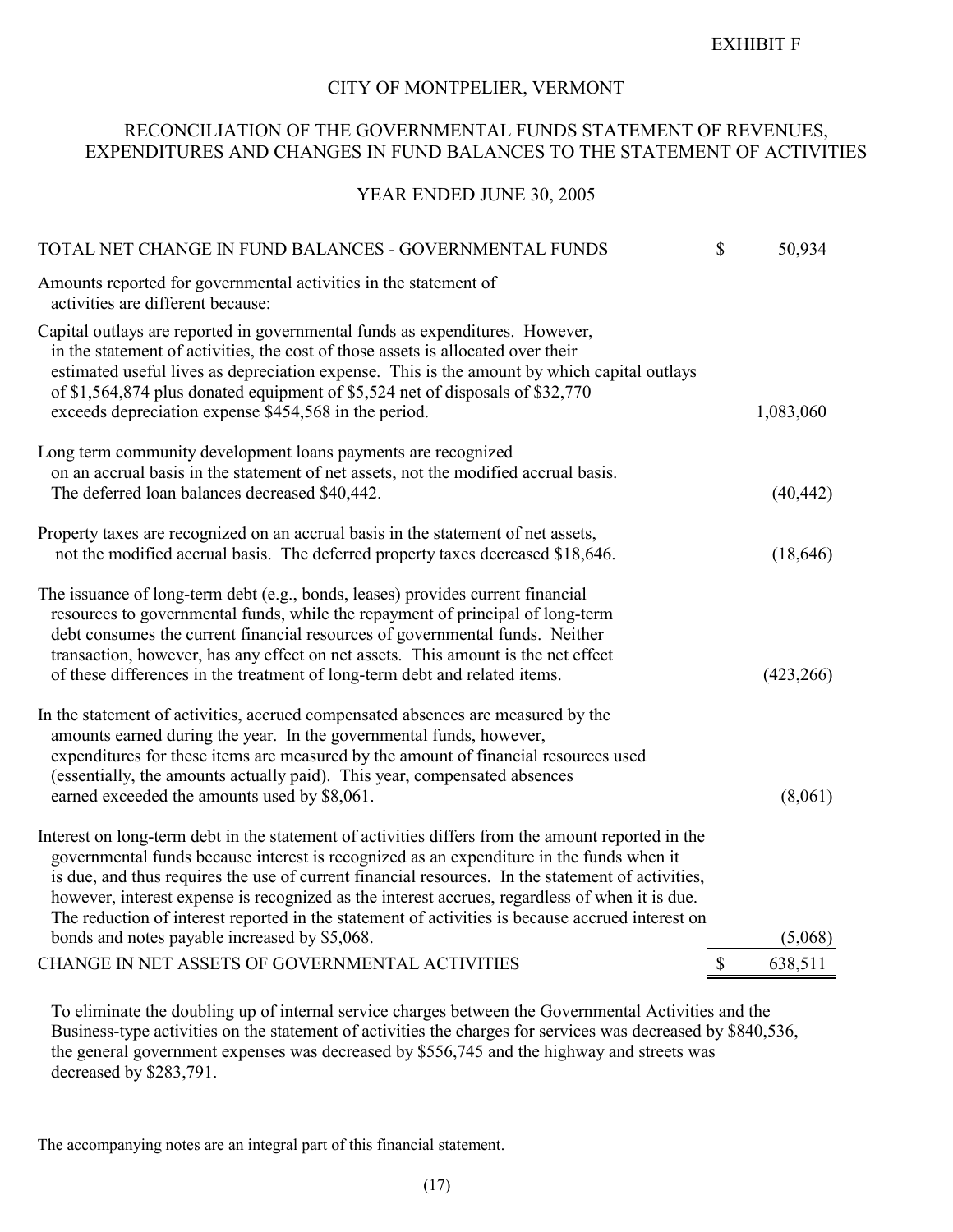#### EXHIBIT F

#### CITY OF MONTPELIER, VERMONT

## RECONCILIATION OF THE GOVERNMENTAL FUNDS STATEMENT OF REVENUES, EXPENDITURES AND CHANGES IN FUND BALANCES TO THE STATEMENT OF ACTIVITIES

#### YEAR ENDED JUNE 30, 2005

| Amounts reported for governmental activities in the statement of<br>activities are different because:<br>Capital outlays are reported in governmental funds as expenditures. However,<br>in the statement of activities, the cost of those assets is allocated over their<br>estimated useful lives as depreciation expense. This is the amount by which capital outlays<br>of \$1,564,874 plus donated equipment of \$5,524 net of disposals of \$32,770<br>exceeds depreciation expense \$454,568 in the period.<br>1,083,060<br>Long term community development loans payments are recognized<br>on an accrual basis in the statement of net assets, not the modified accrual basis.<br>The deferred loan balances decreased \$40,442.<br>Property taxes are recognized on an accrual basis in the statement of net assets,<br>not the modified accrual basis. The deferred property taxes decreased \$18,646.<br>The issuance of long-term debt (e.g., bonds, leases) provides current financial<br>resources to governmental funds, while the repayment of principal of long-term<br>debt consumes the current financial resources of governmental funds. Neither<br>transaction, however, has any effect on net assets. This amount is the net effect<br>of these differences in the treatment of long-term debt and related items.<br>In the statement of activities, accrued compensated absences are measured by the<br>amounts earned during the year. In the governmental funds, however,<br>expenditures for these items are measured by the amount of financial resources used<br>(essentially, the amounts actually paid). This year, compensated absences<br>earned exceeded the amounts used by \$8,061.<br>Interest on long-term debt in the statement of activities differs from the amount reported in the<br>governmental funds because interest is recognized as an expenditure in the funds when it<br>is due, and thus requires the use of current financial resources. In the statement of activities,<br>however, interest expense is recognized as the interest accrues, regardless of when it is due.<br>The reduction of interest reported in the statement of activities is because accrued interest on<br>bonds and notes payable increased by \$5,068.<br>(5,068)<br>CHANGE IN NET ASSETS OF GOVERNMENTAL ACTIVITIES<br>$\mathbb{S}$<br>638,511 | TOTAL NET CHANGE IN FUND BALANCES - GOVERNMENTAL FUNDS | \$<br>50,934 |
|--------------------------------------------------------------------------------------------------------------------------------------------------------------------------------------------------------------------------------------------------------------------------------------------------------------------------------------------------------------------------------------------------------------------------------------------------------------------------------------------------------------------------------------------------------------------------------------------------------------------------------------------------------------------------------------------------------------------------------------------------------------------------------------------------------------------------------------------------------------------------------------------------------------------------------------------------------------------------------------------------------------------------------------------------------------------------------------------------------------------------------------------------------------------------------------------------------------------------------------------------------------------------------------------------------------------------------------------------------------------------------------------------------------------------------------------------------------------------------------------------------------------------------------------------------------------------------------------------------------------------------------------------------------------------------------------------------------------------------------------------------------------------------------------------------------------------------------------------------------------------------------------------------------------------------------------------------------------------------------------------------------------------------------------------------------------------------------------------------------------------------------------------------------------------------------------------------------------------------------------------------------------------------------------------------------------------------------------------------------------------------|--------------------------------------------------------|--------------|
|                                                                                                                                                                                                                                                                                                                                                                                                                                                                                                                                                                                                                                                                                                                                                                                                                                                                                                                                                                                                                                                                                                                                                                                                                                                                                                                                                                                                                                                                                                                                                                                                                                                                                                                                                                                                                                                                                                                                                                                                                                                                                                                                                                                                                                                                                                                                                                                |                                                        |              |
|                                                                                                                                                                                                                                                                                                                                                                                                                                                                                                                                                                                                                                                                                                                                                                                                                                                                                                                                                                                                                                                                                                                                                                                                                                                                                                                                                                                                                                                                                                                                                                                                                                                                                                                                                                                                                                                                                                                                                                                                                                                                                                                                                                                                                                                                                                                                                                                |                                                        |              |
|                                                                                                                                                                                                                                                                                                                                                                                                                                                                                                                                                                                                                                                                                                                                                                                                                                                                                                                                                                                                                                                                                                                                                                                                                                                                                                                                                                                                                                                                                                                                                                                                                                                                                                                                                                                                                                                                                                                                                                                                                                                                                                                                                                                                                                                                                                                                                                                |                                                        | (40, 442)    |
|                                                                                                                                                                                                                                                                                                                                                                                                                                                                                                                                                                                                                                                                                                                                                                                                                                                                                                                                                                                                                                                                                                                                                                                                                                                                                                                                                                                                                                                                                                                                                                                                                                                                                                                                                                                                                                                                                                                                                                                                                                                                                                                                                                                                                                                                                                                                                                                |                                                        | (18, 646)    |
|                                                                                                                                                                                                                                                                                                                                                                                                                                                                                                                                                                                                                                                                                                                                                                                                                                                                                                                                                                                                                                                                                                                                                                                                                                                                                                                                                                                                                                                                                                                                                                                                                                                                                                                                                                                                                                                                                                                                                                                                                                                                                                                                                                                                                                                                                                                                                                                |                                                        | (423, 266)   |
|                                                                                                                                                                                                                                                                                                                                                                                                                                                                                                                                                                                                                                                                                                                                                                                                                                                                                                                                                                                                                                                                                                                                                                                                                                                                                                                                                                                                                                                                                                                                                                                                                                                                                                                                                                                                                                                                                                                                                                                                                                                                                                                                                                                                                                                                                                                                                                                |                                                        | (8,061)      |
|                                                                                                                                                                                                                                                                                                                                                                                                                                                                                                                                                                                                                                                                                                                                                                                                                                                                                                                                                                                                                                                                                                                                                                                                                                                                                                                                                                                                                                                                                                                                                                                                                                                                                                                                                                                                                                                                                                                                                                                                                                                                                                                                                                                                                                                                                                                                                                                |                                                        |              |
|                                                                                                                                                                                                                                                                                                                                                                                                                                                                                                                                                                                                                                                                                                                                                                                                                                                                                                                                                                                                                                                                                                                                                                                                                                                                                                                                                                                                                                                                                                                                                                                                                                                                                                                                                                                                                                                                                                                                                                                                                                                                                                                                                                                                                                                                                                                                                                                |                                                        |              |

To eliminate the doubling up of internal service charges between the Governmental Activities and the Business-type activities on the statement of activities the charges for services was decreased by \$840,536, the general government expenses was decreased by \$556,745 and the highway and streets was decreased by \$283,791.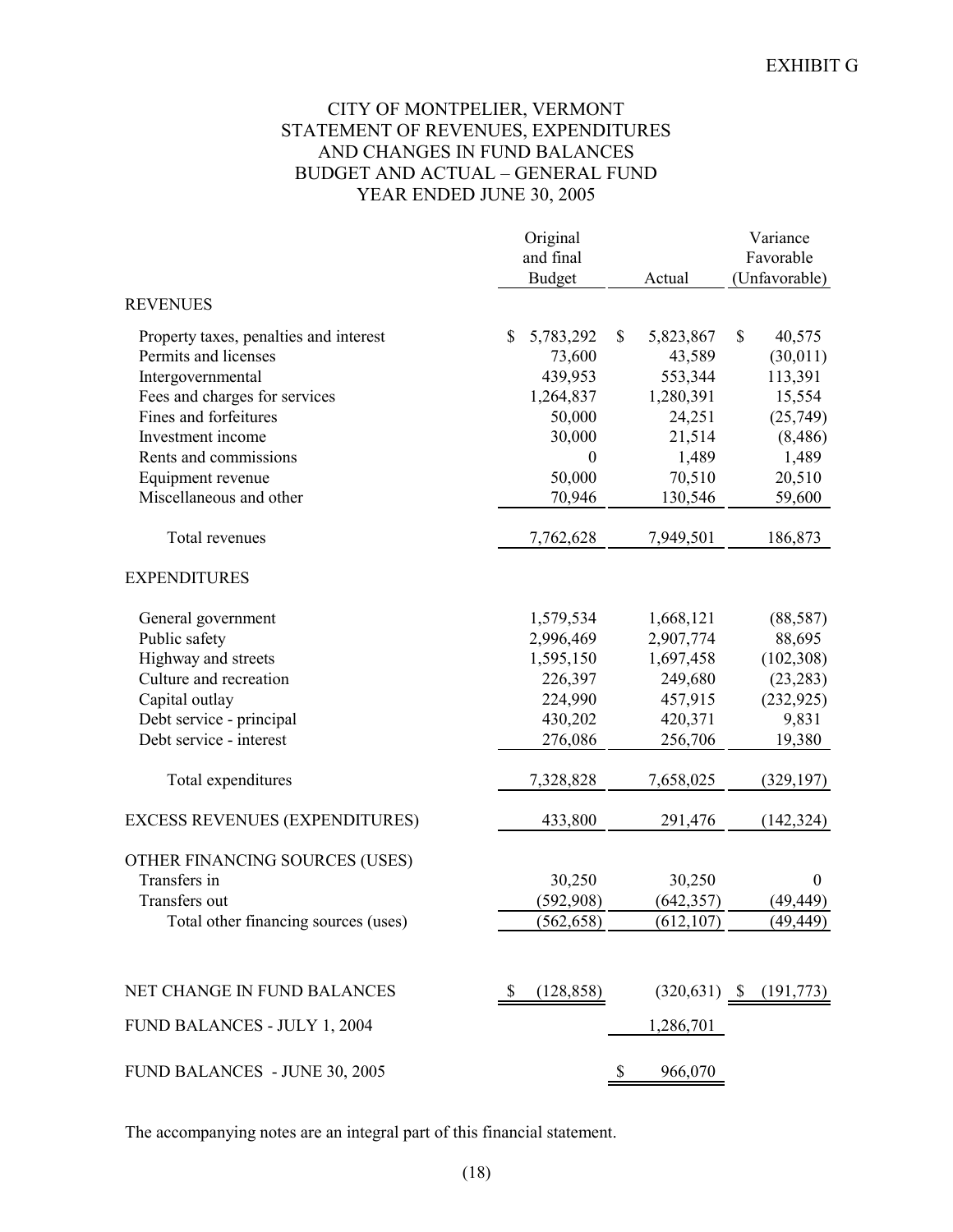## CITY OF MONTPELIER, VERMONT STATEMENT OF REVENUES, EXPENDITURES AND CHANGES IN FUND BALANCES BUDGET AND ACTUAL – GENERAL FUND YEAR ENDED JUNE 30, 2005

|                                                                | Original<br>and final<br><b>Budget</b> | Actual                    | Variance<br>Favorable<br>(Unfavorable) |
|----------------------------------------------------------------|----------------------------------------|---------------------------|----------------------------------------|
| <b>REVENUES</b>                                                |                                        |                           |                                        |
| Property taxes, penalties and interest<br>Permits and licenses | \$<br>5,783,292<br>73,600              | \$<br>5,823,867<br>43,589 | \$<br>40,575<br>(30, 011)              |
| Intergovernmental                                              | 439,953                                | 553,344                   | 113,391                                |
| Fees and charges for services                                  | 1,264,837                              | 1,280,391                 | 15,554                                 |
| Fines and forfeitures                                          | 50,000                                 | 24,251                    | (25,749)                               |
| Investment income                                              | 30,000                                 | 21,514                    | (8, 486)                               |
| Rents and commissions                                          | $\boldsymbol{0}$                       | 1,489                     | 1,489                                  |
| Equipment revenue                                              | 50,000                                 | 70,510                    | 20,510                                 |
| Miscellaneous and other                                        | 70,946                                 | 130,546                   | 59,600                                 |
| Total revenues                                                 | 7,762,628                              | 7,949,501                 | 186,873                                |
| <b>EXPENDITURES</b>                                            |                                        |                           |                                        |
| General government                                             | 1,579,534                              | 1,668,121                 | (88, 587)                              |
| Public safety                                                  | 2,996,469                              | 2,907,774                 | 88,695                                 |
| Highway and streets                                            | 1,595,150                              | 1,697,458                 | (102, 308)                             |
| Culture and recreation                                         | 226,397                                | 249,680                   | (23, 283)                              |
| Capital outlay                                                 | 224,990                                | 457,915                   | (232, 925)                             |
| Debt service - principal                                       | 430,202                                | 420,371                   | 9,831                                  |
| Debt service - interest                                        | 276,086                                | 256,706                   | 19,380                                 |
| Total expenditures                                             | 7,328,828                              | 7,658,025                 | (329, 197)                             |
| <b>EXCESS REVENUES (EXPENDITURES)</b>                          | 433,800                                | 291,476                   | (142, 324)                             |
| OTHER FINANCING SOURCES (USES)                                 |                                        |                           |                                        |
| Transfers in                                                   | 30,250                                 | 30,250                    | $\boldsymbol{0}$                       |
| Transfers out                                                  | (592, 908)                             | (642, 357)                | (49, 449)                              |
| Total other financing sources (uses)                           | (562, 658)                             | (612, 107)                | (49, 449)                              |
|                                                                |                                        |                           |                                        |
| NET CHANGE IN FUND BALANCES                                    | (128, 858)<br>-S                       |                           | $(320,631)$ \$ $(191,773)$             |
| FUND BALANCES - JULY 1, 2004                                   |                                        | 1,286,701                 |                                        |
| FUND BALANCES - JUNE 30, 2005                                  |                                        | \$<br>966,070             |                                        |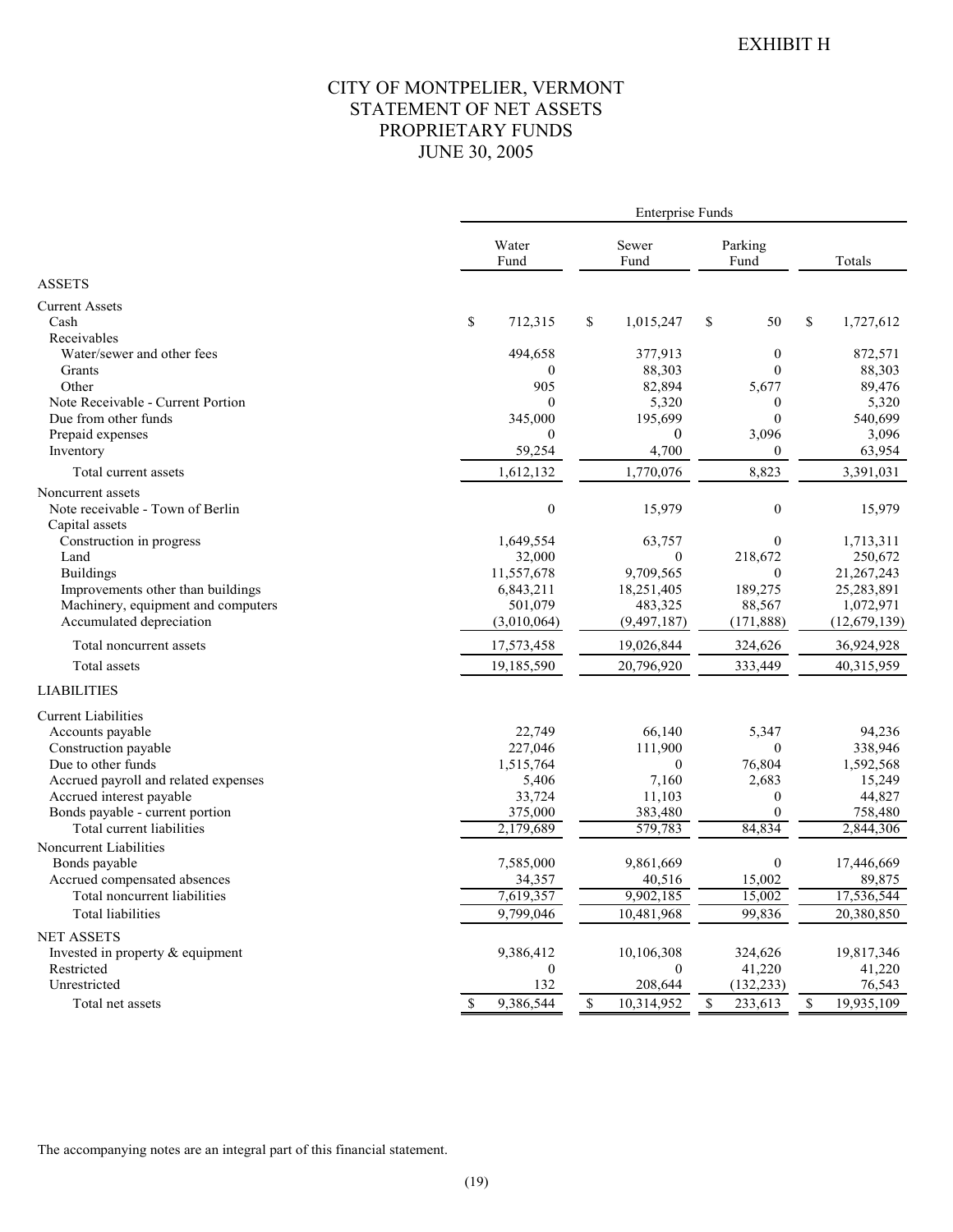## CITY OF MONTPELIER, VERMONT STATEMENT OF NET ASSETS PROPRIETARY FUNDS JUNE 30, 2005

|                                                                                          |                                | <b>Enterprise Funds</b>      |                                |                                |
|------------------------------------------------------------------------------------------|--------------------------------|------------------------------|--------------------------------|--------------------------------|
|                                                                                          | Water<br>Fund                  | Sewer<br>Fund                | Parking<br>Fund                | Totals                         |
| <b>ASSETS</b>                                                                            |                                |                              |                                |                                |
| <b>Current Assets</b><br>Cash<br>Receivables                                             | $\mathbb{S}$<br>712,315        | \$<br>1,015,247              | \$<br>50                       | \$<br>1,727,612                |
| Water/sewer and other fees<br>Grants                                                     | 494,658<br>$\mathbf{0}$        | 377,913<br>88,303            | $\theta$<br>$\theta$           | 872,571<br>88,303              |
| Other<br>Note Receivable - Current Portion                                               | 905<br>$\theta$                | 82,894<br>5,320              | 5,677<br>$\mathbf{0}$          | 89,476<br>5,320                |
| Due from other funds<br>Prepaid expenses                                                 | 345,000<br>$\mathbf{0}$        | 195,699<br>$\theta$          | $\mathbf{0}$<br>3,096          | 540,699<br>3,096               |
| Inventory<br>Total current assets                                                        | 59,254<br>1,612,132            | 4,700<br>1,770,076           | $\mathbf{0}$<br>8,823          | 63,954<br>3,391,031            |
| Noncurrent assets<br>Note receivable - Town of Berlin                                    | $\boldsymbol{0}$               | 15,979                       | $\boldsymbol{0}$               | 15,979                         |
| Capital assets<br>Construction in progress<br>Land                                       | 1,649,554<br>32,000            | 63,757<br>$\boldsymbol{0}$   | $\theta$<br>218,672            | 1,713,311<br>250,672           |
| <b>Buildings</b><br>Improvements other than buildings                                    | 11,557,678<br>6,843,211        | 9,709,565<br>18,251,405      | $\theta$<br>189,275            | 21,267,243<br>25,283,891       |
| Machinery, equipment and computers<br>Accumulated depreciation                           | 501,079<br>(3,010,064)         | 483,325<br>(9, 497, 187)     | 88,567<br>(171, 888)           | 1,072,971<br>(12,679,139)      |
| Total noncurrent assets                                                                  | 17,573,458                     | 19,026,844                   | 324,626                        | 36,924,928                     |
| Total assets                                                                             | 19,185,590                     | 20,796,920                   | 333,449                        | 40,315,959                     |
| <b>LIABILITIES</b>                                                                       |                                |                              |                                |                                |
| <b>Current Liabilities</b><br>Accounts payable<br>Construction payable                   | 22,749<br>227,046              | 66,140<br>111,900            | 5,347<br>$\theta$              | 94,236<br>338,946              |
| Due to other funds<br>Accrued payroll and related expenses                               | 1,515,764<br>5,406             | $\boldsymbol{0}$<br>7,160    | 76,804<br>2,683                | 1,592,568<br>15,249            |
| Accrued interest payable<br>Bonds payable - current portion<br>Total current liabilities | 33,724<br>375,000<br>2,179,689 | 11,103<br>383,480<br>579,783 | $\theta$<br>$\Omega$<br>84,834 | 44,827<br>758,480<br>2,844,306 |
| Noncurrent Liabilities                                                                   |                                |                              |                                |                                |
| Bonds payable<br>Accrued compensated absences                                            | 7,585,000<br>34,357            | 9,861,669<br>40,516          | $\boldsymbol{0}$<br>15,002     | 17,446,669<br>89,875           |
| Total noncurrent liabilities<br>Total liabilities                                        | 7,619,357<br>9,799,046         | 9,902,185<br>10,481,968      | 15,002<br>99,836               | 17,536,544<br>20,380,850       |
| <b>NET ASSETS</b><br>Invested in property & equipment<br>Restricted                      | 9,386,412<br>$\mathbf{0}$      | 10,106,308<br>$\theta$       | 324,626<br>41,220              | 19,817,346<br>41,220           |
| Unrestricted                                                                             | 132                            | 208,644                      | (132, 233)                     | 76,543                         |
| Total net assets                                                                         | 9,386,544<br>\$                | \$<br>10,314,952             | \$<br>233,613                  | $\mathcal{S}$<br>19,935,109    |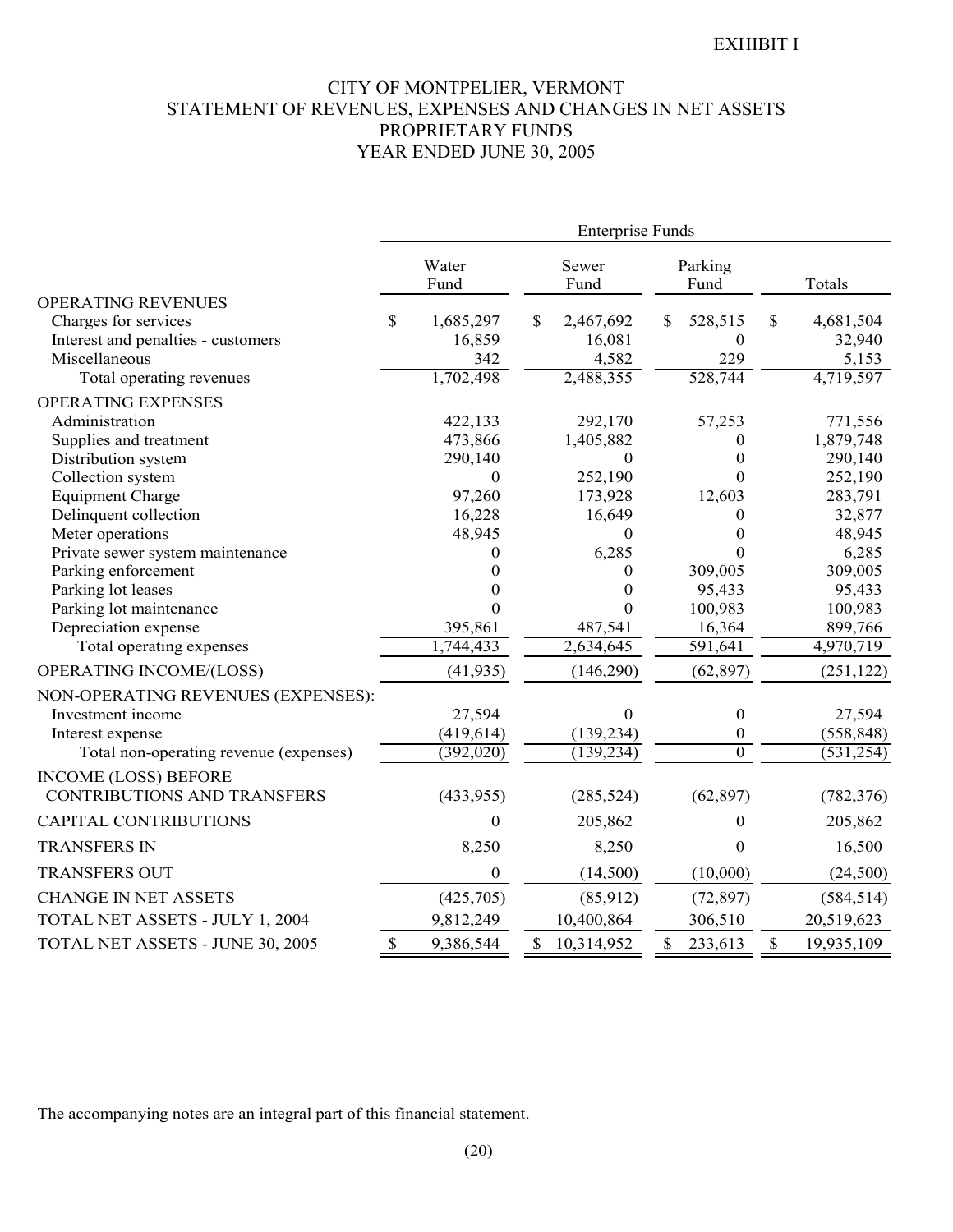## CITY OF MONTPELIER, VERMONT STATEMENT OF REVENUES, EXPENSES AND CHANGES IN NET ASSETS PROPRIETARY FUNDS YEAR ENDED JUNE 30, 2005

|                                        | <b>Enterprise Funds</b> |                  |    |                  |              |                  |    |            |
|----------------------------------------|-------------------------|------------------|----|------------------|--------------|------------------|----|------------|
|                                        |                         | Water<br>Fund    |    | Sewer<br>Fund    |              | Parking<br>Fund  |    | Totals     |
| <b>OPERATING REVENUES</b>              |                         |                  |    |                  |              |                  |    |            |
| Charges for services                   | \$                      | 1,685,297        | \$ | 2,467,692        | \$           | 528,515          | \$ | 4,681,504  |
| Interest and penalties - customers     |                         | 16,859           |    | 16,081           |              | $\theta$         |    | 32,940     |
| Miscellaneous                          |                         | 342              |    | 4,582            |              | 229              |    | 5,153      |
| Total operating revenues               |                         | 1,702,498        |    | 2,488,355        |              | 528,744          |    | 4,719,597  |
| <b>OPERATING EXPENSES</b>              |                         |                  |    |                  |              |                  |    |            |
| Administration                         |                         | 422,133          |    | 292,170          |              | 57,253           |    | 771,556    |
| Supplies and treatment                 |                         | 473,866          |    | 1,405,882        |              | 0                |    | 1,879,748  |
| Distribution system                    |                         | 290,140          |    | $\boldsymbol{0}$ |              | $\overline{0}$   |    | 290,140    |
| Collection system                      |                         | $\boldsymbol{0}$ |    | 252,190          |              | $\Omega$         |    | 252,190    |
| <b>Equipment Charge</b>                |                         | 97,260           |    | 173,928          |              | 12,603           |    | 283,791    |
| Delinquent collection                  |                         | 16,228           |    | 16,649           |              | $\overline{0}$   |    | 32,877     |
| Meter operations                       |                         | 48,945           |    | 0                |              | $\theta$         |    | 48,945     |
| Private sewer system maintenance       |                         | $\theta$         |    | 6,285            |              | $\Omega$         |    | 6,285      |
| Parking enforcement                    |                         | $\Omega$         |    | 0                |              | 309,005          |    | 309,005    |
| Parking lot leases                     |                         | 0                |    | $\theta$         |              | 95,433           |    | 95,433     |
| Parking lot maintenance                |                         | $\Omega$         |    | 0                |              | 100,983          |    | 100,983    |
| Depreciation expense                   |                         | 395,861          |    | 487,541          |              | 16,364           |    | 899,766    |
| Total operating expenses               |                         | 1,744,433        |    | 2,634,645        |              | 591,641          |    | 4,970,719  |
| OPERATING INCOME/(LOSS)                |                         | (41, 935)        |    | (146, 290)       |              | (62, 897)        |    | (251, 122) |
| NON-OPERATING REVENUES (EXPENSES):     |                         |                  |    |                  |              |                  |    |            |
| Investment income                      |                         | 27,594           |    | $\boldsymbol{0}$ |              | $\boldsymbol{0}$ |    | 27,594     |
| Interest expense                       |                         | (419, 614)       |    | (139, 234)       |              | $\boldsymbol{0}$ |    | (558, 848) |
| Total non-operating revenue (expenses) |                         | (392, 020)       |    | (139, 234)       |              | $\overline{0}$   |    | (531, 254) |
| <b>INCOME (LOSS) BEFORE</b>            |                         |                  |    |                  |              |                  |    |            |
| <b>CONTRIBUTIONS AND TRANSFERS</b>     |                         | (433, 955)       |    | (285, 524)       |              | (62, 897)        |    | (782, 376) |
| <b>CAPITAL CONTRIBUTIONS</b>           |                         | $\theta$         |    | 205,862          |              | $\theta$         |    | 205,862    |
| <b>TRANSFERS IN</b>                    |                         | 8,250            |    | 8,250            |              | $\mathbf{0}$     |    | 16,500     |
| <b>TRANSFERS OUT</b>                   |                         | $\boldsymbol{0}$ |    | (14,500)         |              | (10,000)         |    | (24, 500)  |
| <b>CHANGE IN NET ASSETS</b>            |                         | (425,705)        |    | (85, 912)        |              | (72, 897)        |    | (584, 514) |
| TOTAL NET ASSETS - JULY 1, 2004        |                         | 9,812,249        |    | 10,400,864       |              | 306,510          |    | 20,519,623 |
| TOTAL NET ASSETS - JUNE 30, 2005       | \$                      | 9,386,544        |    | \$10,314,952     | $\mathbb{S}$ | 233,613          | \$ | 19,935,109 |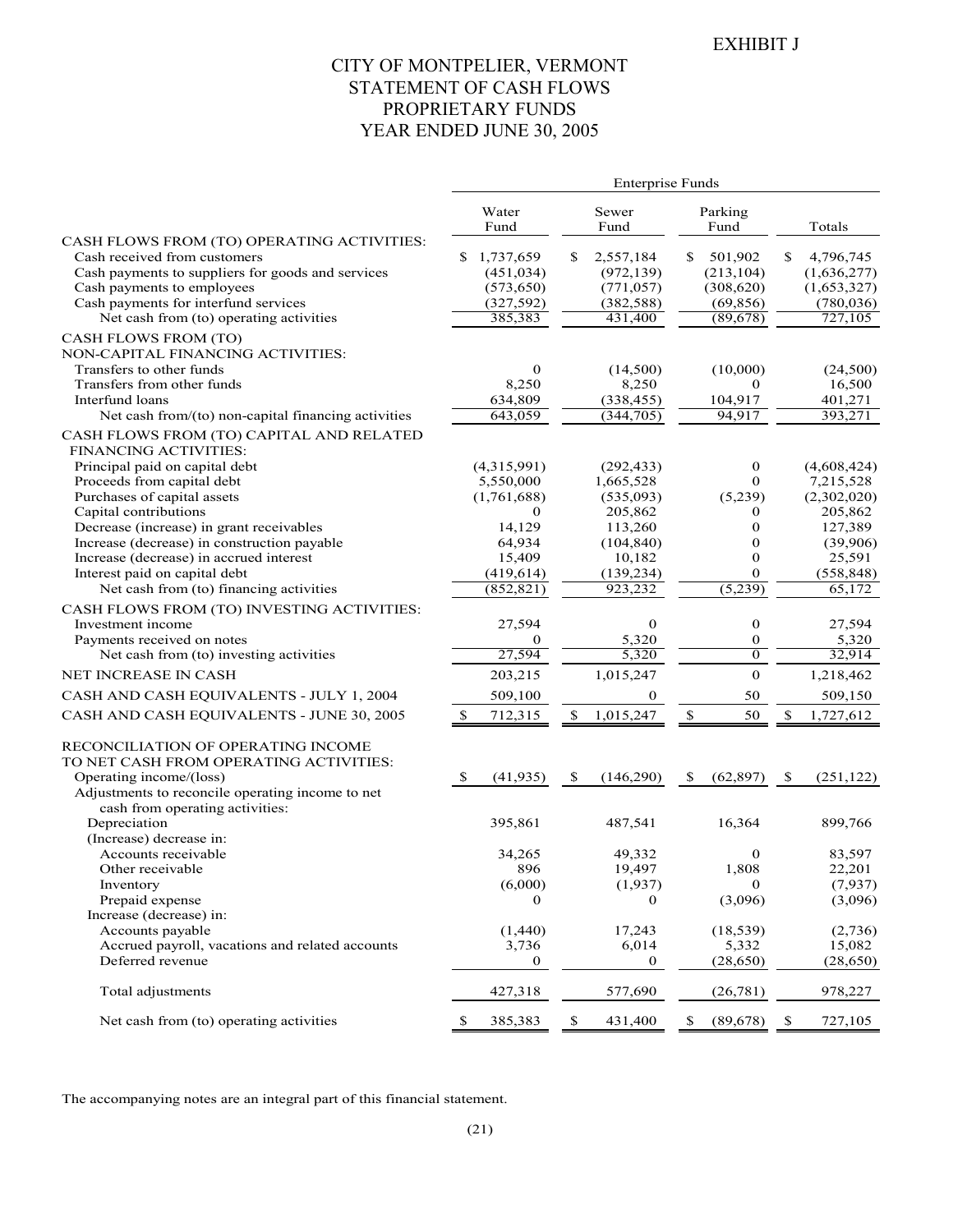## CITY OF MONTPELIER, VERMONT STATEMENT OF CASH FLOWS PROPRIETARY FUNDS YEAR ENDED JUNE 30, 2005

|                                                                    |    |                       |    | <b>Enterprise Funds</b> |    |                        |    |                       |
|--------------------------------------------------------------------|----|-----------------------|----|-------------------------|----|------------------------|----|-----------------------|
|                                                                    |    | Water<br>Fund         |    | Sewer<br>Fund           |    | Parking<br>Fund        |    | Totals                |
| CASH FLOWS FROM (TO) OPERATING ACTIVITIES:                         |    |                       |    |                         |    |                        |    |                       |
| Cash received from customers                                       | S  | 1,737,659             | S. | 2,557,184               | S. | 501,902                | S. | 4,796,745             |
| Cash payments to suppliers for goods and services                  |    | (451, 034)            |    | (972, 139)              |    | (213, 104)             |    | (1,636,277)           |
| Cash payments to employees<br>Cash payments for interfund services |    | (573, 650)            |    | (771, 057)              |    | (308, 620)             |    | (1,653,327)           |
| Net cash from (to) operating activities                            |    | (327, 592)<br>385,383 |    | (382, 588)<br>431,400   |    | (69, 856)<br>(89, 678) |    | (780, 036)<br>727,105 |
| CASH FLOWS FROM (TO)                                               |    |                       |    |                         |    |                        |    |                       |
| NON-CAPITAL FINANCING ACTIVITIES:                                  |    |                       |    |                         |    |                        |    |                       |
| Transfers to other funds                                           |    | $\mathbf{0}$          |    | (14,500)                |    | (10,000)               |    | (24,500)              |
| Transfers from other funds                                         |    | 8,250                 |    | 8,250                   |    | $\mathbf{0}$           |    | 16,500                |
| Interfund loans                                                    |    | 634,809               |    | (338, 455)              |    | 104,917                |    | 401,271               |
| Net cash from/(to) non-capital financing activities                |    | 643,059               |    | (344, 705)              |    | 94,917                 |    | 393,271               |
| CASH FLOWS FROM (TO) CAPITAL AND RELATED                           |    |                       |    |                         |    |                        |    |                       |
| <b>FINANCING ACTIVITIES:</b>                                       |    |                       |    |                         |    |                        |    |                       |
| Principal paid on capital debt                                     |    | (4,315,991)           |    | (292, 433)              |    | 0<br>$\Omega$          |    | (4,608,424)           |
| Proceeds from capital debt<br>Purchases of capital assets          |    | 5,550,000             |    | 1,665,528               |    |                        |    | 7,215,528             |
|                                                                    |    | (1,761,688)           |    | (535,093)               |    | (5,239)                |    | (2,302,020)           |
| Capital contributions<br>Decrease (increase) in grant receivables  |    | 0<br>14,129           |    | 205,862<br>113,260      |    | 0<br>$\mathbf{0}$      |    | 205,862<br>127,389    |
| Increase (decrease) in construction payable                        |    | 64,934                |    | (104, 840)              |    | $\boldsymbol{0}$       |    | (39,906)              |
| Increase (decrease) in accrued interest                            |    | 15,409                |    | 10,182                  |    | $\mathbf{0}$           |    | 25,591                |
| Interest paid on capital debt                                      |    | (419, 614)            |    | (139, 234)              |    | $\mathbf{0}$           |    | (558, 848)            |
| Net cash from (to) financing activities                            |    | (852, 821)            |    | 923,232                 |    | (5,239)                |    | 65,172                |
| CASH FLOWS FROM (TO) INVESTING ACTIVITIES:                         |    |                       |    |                         |    |                        |    |                       |
| Investment income                                                  |    | 27,594                |    | $\bf{0}$                |    | $\boldsymbol{0}$       |    | 27,594                |
| Payments received on notes                                         |    | 0                     |    | 5,320                   |    | $\bf{0}$               |    | 5,320                 |
| Net cash from (to) investing activities                            |    | 27,594                |    | 5,320                   |    | $\overline{0}$         |    | 32,914                |
| NET INCREASE IN CASH                                               |    | 203,215               |    | 1,015,247               |    | $\mathbf{0}$           |    | 1,218,462             |
| CASH AND CASH EQUIVALENTS - JULY 1, 2004                           |    | 509,100               |    | 0                       |    | 50                     |    | 509,150               |
| CASH AND CASH EQUIVALENTS - JUNE 30, 2005                          | S. | 712,315               | S  | 1,015,247               | \$ | 50                     | \$ | 1,727,612             |
| RECONCILIATION OF OPERATING INCOME                                 |    |                       |    |                         |    |                        |    |                       |
| TO NET CASH FROM OPERATING ACTIVITIES:                             |    |                       |    |                         |    |                        |    |                       |
| Operating income/(loss)                                            | -S | (41, 935)             | \$ | (146,290)               | S  | (62, 897)              | \$ | (251, 122)            |
| Adjustments to reconcile operating income to net                   |    |                       |    |                         |    |                        |    |                       |
| cash from operating activities:                                    |    |                       |    |                         |    |                        |    |                       |
| Depreciation                                                       |    | 395,861               |    | 487,541                 |    | 16,364                 |    | 899,766               |
| (Increase) decrease in:<br>Accounts receivable                     |    | 34,265                |    | 49,332                  |    | $\bf{0}$               |    | 83,597                |
| Other receivable                                                   |    | 896                   |    | 19,497                  |    | 1,808                  |    |                       |
| Inventory                                                          |    | (6,000)               |    | (1,937)                 |    | $\mathbf{0}$           |    | 22,201<br>(7,937)     |
| Prepaid expense                                                    |    | $\theta$              |    | $\mathbf{0}$            |    | (3,096)                |    | (3,096)               |
| Increase (decrease) in:                                            |    |                       |    |                         |    |                        |    |                       |
| Accounts payable                                                   |    | (1,440)               |    | 17,243                  |    | (18, 539)              |    | (2,736)               |
| Accrued payroll, vacations and related accounts                    |    | 3,736                 |    | 6,014                   |    | 5,332                  |    | 15,082                |
| Deferred revenue                                                   |    | 0                     |    | 0                       |    | (28, 650)              |    | (28, 650)             |
| Total adjustments                                                  |    | 427,318               |    | 577,690                 |    | (26, 781)              |    | 978,227               |
| Net cash from (to) operating activities                            | \$ | 385,383               | \$ | 431,400                 | \$ | (89, 678)              | \$ | 727,105               |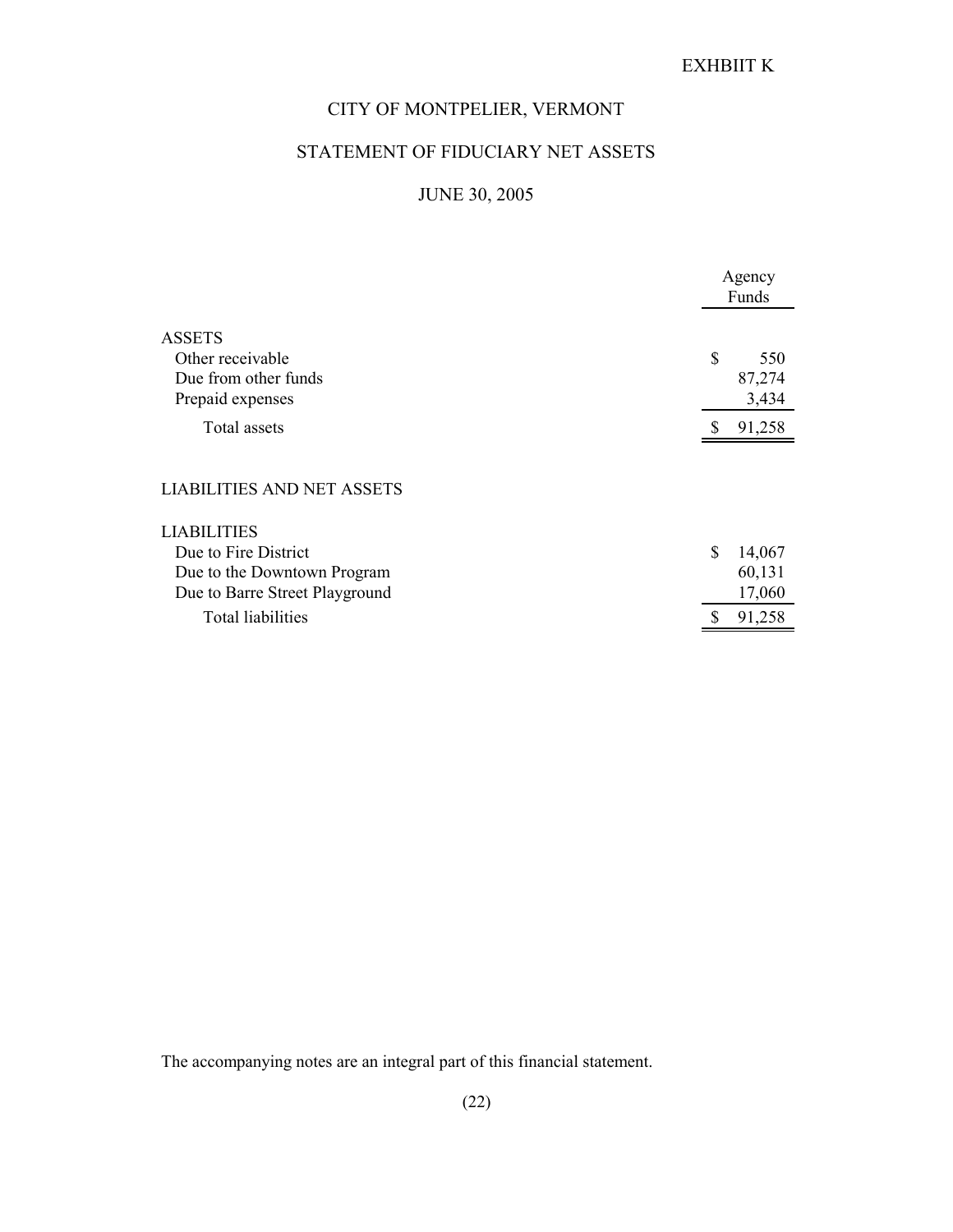# EXHBIIT K

## CITY OF MONTPELIER, VERMONT

# STATEMENT OF FIDUCIARY NET ASSETS

# JUNE 30, 2005

|                                                                               | Agency<br>Funds              |
|-------------------------------------------------------------------------------|------------------------------|
| <b>ASSETS</b><br>Other receivable<br>Due from other funds<br>Prepaid expenses | \$<br>550<br>87,274<br>3,434 |
| Total assets                                                                  | 91,258                       |
| <b>LIABILITIES AND NET ASSETS</b>                                             |                              |
| LIABILITIES                                                                   |                              |
| Due to Fire District                                                          | \$<br>14,067                 |
| Due to the Downtown Program                                                   | 60,131                       |
| Due to Barre Street Playground                                                | 17,060                       |
| <b>Total liabilities</b>                                                      | 91,258                       |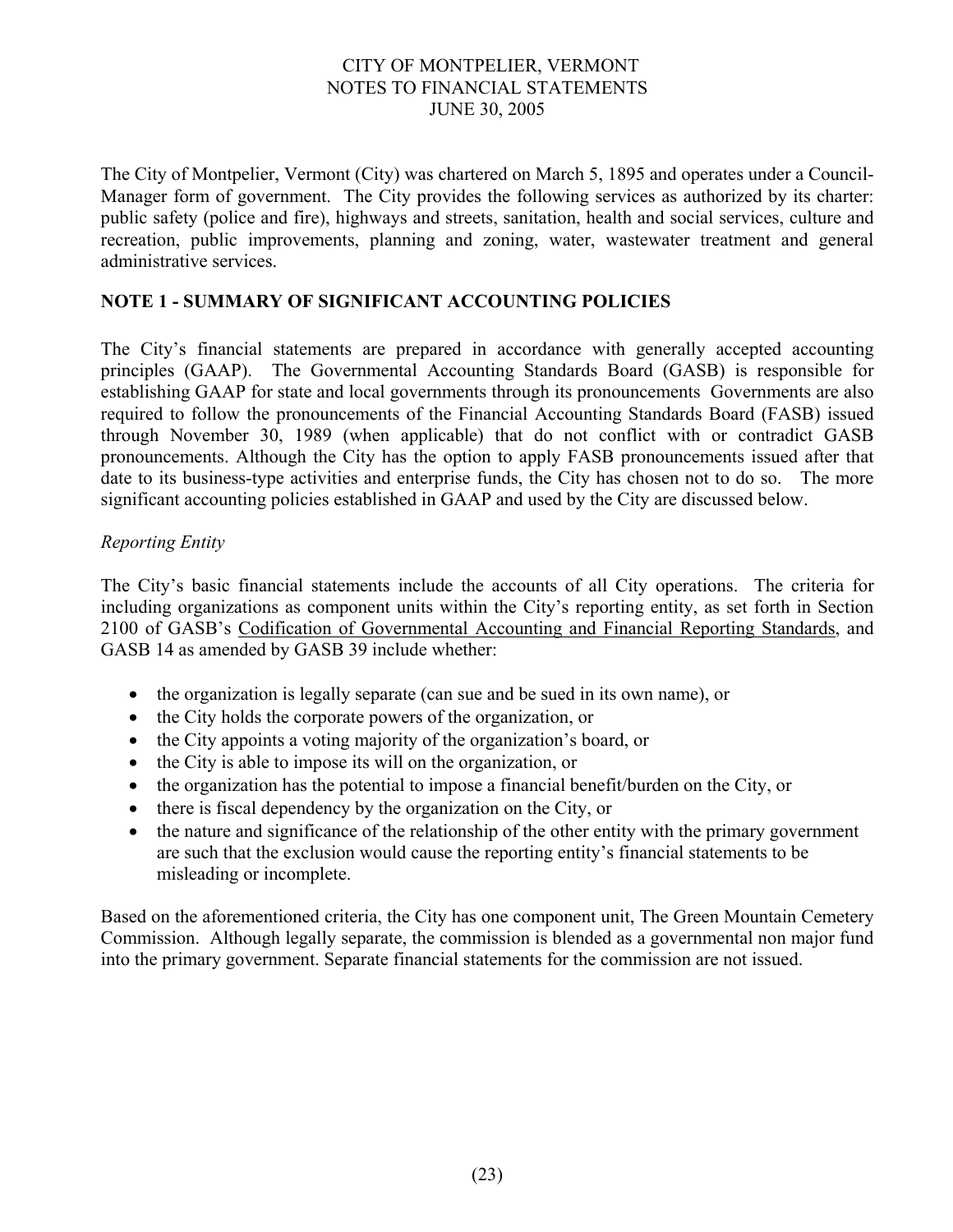The City of Montpelier, Vermont (City) was chartered on March 5, 1895 and operates under a Council-Manager form of government. The City provides the following services as authorized by its charter: public safety (police and fire), highways and streets, sanitation, health and social services, culture and recreation, public improvements, planning and zoning, water, wastewater treatment and general administrative services.

## **NOTE 1 - SUMMARY OF SIGNIFICANT ACCOUNTING POLICIES**

The City's financial statements are prepared in accordance with generally accepted accounting principles (GAAP). The Governmental Accounting Standards Board (GASB) is responsible for establishing GAAP for state and local governments through its pronouncements Governments are also required to follow the pronouncements of the Financial Accounting Standards Board (FASB) issued through November 30, 1989 (when applicable) that do not conflict with or contradict GASB pronouncements. Although the City has the option to apply FASB pronouncements issued after that date to its business-type activities and enterprise funds, the City has chosen not to do so. The more significant accounting policies established in GAAP and used by the City are discussed below.

## *Reporting Entity*

The City's basic financial statements include the accounts of all City operations. The criteria for including organizations as component units within the City's reporting entity, as set forth in Section 2100 of GASB's Codification of Governmental Accounting and Financial Reporting Standards, and GASB 14 as amended by GASB 39 include whether:

- the organization is legally separate (can sue and be sued in its own name), or
- the City holds the corporate powers of the organization, or
- the City appoints a voting majority of the organization's board, or
- the City is able to impose its will on the organization, or
- the organization has the potential to impose a financial benefit/burden on the City, or
- there is fiscal dependency by the organization on the City, or
- the nature and significance of the relationship of the other entity with the primary government are such that the exclusion would cause the reporting entity's financial statements to be misleading or incomplete.

Based on the aforementioned criteria, the City has one component unit, The Green Mountain Cemetery Commission. Although legally separate, the commission is blended as a governmental non major fund into the primary government. Separate financial statements for the commission are not issued.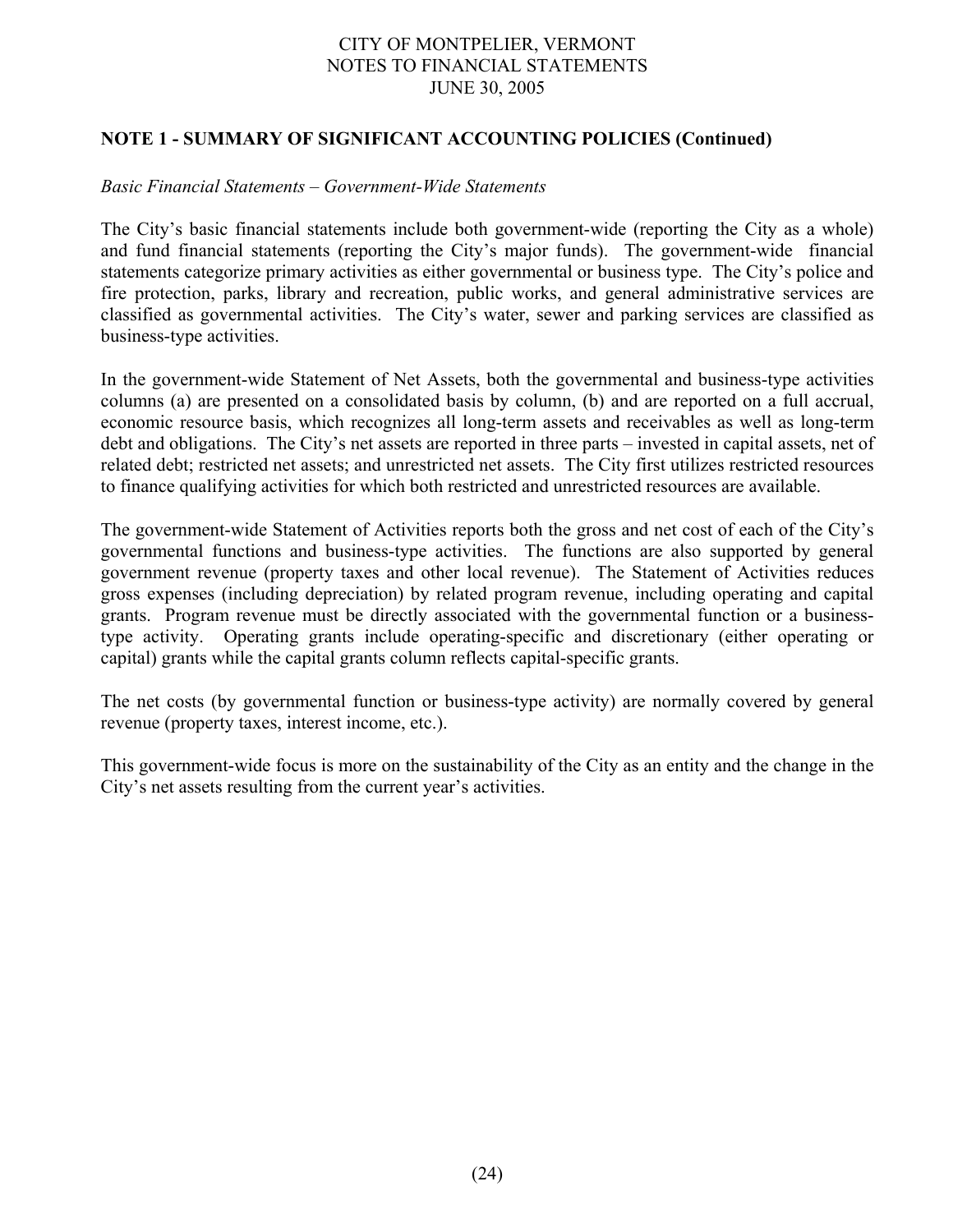## **NOTE 1 - SUMMARY OF SIGNIFICANT ACCOUNTING POLICIES (Continued)**

#### *Basic Financial Statements – Government-Wide Statements*

The City's basic financial statements include both government-wide (reporting the City as a whole) and fund financial statements (reporting the City's major funds). The government-wide financial statements categorize primary activities as either governmental or business type. The City's police and fire protection, parks, library and recreation, public works, and general administrative services are classified as governmental activities. The City's water, sewer and parking services are classified as business-type activities.

In the government-wide Statement of Net Assets, both the governmental and business-type activities columns (a) are presented on a consolidated basis by column, (b) and are reported on a full accrual, economic resource basis, which recognizes all long-term assets and receivables as well as long-term debt and obligations. The City's net assets are reported in three parts – invested in capital assets, net of related debt; restricted net assets; and unrestricted net assets. The City first utilizes restricted resources to finance qualifying activities for which both restricted and unrestricted resources are available.

The government-wide Statement of Activities reports both the gross and net cost of each of the City's governmental functions and business-type activities. The functions are also supported by general government revenue (property taxes and other local revenue). The Statement of Activities reduces gross expenses (including depreciation) by related program revenue, including operating and capital grants. Program revenue must be directly associated with the governmental function or a businesstype activity. Operating grants include operating-specific and discretionary (either operating or capital) grants while the capital grants column reflects capital-specific grants.

The net costs (by governmental function or business-type activity) are normally covered by general revenue (property taxes, interest income, etc.).

This government-wide focus is more on the sustainability of the City as an entity and the change in the City's net assets resulting from the current year's activities.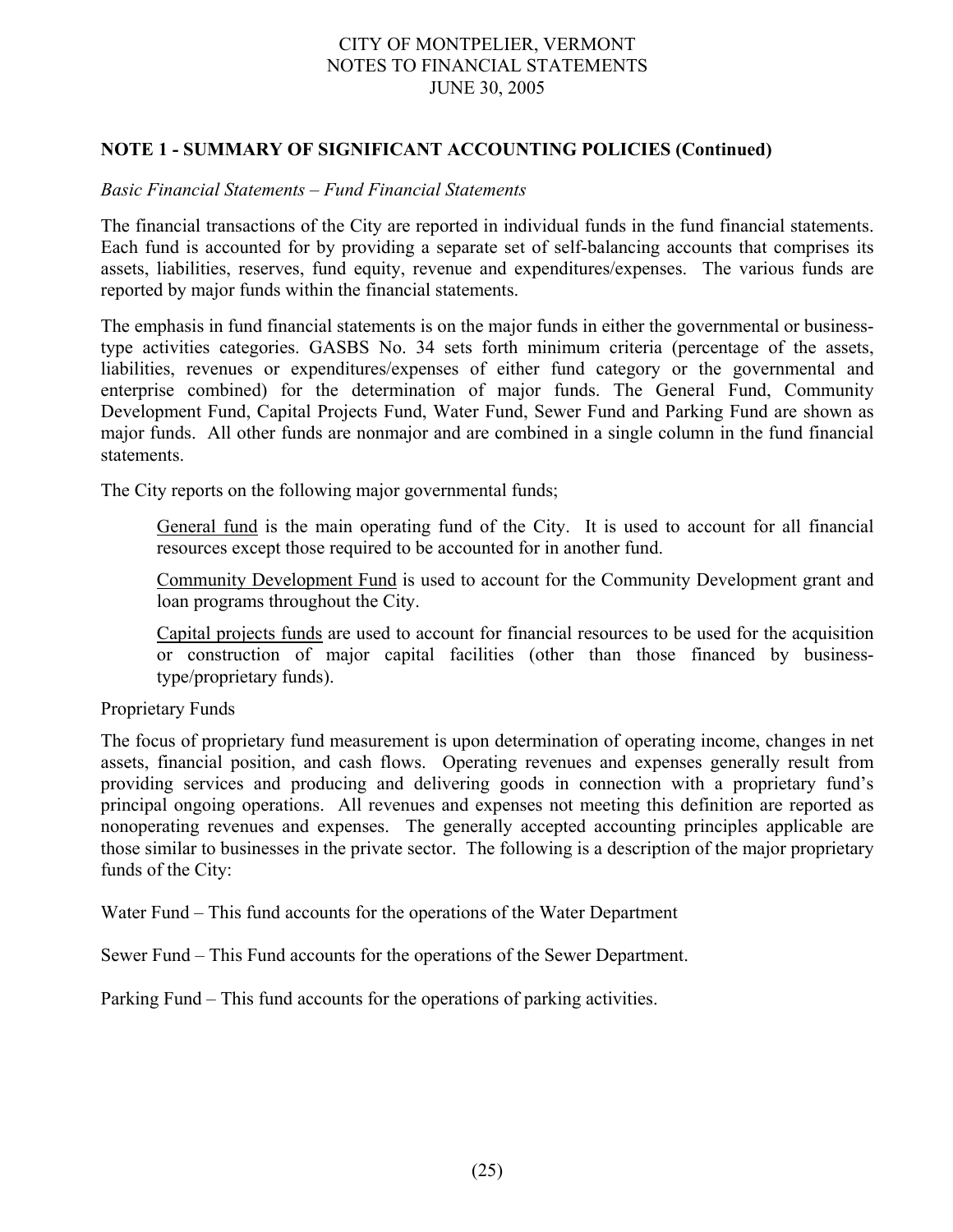## **NOTE 1 - SUMMARY OF SIGNIFICANT ACCOUNTING POLICIES (Continued)**

#### *Basic Financial Statements – Fund Financial Statements*

The financial transactions of the City are reported in individual funds in the fund financial statements. Each fund is accounted for by providing a separate set of self-balancing accounts that comprises its assets, liabilities, reserves, fund equity, revenue and expenditures/expenses. The various funds are reported by major funds within the financial statements.

The emphasis in fund financial statements is on the major funds in either the governmental or businesstype activities categories. GASBS No. 34 sets forth minimum criteria (percentage of the assets, liabilities, revenues or expenditures/expenses of either fund category or the governmental and enterprise combined) for the determination of major funds. The General Fund, Community Development Fund, Capital Projects Fund, Water Fund, Sewer Fund and Parking Fund are shown as major funds. All other funds are nonmajor and are combined in a single column in the fund financial statements.

The City reports on the following major governmental funds;

General fund is the main operating fund of the City. It is used to account for all financial resources except those required to be accounted for in another fund.

Community Development Fund is used to account for the Community Development grant and loan programs throughout the City.

Capital projects funds are used to account for financial resources to be used for the acquisition or construction of major capital facilities (other than those financed by businesstype/proprietary funds).

#### Proprietary Funds

The focus of proprietary fund measurement is upon determination of operating income, changes in net assets, financial position, and cash flows. Operating revenues and expenses generally result from providing services and producing and delivering goods in connection with a proprietary fund's principal ongoing operations. All revenues and expenses not meeting this definition are reported as nonoperating revenues and expenses. The generally accepted accounting principles applicable are those similar to businesses in the private sector. The following is a description of the major proprietary funds of the City:

Water Fund – This fund accounts for the operations of the Water Department

Sewer Fund – This Fund accounts for the operations of the Sewer Department.

Parking Fund – This fund accounts for the operations of parking activities.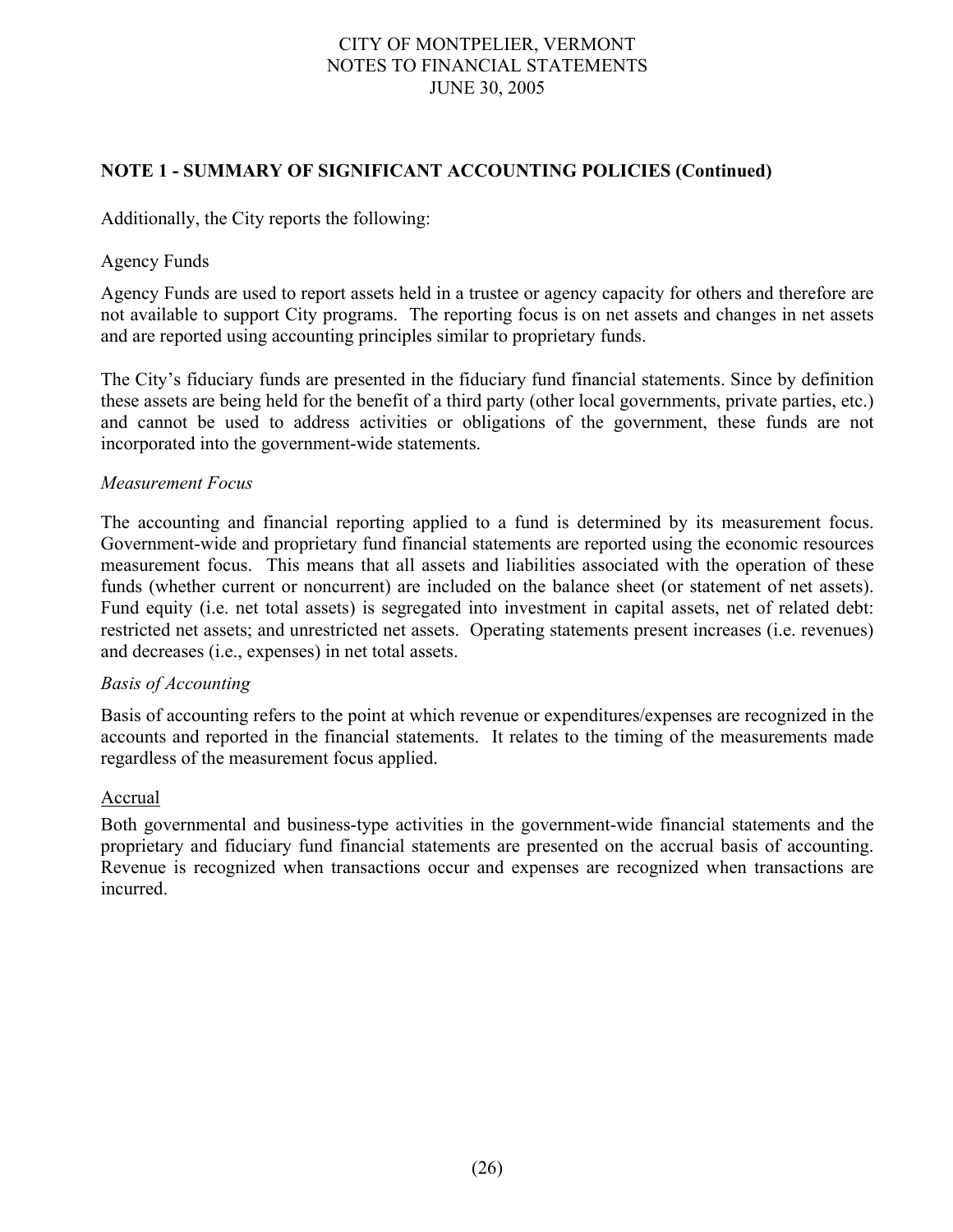## **NOTE 1 - SUMMARY OF SIGNIFICANT ACCOUNTING POLICIES (Continued)**

Additionally, the City reports the following:

## Agency Funds

Agency Funds are used to report assets held in a trustee or agency capacity for others and therefore are not available to support City programs. The reporting focus is on net assets and changes in net assets and are reported using accounting principles similar to proprietary funds.

The City's fiduciary funds are presented in the fiduciary fund financial statements. Since by definition these assets are being held for the benefit of a third party (other local governments, private parties, etc.) and cannot be used to address activities or obligations of the government, these funds are not incorporated into the government-wide statements.

## *Measurement Focus*

The accounting and financial reporting applied to a fund is determined by its measurement focus. Government-wide and proprietary fund financial statements are reported using the economic resources measurement focus. This means that all assets and liabilities associated with the operation of these funds (whether current or noncurrent) are included on the balance sheet (or statement of net assets). Fund equity (i.e. net total assets) is segregated into investment in capital assets, net of related debt: restricted net assets; and unrestricted net assets. Operating statements present increases (i.e. revenues) and decreases (i.e., expenses) in net total assets.

#### *Basis of Accounting*

Basis of accounting refers to the point at which revenue or expenditures/expenses are recognized in the accounts and reported in the financial statements. It relates to the timing of the measurements made regardless of the measurement focus applied.

#### Accrual

Both governmental and business-type activities in the government-wide financial statements and the proprietary and fiduciary fund financial statements are presented on the accrual basis of accounting. Revenue is recognized when transactions occur and expenses are recognized when transactions are incurred.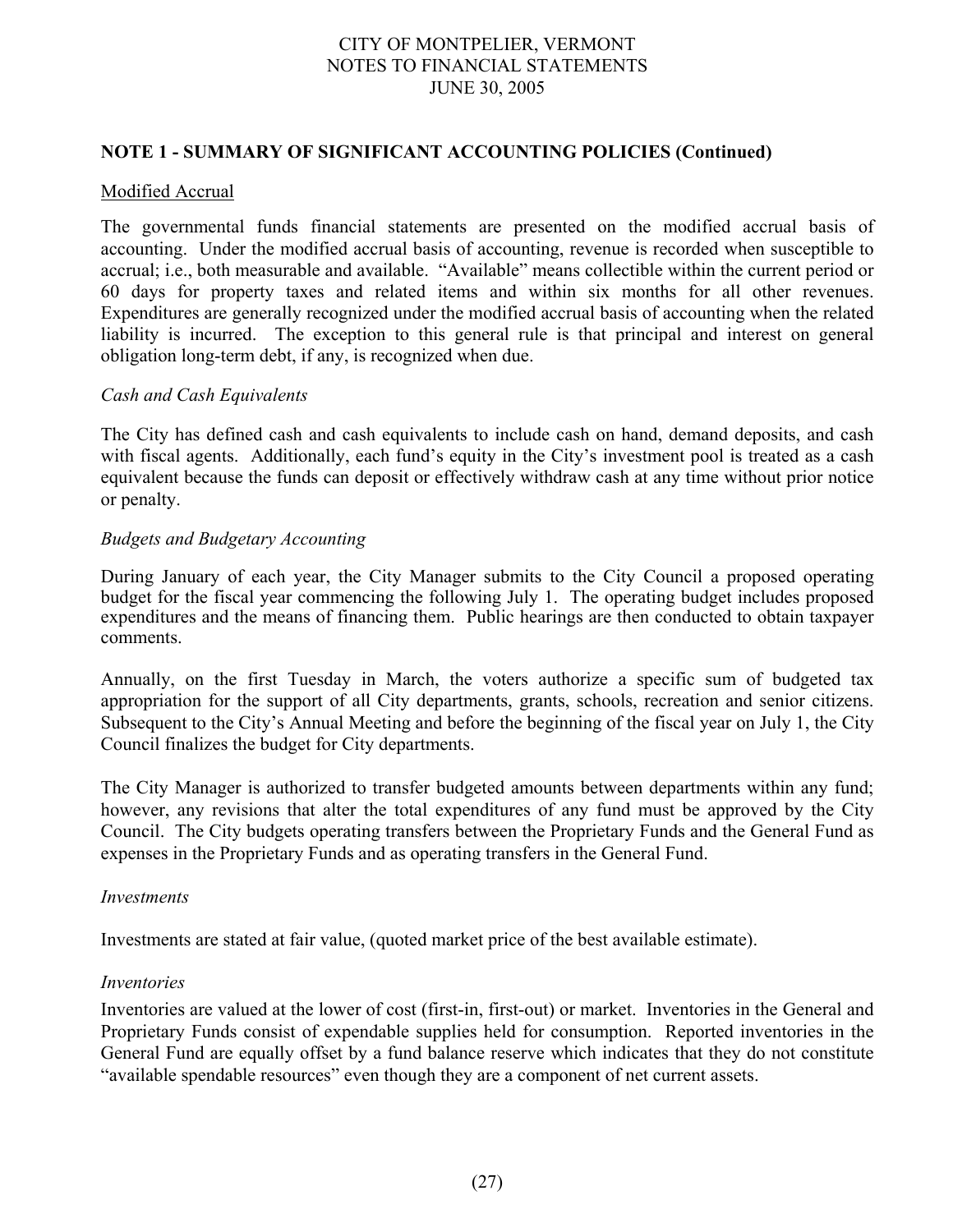#### **NOTE 1 - SUMMARY OF SIGNIFICANT ACCOUNTING POLICIES (Continued)**

#### Modified Accrual

The governmental funds financial statements are presented on the modified accrual basis of accounting. Under the modified accrual basis of accounting, revenue is recorded when susceptible to accrual; i.e., both measurable and available. "Available" means collectible within the current period or 60 days for property taxes and related items and within six months for all other revenues. Expenditures are generally recognized under the modified accrual basis of accounting when the related liability is incurred. The exception to this general rule is that principal and interest on general obligation long-term debt, if any, is recognized when due.

#### *Cash and Cash Equivalents*

The City has defined cash and cash equivalents to include cash on hand, demand deposits, and cash with fiscal agents. Additionally, each fund's equity in the City's investment pool is treated as a cash equivalent because the funds can deposit or effectively withdraw cash at any time without prior notice or penalty.

#### *Budgets and Budgetary Accounting*

During January of each year, the City Manager submits to the City Council a proposed operating budget for the fiscal year commencing the following July 1. The operating budget includes proposed expenditures and the means of financing them. Public hearings are then conducted to obtain taxpayer comments.

Annually, on the first Tuesday in March, the voters authorize a specific sum of budgeted tax appropriation for the support of all City departments, grants, schools, recreation and senior citizens. Subsequent to the City's Annual Meeting and before the beginning of the fiscal year on July 1, the City Council finalizes the budget for City departments.

The City Manager is authorized to transfer budgeted amounts between departments within any fund; however, any revisions that alter the total expenditures of any fund must be approved by the City Council. The City budgets operating transfers between the Proprietary Funds and the General Fund as expenses in the Proprietary Funds and as operating transfers in the General Fund.

#### *Investments*

Investments are stated at fair value, (quoted market price of the best available estimate).

#### *Inventories*

Inventories are valued at the lower of cost (first-in, first-out) or market. Inventories in the General and Proprietary Funds consist of expendable supplies held for consumption. Reported inventories in the General Fund are equally offset by a fund balance reserve which indicates that they do not constitute "available spendable resources" even though they are a component of net current assets.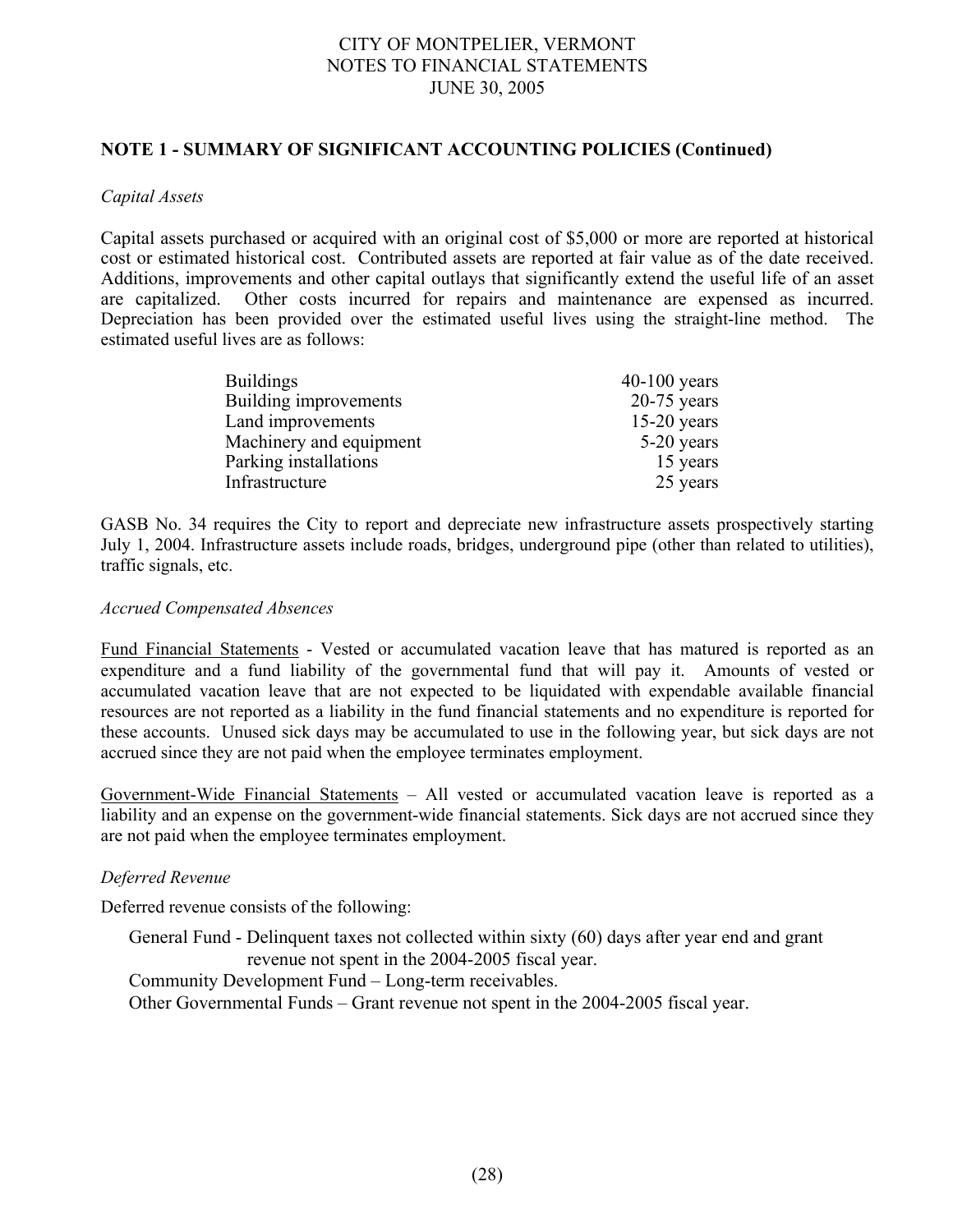## **NOTE 1 - SUMMARY OF SIGNIFICANT ACCOUNTING POLICIES (Continued)**

#### *Capital Assets*

Capital assets purchased or acquired with an original cost of \$5,000 or more are reported at historical cost or estimated historical cost. Contributed assets are reported at fair value as of the date received. Additions, improvements and other capital outlays that significantly extend the useful life of an asset are capitalized. Other costs incurred for repairs and maintenance are expensed as incurred. Depreciation has been provided over the estimated useful lives using the straight-line method. The estimated useful lives are as follows:

| <b>Buildings</b>        | $40-100$ years |
|-------------------------|----------------|
| Building improvements   | $20-75$ years  |
| Land improvements       | $15-20$ years  |
| Machinery and equipment | 5-20 years     |
| Parking installations   | 15 years       |
| Infrastructure          | 25 years       |

GASB No. 34 requires the City to report and depreciate new infrastructure assets prospectively starting July 1, 2004. Infrastructure assets include roads, bridges, underground pipe (other than related to utilities), traffic signals, etc.

#### *Accrued Compensated Absences*

Fund Financial Statements - Vested or accumulated vacation leave that has matured is reported as an expenditure and a fund liability of the governmental fund that will pay it. Amounts of vested or accumulated vacation leave that are not expected to be liquidated with expendable available financial resources are not reported as a liability in the fund financial statements and no expenditure is reported for these accounts. Unused sick days may be accumulated to use in the following year, but sick days are not accrued since they are not paid when the employee terminates employment.

Government-Wide Financial Statements – All vested or accumulated vacation leave is reported as a liability and an expense on the government-wide financial statements. Sick days are not accrued since they are not paid when the employee terminates employment.

#### *Deferred Revenue*

Deferred revenue consists of the following:

General Fund - Delinquent taxes not collected within sixty (60) days after year end and grant revenue not spent in the 2004-2005 fiscal year. Community Development Fund – Long-term receivables. Other Governmental Funds – Grant revenue not spent in the 2004-2005 fiscal year.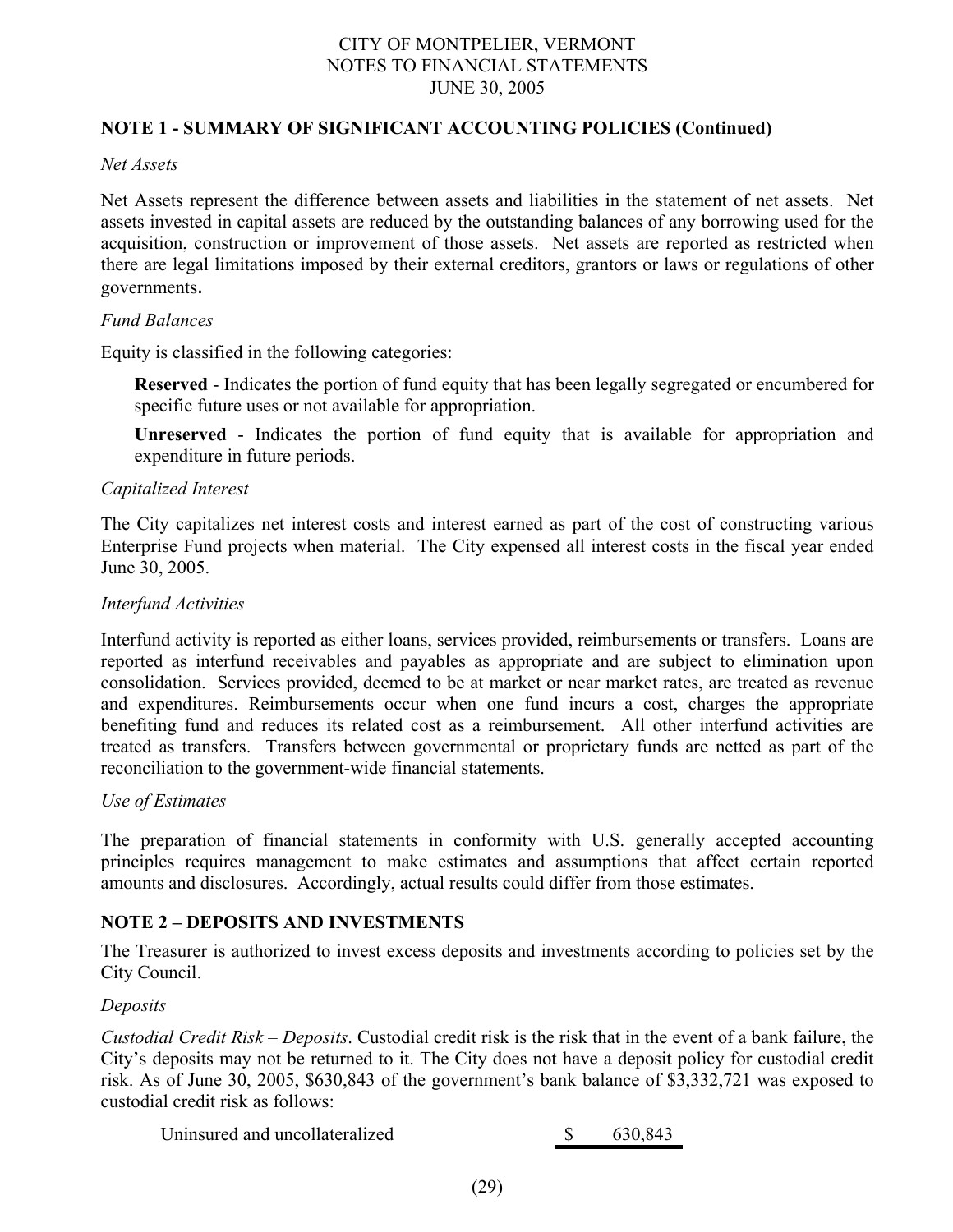## **NOTE 1 - SUMMARY OF SIGNIFICANT ACCOUNTING POLICIES (Continued)**

#### *Net Assets*

Net Assets represent the difference between assets and liabilities in the statement of net assets. Net assets invested in capital assets are reduced by the outstanding balances of any borrowing used for the acquisition, construction or improvement of those assets. Net assets are reported as restricted when there are legal limitations imposed by their external creditors, grantors or laws or regulations of other governments.

#### *Fund Balances*

Equity is classified in the following categories:

**Reserved** - Indicates the portion of fund equity that has been legally segregated or encumbered for specific future uses or not available for appropriation.

**Unreserved** - Indicates the portion of fund equity that is available for appropriation and expenditure in future periods.

#### *Capitalized Interest*

The City capitalizes net interest costs and interest earned as part of the cost of constructing various Enterprise Fund projects when material. The City expensed all interest costs in the fiscal year ended June 30, 2005.

#### *Interfund Activities*

Interfund activity is reported as either loans, services provided, reimbursements or transfers. Loans are reported as interfund receivables and payables as appropriate and are subject to elimination upon consolidation. Services provided, deemed to be at market or near market rates, are treated as revenue and expenditures. Reimbursements occur when one fund incurs a cost, charges the appropriate benefiting fund and reduces its related cost as a reimbursement. All other interfund activities are treated as transfers. Transfers between governmental or proprietary funds are netted as part of the reconciliation to the government-wide financial statements.

#### *Use of Estimates*

The preparation of financial statements in conformity with U.S. generally accepted accounting principles requires management to make estimates and assumptions that affect certain reported amounts and disclosures. Accordingly, actual results could differ from those estimates.

#### **NOTE 2 – DEPOSITS AND INVESTMENTS**

The Treasurer is authorized to invest excess deposits and investments according to policies set by the City Council.

#### *Deposits*

*Custodial Credit Risk – Deposits*. Custodial credit risk is the risk that in the event of a bank failure, the City's deposits may not be returned to it. The City does not have a deposit policy for custodial credit risk. As of June 30, 2005, \$630,843 of the government's bank balance of \$3,332,721 was exposed to custodial credit risk as follows:

Uninsured and uncollateralized \$ 630,843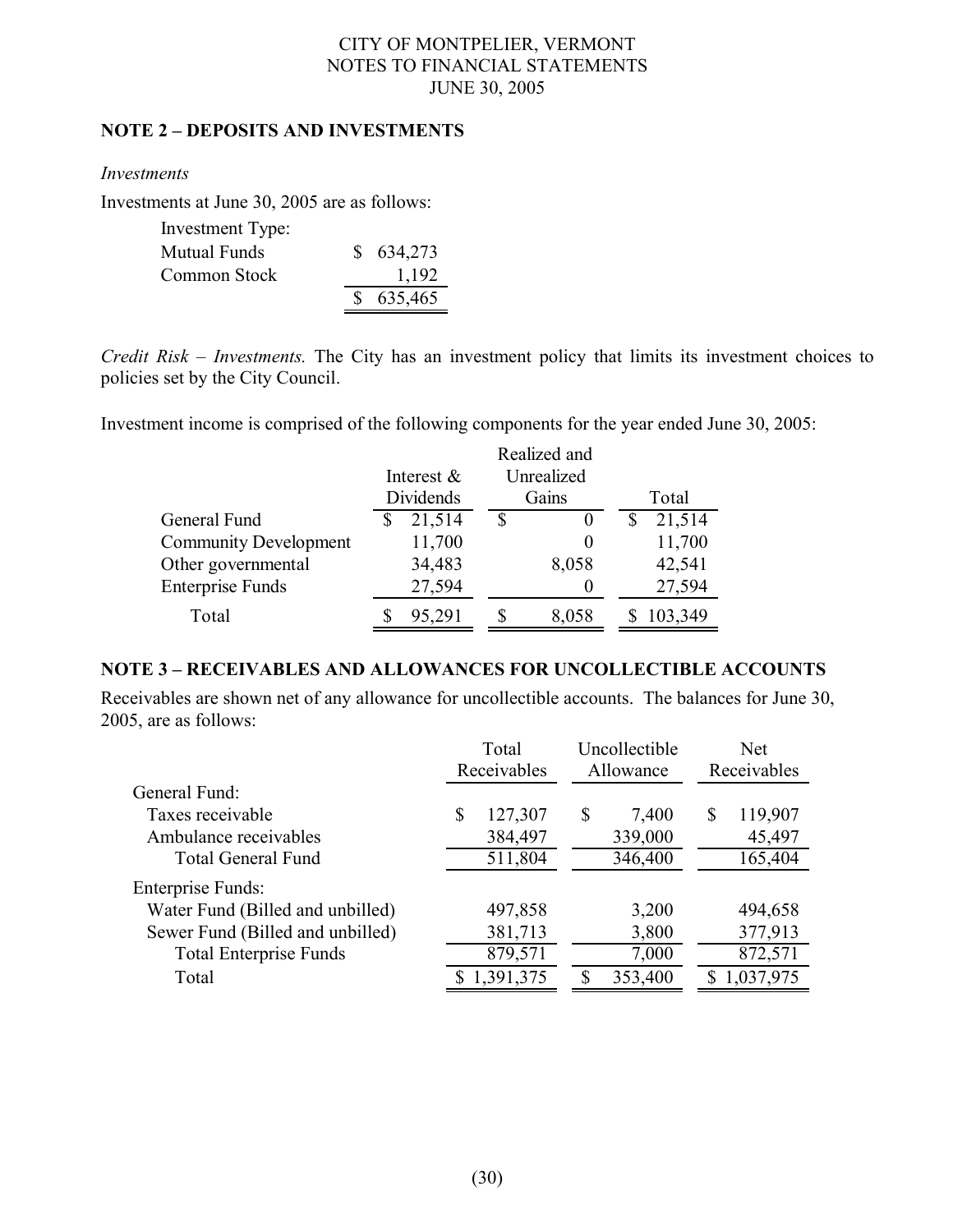## **NOTE 2 – DEPOSITS AND INVESTMENTS**

*Investments*

Investments at June 30, 2005 are as follows:

| Investment Type: |           |
|------------------|-----------|
| Mutual Funds     | \$634,273 |
| Common Stock     | 1,192     |
|                  | \$635,465 |

*Credit Risk – Investments.* The City has an investment policy that limits its investment choices to policies set by the City Council.

Investment income is comprised of the following components for the year ended June 30, 2005:

|                              |           | Interest $\&$ |       | Unrealized |         |
|------------------------------|-----------|---------------|-------|------------|---------|
|                              | Dividends |               | Gains |            | Total   |
| General Fund                 |           | 21,514        | S     |            | 21,514  |
| <b>Community Development</b> |           | 11,700        |       |            | 11,700  |
| Other governmental           |           | 34,483        |       | 8,058      | 42,541  |
| <b>Enterprise Funds</b>      |           | 27,594        |       |            | 27,594  |
| Total                        |           | 95,291        |       | 8,058      | 103,349 |

## **NOTE 3 – RECEIVABLES AND ALLOWANCES FOR UNCOLLECTIBLE ACCOUNTS**

Receivables are shown net of any allowance for uncollectible accounts. The balances for June 30, 2005, are as follows:

|                                  | Total |             | Uncollectible |    | <b>Net</b>  |
|----------------------------------|-------|-------------|---------------|----|-------------|
|                                  |       | Receivables | Allowance     |    | Receivables |
| General Fund:                    |       |             |               |    |             |
| Taxes receivable                 | \$    | 127,307     | \$<br>7,400   | \$ | 119,907     |
| Ambulance receivables            |       | 384,497     | 339,000       |    | 45,497      |
| <b>Total General Fund</b>        |       | 511,804     | 346,400       |    | 165,404     |
| <b>Enterprise Funds:</b>         |       |             |               |    |             |
| Water Fund (Billed and unbilled) |       | 497,858     | 3,200         |    | 494,658     |
| Sewer Fund (Billed and unbilled) |       | 381,713     | 3,800         |    | 377,913     |
| <b>Total Enterprise Funds</b>    |       | 879,571     | 7,000         |    | 872,571     |
| Total                            |       | 1,391,375   | 353,400       |    | \$1,037,975 |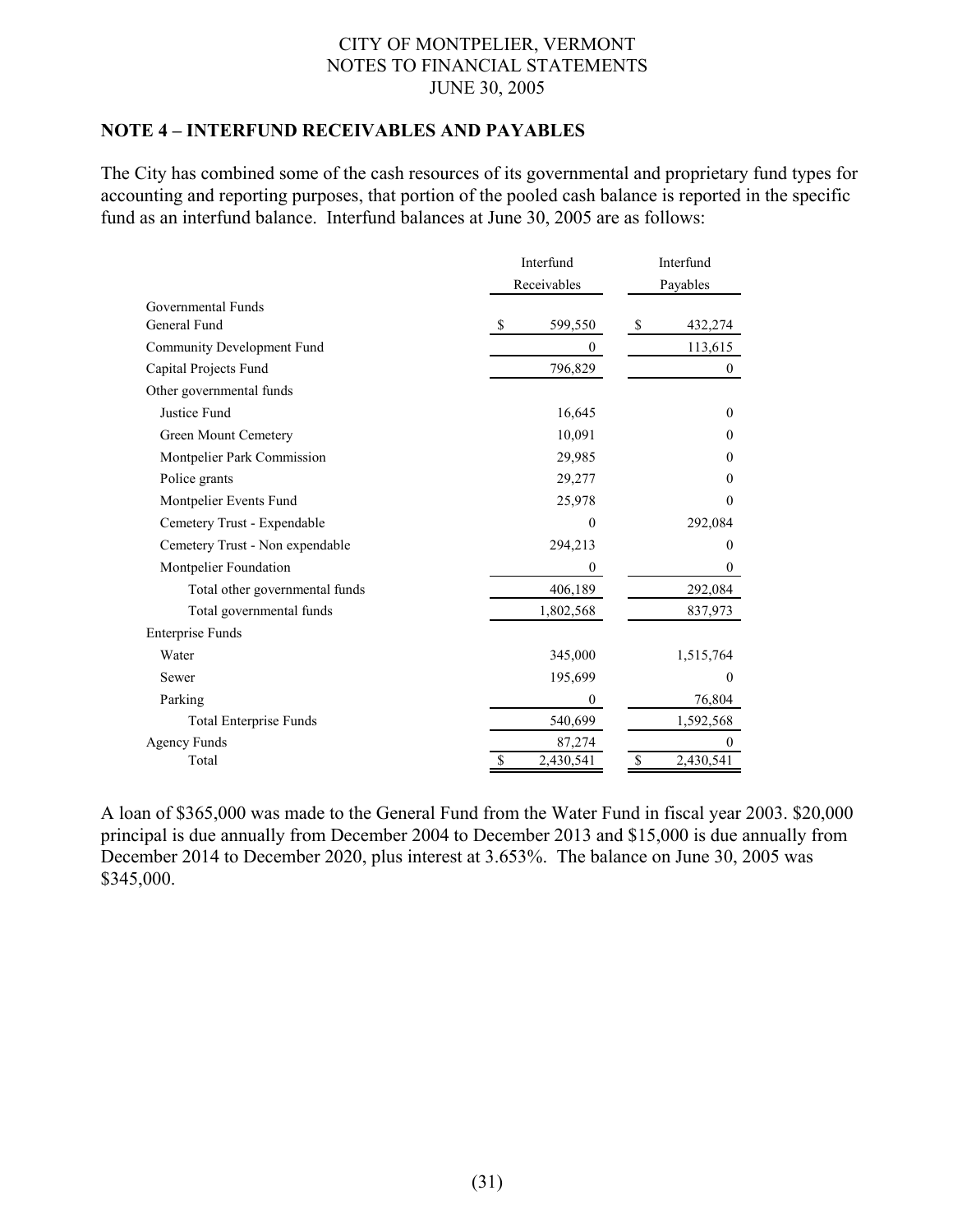## **NOTE 4 – INTERFUND RECEIVABLES AND PAYABLES**

The City has combined some of the cash resources of its governmental and proprietary fund types for accounting and reporting purposes, that portion of the pooled cash balance is reported in the specific fund as an interfund balance. Interfund balances at June 30, 2005 are as follows:

|                                    | Interfund        | Interfund       |  |  |
|------------------------------------|------------------|-----------------|--|--|
|                                    | Receivables      | Payables        |  |  |
| Governmental Funds<br>General Fund |                  |                 |  |  |
|                                    | 599,550<br>S     | \$<br>432,274   |  |  |
| <b>Community Development Fund</b>  | $\boldsymbol{0}$ | 113,615         |  |  |
| Capital Projects Fund              | 796,829          | 0               |  |  |
| Other governmental funds           |                  |                 |  |  |
| Justice Fund                       | 16,645           | $\theta$        |  |  |
| Green Mount Cemetery               | 10,091           | $\theta$        |  |  |
| Montpelier Park Commission         | 29,985           | $\Omega$        |  |  |
| Police grants                      | 29,277           | $\mathbf{0}$    |  |  |
| Montpelier Events Fund             | 25,978           | $\theta$        |  |  |
| Cemetery Trust - Expendable        | 0                | 292,084         |  |  |
| Cemetery Trust - Non expendable    | 294,213          | $\theta$        |  |  |
| Montpelier Foundation              | $\boldsymbol{0}$ | $\theta$        |  |  |
| Total other governmental funds     | 406,189          | 292,084         |  |  |
| Total governmental funds           | 1,802,568        | 837,973         |  |  |
| <b>Enterprise Funds</b>            |                  |                 |  |  |
| Water                              | 345,000          | 1,515,764       |  |  |
| Sewer                              | 195,699          | $\Omega$        |  |  |
| Parking                            | $\theta$         | 76,804          |  |  |
| <b>Total Enterprise Funds</b>      | 540,699          | 1,592,568       |  |  |
| <b>Agency Funds</b>                | 87,274           | $\theta$        |  |  |
| Total                              | 2,430,541<br>\$  | \$<br>2,430,541 |  |  |

A loan of \$365,000 was made to the General Fund from the Water Fund in fiscal year 2003. \$20,000 principal is due annually from December 2004 to December 2013 and \$15,000 is due annually from December 2014 to December 2020, plus interest at 3.653%. The balance on June 30, 2005 was \$345,000.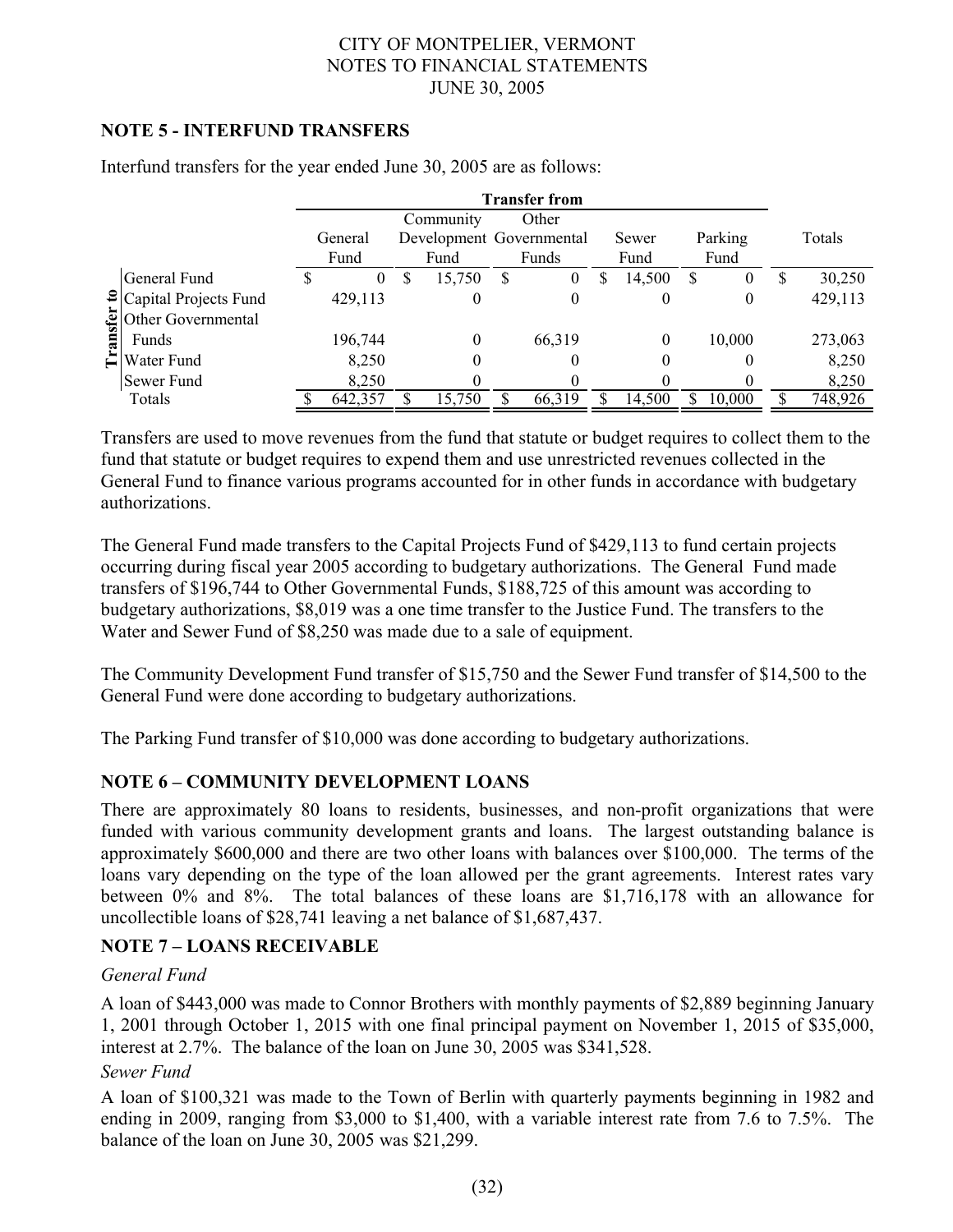## **NOTE 5 - INTERFUND TRANSFERS**

|        |                                        |          |   |                          |    | <b>Transfer from</b> |   |          |      |         |              |
|--------|----------------------------------------|----------|---|--------------------------|----|----------------------|---|----------|------|---------|--------------|
|        |                                        |          |   | Community                |    | Other                |   |          |      |         |              |
|        |                                        | General  |   | Development Governmental |    |                      |   | Sewer    |      | Parking | Totals       |
|        |                                        | Fund     |   | Fund                     |    | Funds                |   | Fund     | Fund |         |              |
|        | General Fund                           | $\theta$ | S | 15,750                   | -S | $_{0}$               | S | 14,500   | S    | O       | \$<br>30,250 |
|        | $\left  \right $ Capital Projects Fund | 429,113  |   | 0                        |    | 0                    |   | $\theta$ |      | 0       | 429,113      |
|        | Other Governmental                     |          |   |                          |    |                      |   |          |      |         |              |
| ansfer | Funds                                  | 196,744  |   | 0                        |    | 66,319               |   | 0        |      | 10,000  | 273,063      |
|        | $\Xi$ Water Fund                       | 8,250    |   | 0                        |    |                      |   | 0        |      | 0       | 8,250        |
|        | Sewer Fund                             | 8,250    |   |                          |    |                      |   |          |      |         | 8,250        |
|        | Totals                                 | 642,357  |   | 15,750                   |    | 66,319               |   | 14,500   |      | 10,000  | 748,926      |

Interfund transfers for the year ended June 30, 2005 are as follows:

Transfers are used to move revenues from the fund that statute or budget requires to collect them to the fund that statute or budget requires to expend them and use unrestricted revenues collected in the General Fund to finance various programs accounted for in other funds in accordance with budgetary authorizations.

The General Fund made transfers to the Capital Projects Fund of \$429,113 to fund certain projects occurring during fiscal year 2005 according to budgetary authorizations. The General Fund made transfers of \$196,744 to Other Governmental Funds, \$188,725 of this amount was according to budgetary authorizations, \$8,019 was a one time transfer to the Justice Fund. The transfers to the Water and Sewer Fund of \$8,250 was made due to a sale of equipment.

The Community Development Fund transfer of \$15,750 and the Sewer Fund transfer of \$14,500 to the General Fund were done according to budgetary authorizations.

The Parking Fund transfer of \$10,000 was done according to budgetary authorizations.

# **NOTE 6 – COMMUNITY DEVELOPMENT LOANS**

There are approximately 80 loans to residents, businesses, and non-profit organizations that were funded with various community development grants and loans. The largest outstanding balance is approximately \$600,000 and there are two other loans with balances over \$100,000. The terms of the loans vary depending on the type of the loan allowed per the grant agreements. Interest rates vary between 0% and 8%. The total balances of these loans are \$1,716,178 with an allowance for uncollectible loans of \$28,741 leaving a net balance of \$1,687,437.

## **NOTE 7 – LOANS RECEIVABLE**

## *General Fund*

A loan of \$443,000 was made to Connor Brothers with monthly payments of \$2,889 beginning January 1, 2001 through October 1, 2015 with one final principal payment on November 1, 2015 of \$35,000, interest at 2.7%. The balance of the loan on June 30, 2005 was \$341,528.

## *Sewer Fund*

A loan of \$100,321 was made to the Town of Berlin with quarterly payments beginning in 1982 and ending in 2009, ranging from \$3,000 to \$1,400, with a variable interest rate from 7.6 to 7.5%. The balance of the loan on June 30, 2005 was \$21,299.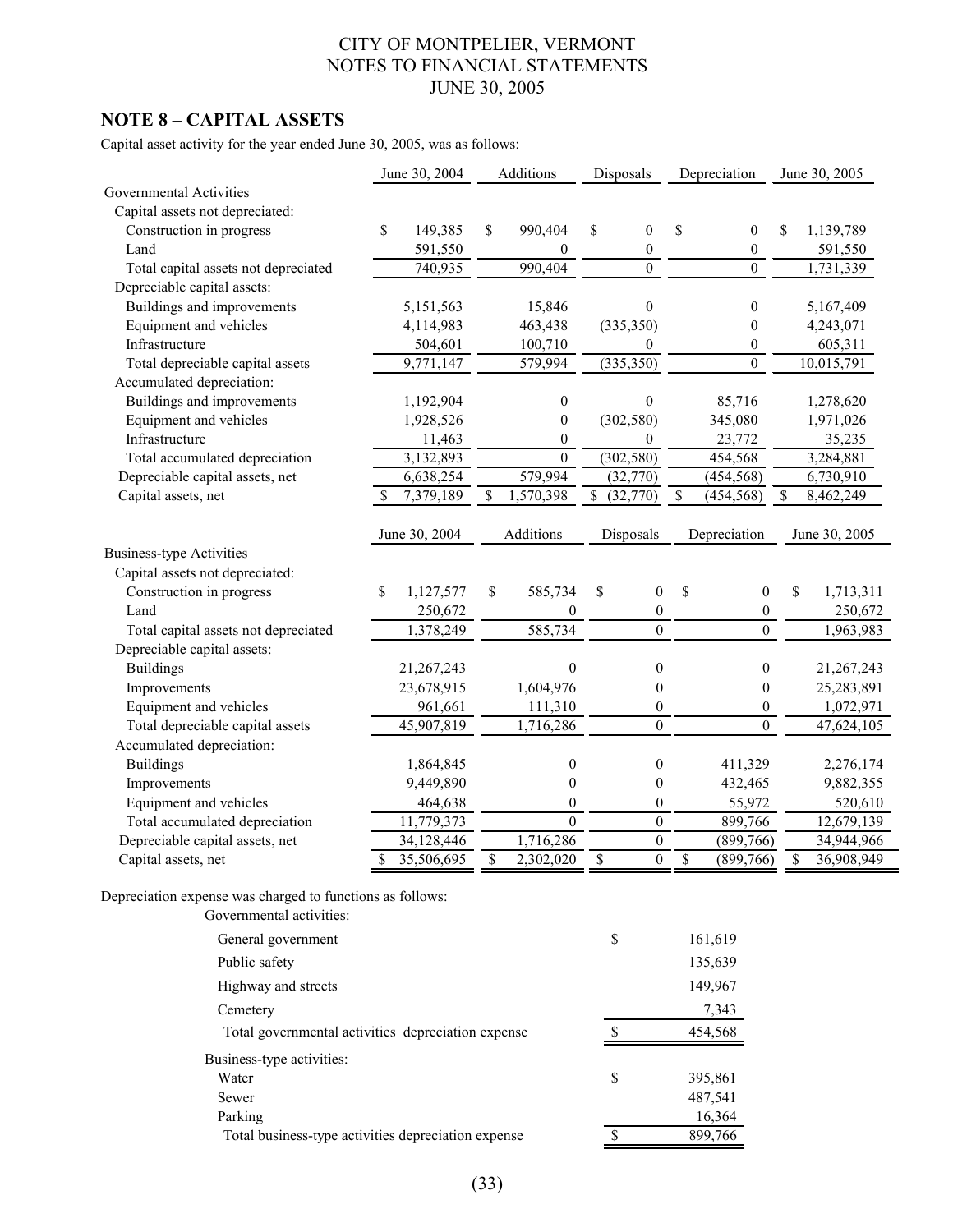## **NOTE 8 – CAPITAL ASSETS**

Capital asset activity for the year ended June 30, 2005, was as follows:

|                                      | June 30, 2004 |               | Additions                |                  | Disposals                |                  | Depreciation             |                  | June 30, 2005    |
|--------------------------------------|---------------|---------------|--------------------------|------------------|--------------------------|------------------|--------------------------|------------------|------------------|
| <b>Governmental Activities</b>       |               |               |                          |                  |                          |                  |                          |                  |                  |
| Capital assets not depreciated:      |               |               |                          |                  |                          |                  |                          |                  |                  |
| Construction in progress             | \$            | 149,385       | \$                       | 990,404          | \$                       | $\boldsymbol{0}$ | \$                       | $\boldsymbol{0}$ | \$<br>1,139,789  |
| Land                                 |               | 591,550       |                          | $\mathbf{0}$     |                          | 0                |                          | $\boldsymbol{0}$ | 591,550          |
| Total capital assets not depreciated |               | 740,935       |                          | 990,404          |                          | $\boldsymbol{0}$ |                          | $\mathbf{0}$     | 1,731,339        |
| Depreciable capital assets:          |               |               |                          |                  |                          |                  |                          |                  |                  |
| Buildings and improvements           |               | 5,151,563     |                          | 15,846           |                          | $\theta$         |                          | $\mathbf{0}$     | 5,167,409        |
| Equipment and vehicles               |               | 4,114,983     |                          | 463,438          |                          | (335, 350)       |                          | $\boldsymbol{0}$ | 4,243,071        |
| Infrastructure                       |               | 504,601       |                          | 100,710          |                          | 0                |                          | $\boldsymbol{0}$ | 605,311          |
| Total depreciable capital assets     |               | 9,771,147     |                          | 579,994          |                          | (335, 350)       |                          | $\mathbf{0}$     | 10,015,791       |
| Accumulated depreciation:            |               |               |                          |                  |                          |                  |                          |                  |                  |
| Buildings and improvements           |               | 1,192,904     |                          | $\theta$         |                          | $\theta$         |                          | 85,716           | 1,278,620        |
| Equipment and vehicles               |               | 1,928,526     |                          | $\boldsymbol{0}$ |                          | (302, 580)       |                          | 345,080          | 1,971,026        |
| Infrastructure                       |               | 11,463        |                          | $\boldsymbol{0}$ |                          | $\mathbf{0}$     |                          | 23,772           | 35,235           |
| Total accumulated depreciation       |               | 3,132,893     |                          | $\mathbf{0}$     |                          | (302, 580)       |                          | 454,568          | 3,284,881        |
| Depreciable capital assets, net      |               | 6,638,254     |                          | 579,994          |                          | (32,770)         |                          | (454, 568)       | 6,730,910        |
| Capital assets, net                  | S             | 7,379,189     | \$                       | 1,570,398        | \$                       | (32,770)         | \$                       | (454, 568)       | \$<br>8,462,249  |
|                                      |               | June 30, 2004 |                          | Additions        |                          | Disposals        |                          | Depreciation     | June 30, 2005    |
| <b>Business-type Activities</b>      |               |               |                          |                  |                          |                  |                          |                  |                  |
| Capital assets not depreciated:      |               |               |                          |                  |                          |                  |                          |                  |                  |
| Construction in progress             | \$            | 1,127,577     | \$                       | 585,734          | \$                       | $\mathbf{0}$     | \$                       | $\mathbf{0}$     | \$<br>1,713,311  |
| Land                                 |               | 250,672       |                          | $\mathbf{0}$     |                          | $\boldsymbol{0}$ |                          | $\boldsymbol{0}$ | 250,672          |
| Total capital assets not depreciated |               | 1,378,249     |                          | 585,734          |                          | $\boldsymbol{0}$ |                          | $\boldsymbol{0}$ | 1,963,983        |
| Depreciable capital assets:          |               |               |                          |                  |                          |                  |                          |                  |                  |
| <b>Buildings</b>                     |               | 21,267,243    |                          | $\boldsymbol{0}$ |                          | $\boldsymbol{0}$ |                          | $\boldsymbol{0}$ | 21,267,243       |
| Improvements                         |               | 23,678,915    |                          | 1,604,976        |                          | 0                |                          | $\boldsymbol{0}$ | 25,283,891       |
| Equipment and vehicles               |               | 961,661       |                          | 111,310          |                          | $\overline{0}$   |                          | $\overline{0}$   | 1,072,971        |
| Total depreciable capital assets     |               | 45,907,819    |                          | 1,716,286        |                          | $\overline{0}$   |                          | $\overline{0}$   | 47,624,105       |
| Accumulated depreciation:            |               |               |                          |                  |                          |                  |                          |                  |                  |
| <b>Buildings</b>                     |               | 1,864,845     |                          | $\boldsymbol{0}$ |                          | $\boldsymbol{0}$ |                          | 411,329          | 2,276,174        |
| Improvements                         |               | 9,449,890     |                          | $\boldsymbol{0}$ |                          | $\boldsymbol{0}$ |                          | 432,465          | 9,882,355        |
| Equipment and vehicles               |               | 464,638       |                          | $\boldsymbol{0}$ |                          | $\boldsymbol{0}$ |                          | 55,972           | 520,610          |
| Total accumulated depreciation       |               | 11,779,373    |                          | $\boldsymbol{0}$ |                          | $\boldsymbol{0}$ |                          | 899,766          | 12,679,139       |
| Depreciable capital assets, net      |               | 34,128,446    |                          | 1,716,286        |                          | $\boldsymbol{0}$ |                          | (899, 766)       | 34,944,966       |
| Capital assets, net                  | $\mathbf S$   | 35,506,695    | $\overline{\mathcal{S}}$ | 2,302,020        | $\overline{\mathcal{S}}$ | $\boldsymbol{0}$ | $\overline{\mathcal{S}}$ | (899,766)        | \$<br>36,908,949 |

Depreciation expense was charged to functions as follows: Governmental activities:

| Sovernmental activities.                            |               |
|-----------------------------------------------------|---------------|
| General government                                  | \$<br>161,619 |
| Public safety                                       | 135,639       |
| Highway and streets                                 | 149,967       |
| Cemetery                                            | 7,343         |
| Total governmental activities depreciation expense  | 454,568       |
| Business-type activities:                           |               |
| Water                                               | \$<br>395,861 |
| Sewer                                               | 487,541       |
| Parking                                             | 16,364        |
| Total business-type activities depreciation expense | 899,766       |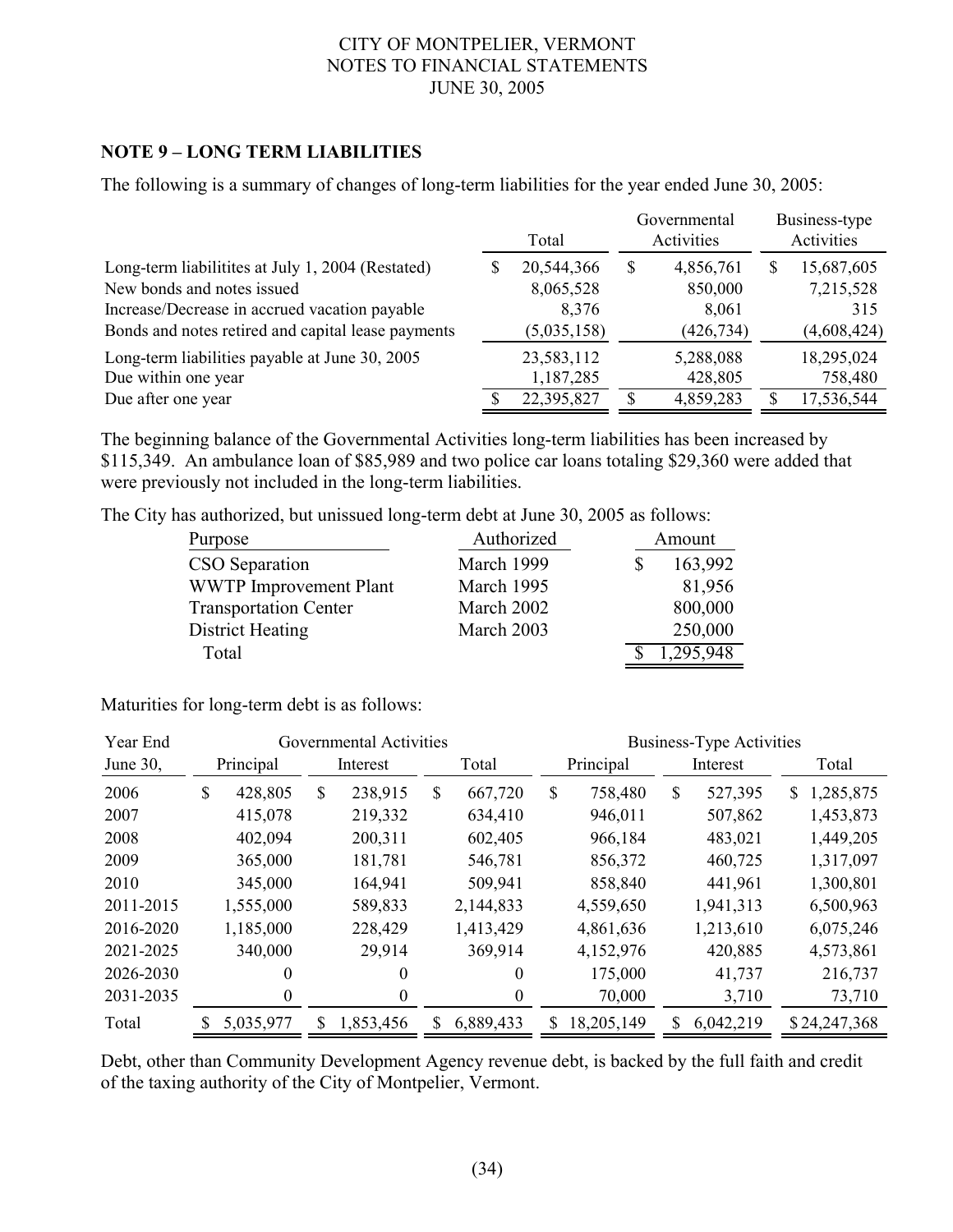## **NOTE 9 – LONG TERM LIABILITIES**

The following is a summary of changes of long-term liabilities for the year ended June 30, 2005:

|                                                                                                                                                                                         | Total |                                                 |   | Governmental<br>Activities                  | Business-type<br>Activities |                                               |  |
|-----------------------------------------------------------------------------------------------------------------------------------------------------------------------------------------|-------|-------------------------------------------------|---|---------------------------------------------|-----------------------------|-----------------------------------------------|--|
| Long-term liabilitities at July 1, 2004 (Restated)<br>New bonds and notes issued<br>Increase/Decrease in accrued vacation payable<br>Bonds and notes retired and capital lease payments |       | 20,544,366<br>8,065,528<br>8,376<br>(5,035,158) | S | 4,856,761<br>850,000<br>8,061<br>(426, 734) | S                           | 15,687,605<br>7,215,528<br>315<br>(4,608,424) |  |
| Long-term liabilities payable at June 30, 2005<br>Due within one year<br>Due after one year                                                                                             |       | 23,583,112<br>1,187,285<br>22,395,827           |   | 5,288,088<br>428,805<br>4,859,283           |                             | 18,295,024<br>758,480<br>17,536,544           |  |

The beginning balance of the Governmental Activities long-term liabilities has been increased by \$115,349. An ambulance loan of \$85,989 and two police car loans totaling \$29,360 were added that were previously not included in the long-term liabilities.

The City has authorized, but unissued long-term debt at June 30, 2005 as follows:

| Purpose                       | Authorized |   | Amount    |  |  |  |
|-------------------------------|------------|---|-----------|--|--|--|
| CSO Separation                | March 1999 | S | 163,992   |  |  |  |
| <b>WWTP</b> Improvement Plant | March 1995 |   | 81,956    |  |  |  |
| <b>Transportation Center</b>  | March 2002 |   | 800,000   |  |  |  |
| District Heating              | March 2003 |   | 250,000   |  |  |  |
| Total                         |            |   | 1,295,948 |  |  |  |

Maturities for long-term debt is as follows:

| Year End  | Governmental Activities |           |    |           |    | <b>Business-Type Activities</b> |           |            |   |           |                |              |
|-----------|-------------------------|-----------|----|-----------|----|---------------------------------|-----------|------------|---|-----------|----------------|--------------|
| June 30,  |                         | Principal |    | Interest  |    | Total                           | Principal |            |   | Interest  |                | Total        |
| 2006      | \$                      | 428,805   | \$ | 238,915   | \$ | 667,720                         | \$        | 758,480    | S | 527,395   | $\mathbb{S}^-$ | 1,285,875    |
| 2007      |                         | 415,078   |    | 219,332   |    | 634,410                         |           | 946,011    |   | 507,862   |                | 1,453,873    |
| 2008      |                         | 402,094   |    | 200,311   |    | 602,405                         |           | 966,184    |   | 483,021   |                | 1,449,205    |
| 2009      |                         | 365,000   |    | 181,781   |    | 546,781                         |           | 856,372    |   | 460,725   |                | 1,317,097    |
| 2010      |                         | 345,000   |    | 164,941   |    | 509,941                         |           | 858,840    |   | 441,961   |                | 1,300,801    |
| 2011-2015 |                         | 1,555,000 |    | 589,833   |    | 2,144,833                       |           | 4,559,650  |   | 1,941,313 |                | 6,500,963    |
| 2016-2020 |                         | 1,185,000 |    | 228,429   |    | 1,413,429                       |           | 4,861,636  |   | 1,213,610 |                | 6,075,246    |
| 2021-2025 |                         | 340,000   |    | 29,914    |    | 369,914                         |           | 4,152,976  |   | 420,885   |                | 4,573,861    |
| 2026-2030 |                         | $\theta$  |    | 0         |    | $\theta$                        |           | 175,000    |   | 41,737    |                | 216,737      |
| 2031-2035 |                         | 0         |    | 0         |    | 0                               |           | 70,000     |   | 3,710     |                | 73,710       |
| Total     |                         | 5,035,977 | S  | 1,853,456 | S  | 6,889,433                       |           | 18,205,149 | S | 6,042,219 |                | \$24,247,368 |

Debt, other than Community Development Agency revenue debt, is backed by the full faith and credit of the taxing authority of the City of Montpelier, Vermont.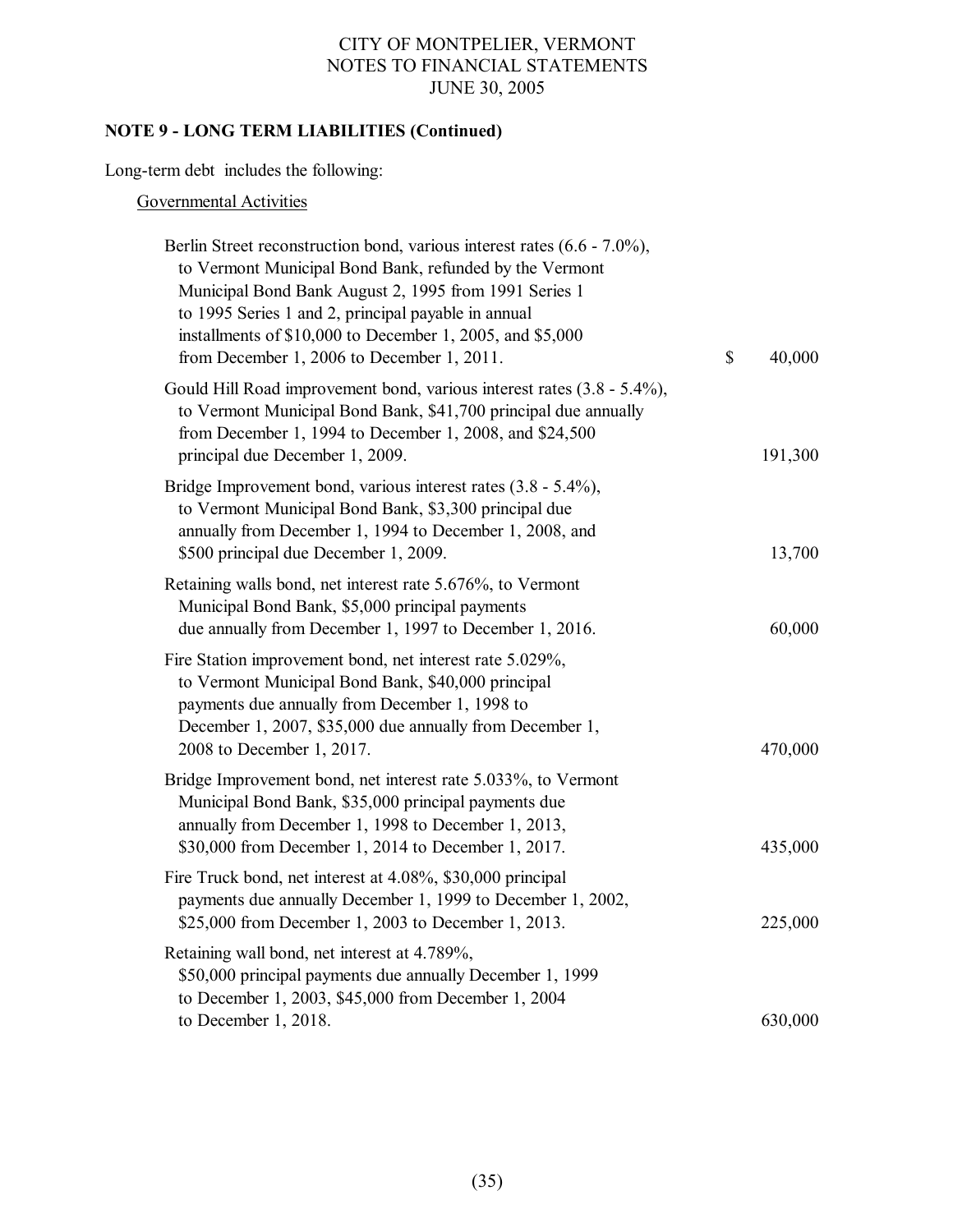# **NOTE 9 - LONG TERM LIABILITIES (Continued)**

Long-term debt includes the following:

## Governmental Activities

| Berlin Street reconstruction bond, various interest rates (6.6 - 7.0%),<br>to Vermont Municipal Bond Bank, refunded by the Vermont<br>Municipal Bond Bank August 2, 1995 from 1991 Series 1<br>to 1995 Series 1 and 2, principal payable in annual<br>installments of \$10,000 to December 1, 2005, and \$5,000<br>from December 1, 2006 to December 1, 2011. | \$<br>40,000 |
|---------------------------------------------------------------------------------------------------------------------------------------------------------------------------------------------------------------------------------------------------------------------------------------------------------------------------------------------------------------|--------------|
| Gould Hill Road improvement bond, various interest rates (3.8 - 5.4%),<br>to Vermont Municipal Bond Bank, \$41,700 principal due annually<br>from December 1, 1994 to December 1, 2008, and \$24,500<br>principal due December 1, 2009.                                                                                                                       | 191,300      |
| Bridge Improvement bond, various interest rates $(3.8 - 5.4\%)$ ,<br>to Vermont Municipal Bond Bank, \$3,300 principal due<br>annually from December 1, 1994 to December 1, 2008, and<br>\$500 principal due December 1, 2009.                                                                                                                                | 13,700       |
| Retaining walls bond, net interest rate 5.676%, to Vermont<br>Municipal Bond Bank, \$5,000 principal payments<br>due annually from December 1, 1997 to December 1, 2016.                                                                                                                                                                                      | 60,000       |
| Fire Station improvement bond, net interest rate 5.029%,<br>to Vermont Municipal Bond Bank, \$40,000 principal<br>payments due annually from December 1, 1998 to<br>December 1, 2007, \$35,000 due annually from December 1,<br>2008 to December 1, 2017.                                                                                                     | 470,000      |
| Bridge Improvement bond, net interest rate 5.033%, to Vermont<br>Municipal Bond Bank, \$35,000 principal payments due<br>annually from December 1, 1998 to December 1, 2013,<br>\$30,000 from December 1, 2014 to December 1, 2017.                                                                                                                           | 435,000      |
| Fire Truck bond, net interest at 4.08%, \$30,000 principal<br>payments due annually December 1, 1999 to December 1, 2002,<br>\$25,000 from December 1, 2003 to December 1, 2013.                                                                                                                                                                              | 225,000      |
| Retaining wall bond, net interest at 4.789%,<br>\$50,000 principal payments due annually December 1, 1999<br>to December 1, 2003, \$45,000 from December 1, 2004<br>to December 1, 2018.                                                                                                                                                                      | 630,000      |
|                                                                                                                                                                                                                                                                                                                                                               |              |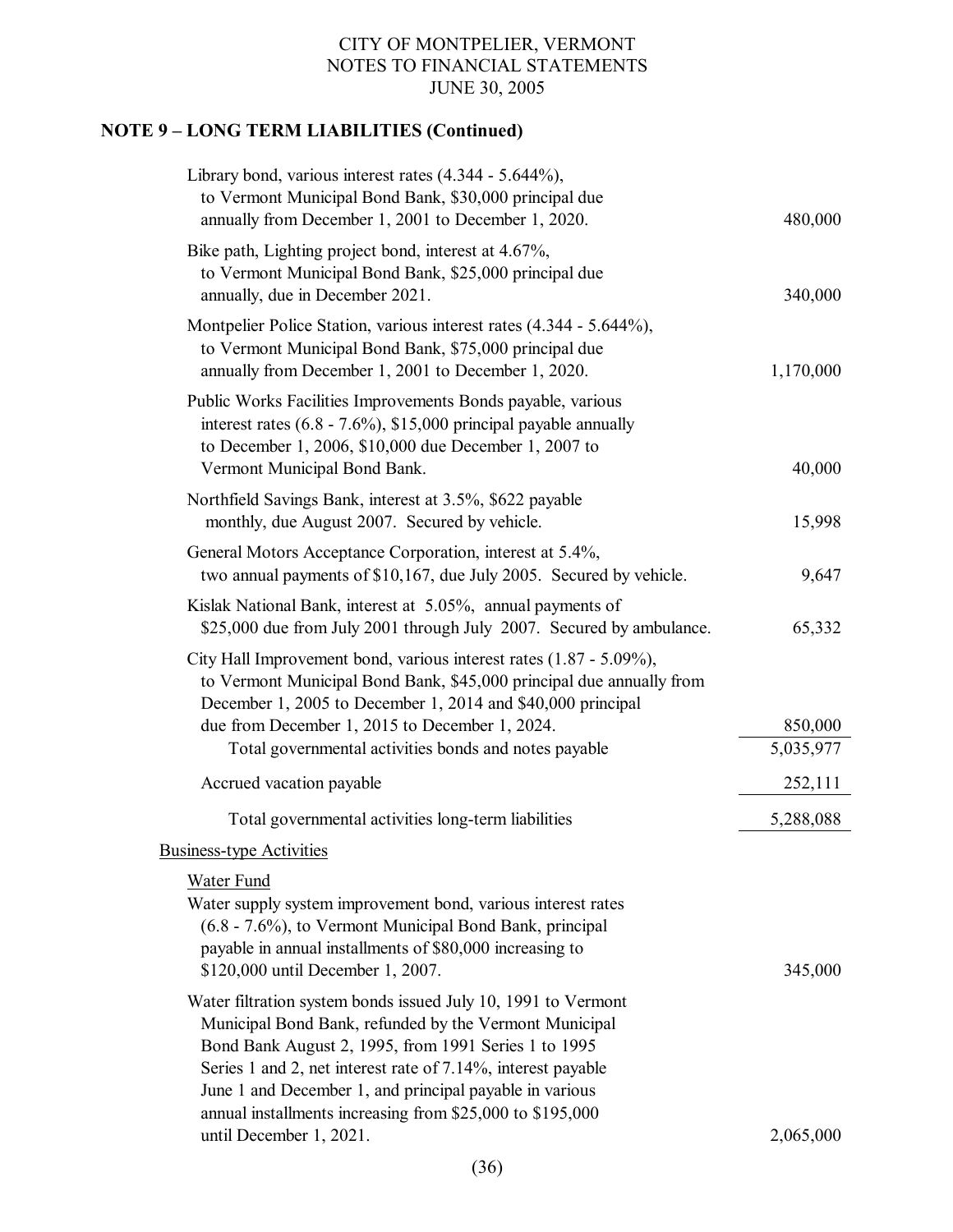# **NOTE 9 – LONG TERM LIABILITIES (Continued)**

| Library bond, various interest rates $(4.344 - 5.644\%)$ ,<br>to Vermont Municipal Bond Bank, \$30,000 principal due<br>annually from December 1, 2001 to December 1, 2020.                                                                                                                                                                                             | 480,000              |
|-------------------------------------------------------------------------------------------------------------------------------------------------------------------------------------------------------------------------------------------------------------------------------------------------------------------------------------------------------------------------|----------------------|
| Bike path, Lighting project bond, interest at 4.67%,<br>to Vermont Municipal Bond Bank, \$25,000 principal due<br>annually, due in December 2021.                                                                                                                                                                                                                       | 340,000              |
| Montpelier Police Station, various interest rates (4.344 - 5.644%),<br>to Vermont Municipal Bond Bank, \$75,000 principal due<br>annually from December 1, 2001 to December 1, 2020.                                                                                                                                                                                    | 1,170,000            |
| Public Works Facilities Improvements Bonds payable, various<br>interest rates $(6.8 - 7.6\%)$ , \$15,000 principal payable annually<br>to December 1, 2006, \$10,000 due December 1, 2007 to<br>Vermont Municipal Bond Bank.                                                                                                                                            | 40,000               |
| Northfield Savings Bank, interest at 3.5%, \$622 payable<br>monthly, due August 2007. Secured by vehicle.                                                                                                                                                                                                                                                               | 15,998               |
| General Motors Acceptance Corporation, interest at 5.4%,<br>two annual payments of \$10,167, due July 2005. Secured by vehicle.                                                                                                                                                                                                                                         | 9,647                |
| Kislak National Bank, interest at 5.05%, annual payments of<br>\$25,000 due from July 2001 through July 2007. Secured by ambulance.                                                                                                                                                                                                                                     | 65,332               |
| City Hall Improvement bond, various interest rates (1.87 - 5.09%),<br>to Vermont Municipal Bond Bank, \$45,000 principal due annually from<br>December 1, 2005 to December 1, 2014 and \$40,000 principal                                                                                                                                                               |                      |
| due from December 1, 2015 to December 1, 2024.<br>Total governmental activities bonds and notes payable                                                                                                                                                                                                                                                                 | 850,000<br>5,035,977 |
| Accrued vacation payable                                                                                                                                                                                                                                                                                                                                                | 252,111              |
| Total governmental activities long-term liabilities                                                                                                                                                                                                                                                                                                                     | 5,288,088            |
| <b>Business-type Activities</b>                                                                                                                                                                                                                                                                                                                                         |                      |
| <b>Water Fund</b><br>Water supply system improvement bond, various interest rates<br>(6.8 - 7.6%), to Vermont Municipal Bond Bank, principal<br>payable in annual installments of \$80,000 increasing to<br>\$120,000 until December 1, 2007.                                                                                                                           | 345,000              |
| Water filtration system bonds issued July 10, 1991 to Vermont<br>Municipal Bond Bank, refunded by the Vermont Municipal<br>Bond Bank August 2, 1995, from 1991 Series 1 to 1995<br>Series 1 and 2, net interest rate of 7.14%, interest payable<br>June 1 and December 1, and principal payable in various<br>annual installments increasing from \$25,000 to \$195,000 |                      |
| until December 1, 2021.                                                                                                                                                                                                                                                                                                                                                 | 2,065,000            |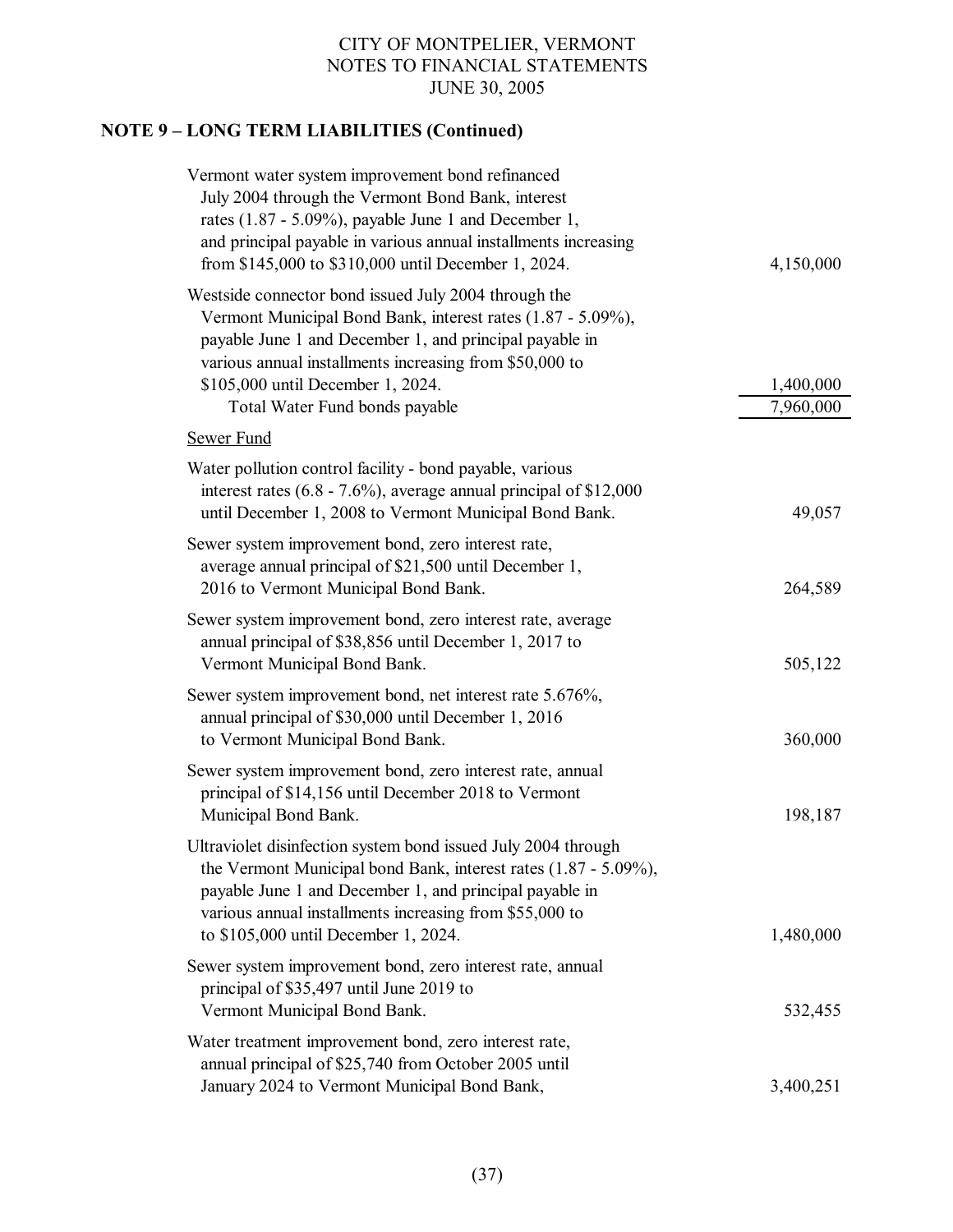# **NOTE 9 – LONG TERM LIABILITIES (Continued)**

| Vermont water system improvement bond refinanced<br>July 2004 through the Vermont Bond Bank, interest<br>rates $(1.87 - 5.09\%)$ , payable June 1 and December 1,<br>and principal payable in various annual installments increasing<br>from \$145,000 to \$310,000 until December 1, 2024.                      | 4,150,000              |
|------------------------------------------------------------------------------------------------------------------------------------------------------------------------------------------------------------------------------------------------------------------------------------------------------------------|------------------------|
| Westside connector bond issued July 2004 through the<br>Vermont Municipal Bond Bank, interest rates (1.87 - 5.09%),<br>payable June 1 and December 1, and principal payable in<br>various annual installments increasing from \$50,000 to<br>\$105,000 until December 1, 2024.<br>Total Water Fund bonds payable | 1,400,000<br>7,960,000 |
| Sewer Fund                                                                                                                                                                                                                                                                                                       |                        |
| Water pollution control facility - bond payable, various<br>interest rates $(6.8 - 7.6\%)$ , average annual principal of \$12,000<br>until December 1, 2008 to Vermont Municipal Bond Bank.                                                                                                                      | 49,057                 |
| Sewer system improvement bond, zero interest rate,<br>average annual principal of \$21,500 until December 1,<br>2016 to Vermont Municipal Bond Bank.                                                                                                                                                             | 264,589                |
| Sewer system improvement bond, zero interest rate, average<br>annual principal of \$38,856 until December 1, 2017 to<br>Vermont Municipal Bond Bank.                                                                                                                                                             | 505,122                |
| Sewer system improvement bond, net interest rate 5.676%,<br>annual principal of \$30,000 until December 1, 2016<br>to Vermont Municipal Bond Bank.                                                                                                                                                               | 360,000                |
| Sewer system improvement bond, zero interest rate, annual<br>principal of \$14,156 until December 2018 to Vermont<br>Municipal Bond Bank.                                                                                                                                                                        | 198,187                |
| Ultraviolet disinfection system bond issued July 2004 through<br>the Vermont Municipal bond Bank, interest rates $(1.87 - 5.09\%)$ ,<br>payable June 1 and December 1, and principal payable in<br>various annual installments increasing from \$55,000 to<br>to \$105,000 until December 1, 2024.               | 1,480,000              |
| Sewer system improvement bond, zero interest rate, annual<br>principal of \$35,497 until June 2019 to<br>Vermont Municipal Bond Bank.                                                                                                                                                                            | 532,455                |
| Water treatment improvement bond, zero interest rate,<br>annual principal of \$25,740 from October 2005 until<br>January 2024 to Vermont Municipal Bond Bank,                                                                                                                                                    | 3,400,251              |
|                                                                                                                                                                                                                                                                                                                  |                        |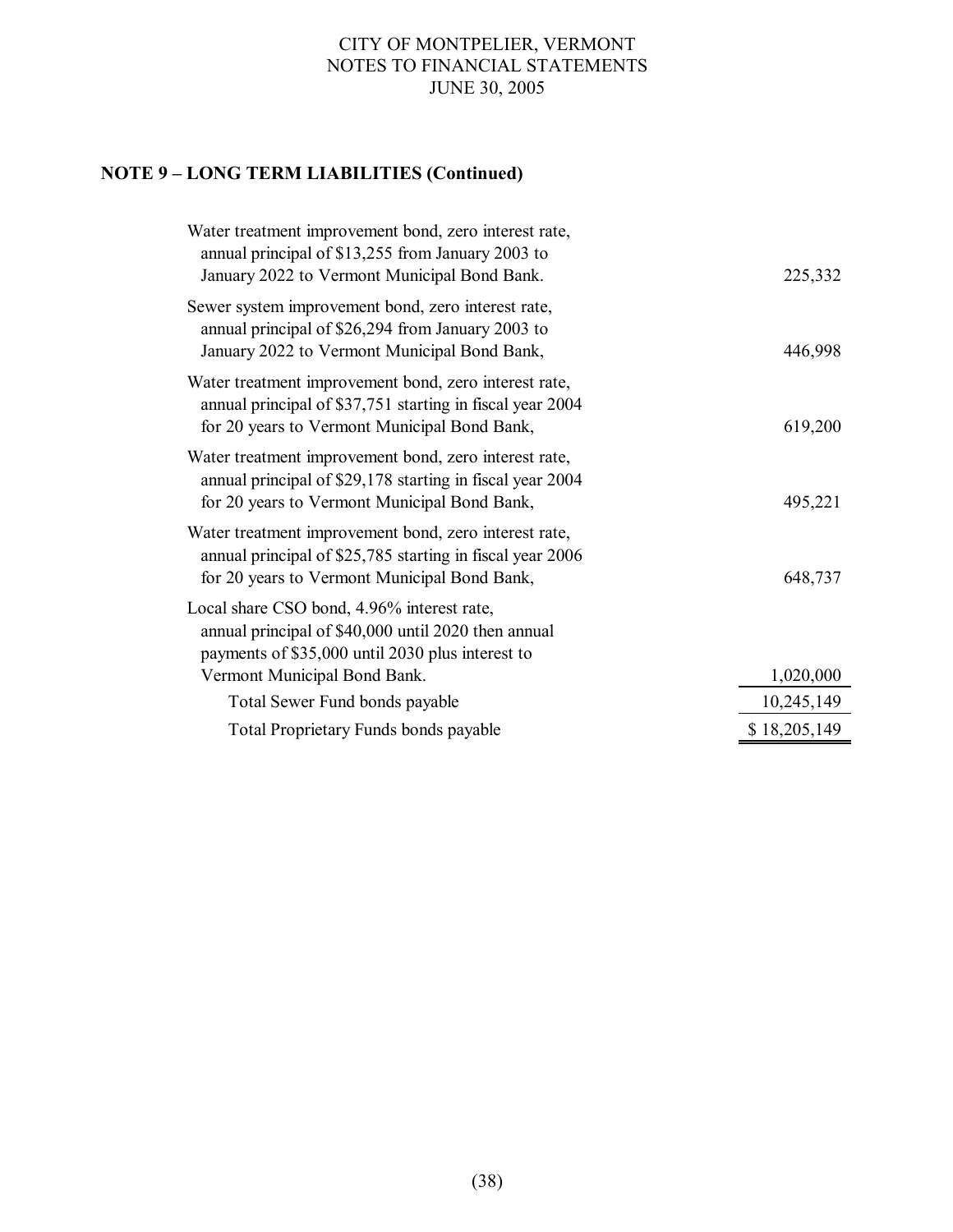# **NOTE 9 – LONG TERM LIABILITIES (Continued)**

| Water treatment improvement bond, zero interest rate,<br>annual principal of \$13,255 from January 2003 to<br>January 2022 to Vermont Municipal Bond Bank.         | 225,332      |
|--------------------------------------------------------------------------------------------------------------------------------------------------------------------|--------------|
| Sewer system improvement bond, zero interest rate,<br>annual principal of \$26,294 from January 2003 to<br>January 2022 to Vermont Municipal Bond Bank,            | 446,998      |
| Water treatment improvement bond, zero interest rate,<br>annual principal of \$37,751 starting in fiscal year 2004<br>for 20 years to Vermont Municipal Bond Bank, | 619,200      |
| Water treatment improvement bond, zero interest rate,<br>annual principal of \$29,178 starting in fiscal year 2004<br>for 20 years to Vermont Municipal Bond Bank, | 495,221      |
| Water treatment improvement bond, zero interest rate,<br>annual principal of \$25,785 starting in fiscal year 2006<br>for 20 years to Vermont Municipal Bond Bank, | 648,737      |
| Local share CSO bond, 4.96% interest rate,<br>annual principal of \$40,000 until 2020 then annual<br>payments of \$35,000 until 2030 plus interest to              |              |
| Vermont Municipal Bond Bank.                                                                                                                                       | 1,020,000    |
| Total Sewer Fund bonds payable                                                                                                                                     | 10,245,149   |
| <b>Total Proprietary Funds bonds payable</b>                                                                                                                       | \$18,205,149 |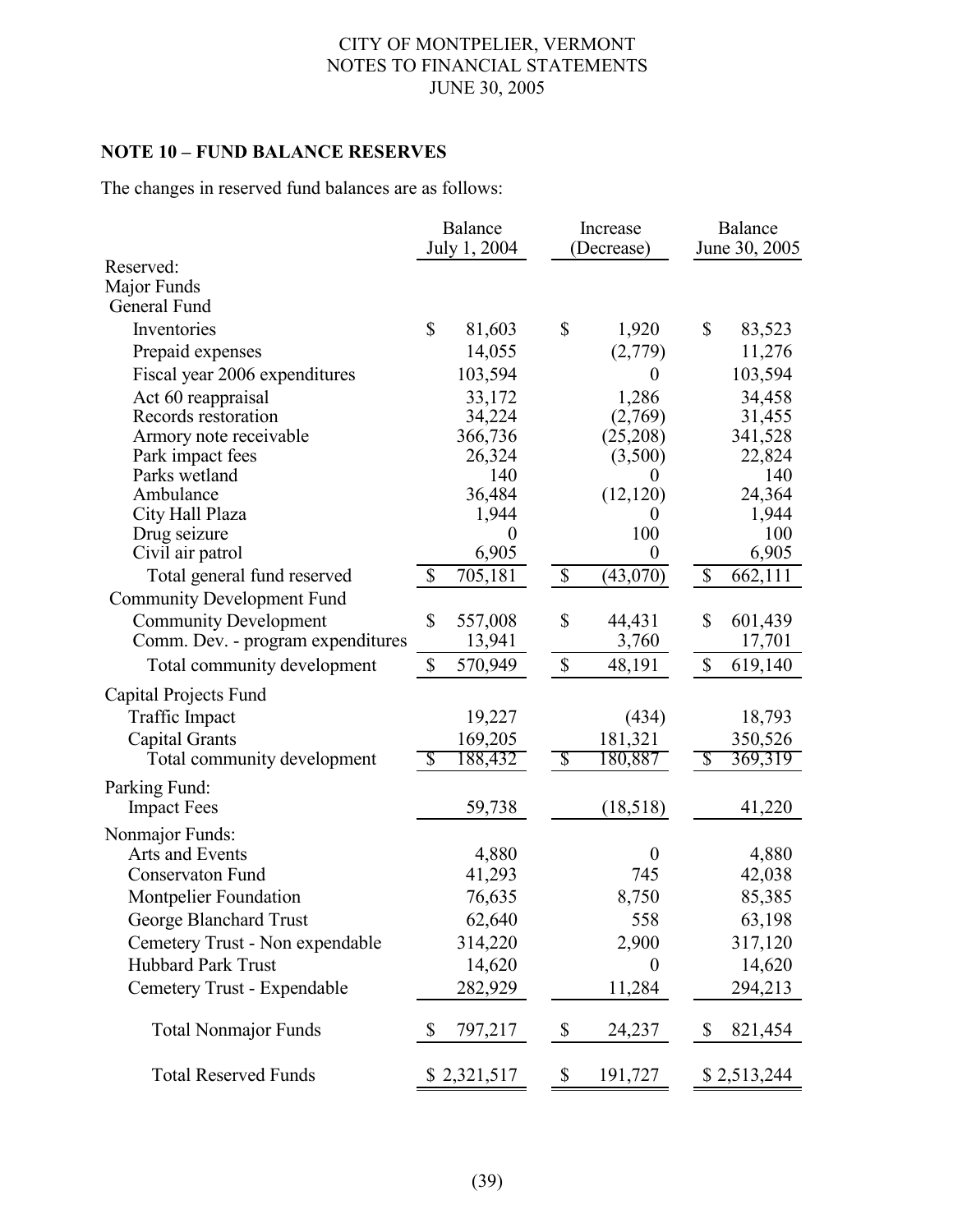# **NOTE 10 – FUND BALANCE RESERVES**

The changes in reserved fund balances are as follows:

|                                   |               | Balance<br>July 1, 2004   |                           | Increase<br>(Decrease) | Balance<br>June 30, 2005  |              |  |
|-----------------------------------|---------------|---------------------------|---------------------------|------------------------|---------------------------|--------------|--|
| Reserved:                         |               |                           |                           |                        |                           |              |  |
| Major Funds                       |               |                           |                           |                        |                           |              |  |
| General Fund                      |               |                           |                           |                        |                           |              |  |
| Inventories                       | $\mathcal{S}$ | 81,603                    | \$                        | 1,920                  | \$                        | 83,523       |  |
| Prepaid expenses                  |               | 14,055                    |                           | (2,779)                |                           | 11,276       |  |
| Fiscal year 2006 expenditures     |               | 103,594                   |                           | $\theta$               |                           | 103,594      |  |
| Act 60 reappraisal                |               | 33,172                    |                           | 1,286                  |                           | 34,458       |  |
| Records restoration               |               | 34,224                    |                           | (2,769)                |                           | 31,455       |  |
| Armory note receivable            |               | 366,736                   |                           | (25,208)               |                           | 341,528      |  |
| Park impact fees                  |               | 26,324                    |                           | (3,500)                |                           | 22,824       |  |
| Parks wetland                     |               | 140                       |                           | 0                      |                           | 140          |  |
| Ambulance                         |               | 36,484                    |                           | (12, 120)              |                           | 24,364       |  |
| City Hall Plaza                   |               | 1,944<br>$\boldsymbol{0}$ |                           | $\theta$<br>100        |                           | 1,944<br>100 |  |
| Drug seizure<br>Civil air patrol  |               | 6,905                     |                           | $\overline{0}$         |                           | 6,905        |  |
| Total general fund reserved       | \$            | 705,181                   | $\boldsymbol{\mathsf{S}}$ | (43,070)               | \$                        | 662,111      |  |
| <b>Community Development Fund</b> |               |                           |                           |                        |                           |              |  |
|                                   |               |                           |                           |                        |                           |              |  |
| <b>Community Development</b>      | \$            | 557,008                   | \$                        | 44,431                 | \$                        | 601,439      |  |
| Comm. Dev. - program expenditures |               | 13,941                    |                           | 3,760                  |                           | 17,701       |  |
| Total community development       | \$            | 570,949                   | $\boldsymbol{\mathsf{S}}$ | 48,191                 | \$                        | 619,140      |  |
| Capital Projects Fund             |               |                           |                           |                        |                           |              |  |
| <b>Traffic Impact</b>             |               | 19,227                    |                           | (434)                  |                           | 18,793       |  |
| <b>Capital Grants</b>             |               | 169,205                   |                           | 181,321                |                           | 350,526      |  |
| Total community development       | Ъ,            | 188,432                   | $\mathcal{S}$             | 180,887                | S                         | 369,319      |  |
| Parking Fund:                     |               |                           |                           |                        |                           |              |  |
| <b>Impact Fees</b>                |               | 59,738                    |                           | (18,518)               |                           | 41,220       |  |
| Nonmajor Funds:                   |               |                           |                           |                        |                           |              |  |
| Arts and Events                   |               | 4,880                     |                           | $\boldsymbol{0}$       |                           | 4,880        |  |
| Conservaton Fund                  |               | 41,293                    |                           | 745                    |                           | 42,038       |  |
| <b>Montpelier Foundation</b>      |               | 76,635                    |                           | 8,750                  |                           | 85,385       |  |
| George Blanchard Trust            |               | 62,640                    |                           | 558                    |                           | 63,198       |  |
| Cemetery Trust - Non expendable   |               | 314,220                   |                           | 2,900                  |                           | 317,120      |  |
| <b>Hubbard Park Trust</b>         |               | 14,620                    |                           | $\theta$               |                           | 14,620       |  |
| Cemetery Trust - Expendable       |               | 282,929                   |                           | 11,284                 |                           | 294,213      |  |
|                                   |               |                           |                           |                        |                           |              |  |
| <b>Total Nonmajor Funds</b>       | S             | 797,217                   | $\boldsymbol{\mathsf{S}}$ | 24,237                 | $\boldsymbol{\mathsf{S}}$ | 821,454      |  |
| <b>Total Reserved Funds</b>       |               | \$2,321,517               | \$                        | 191,727                |                           | \$2,513,244  |  |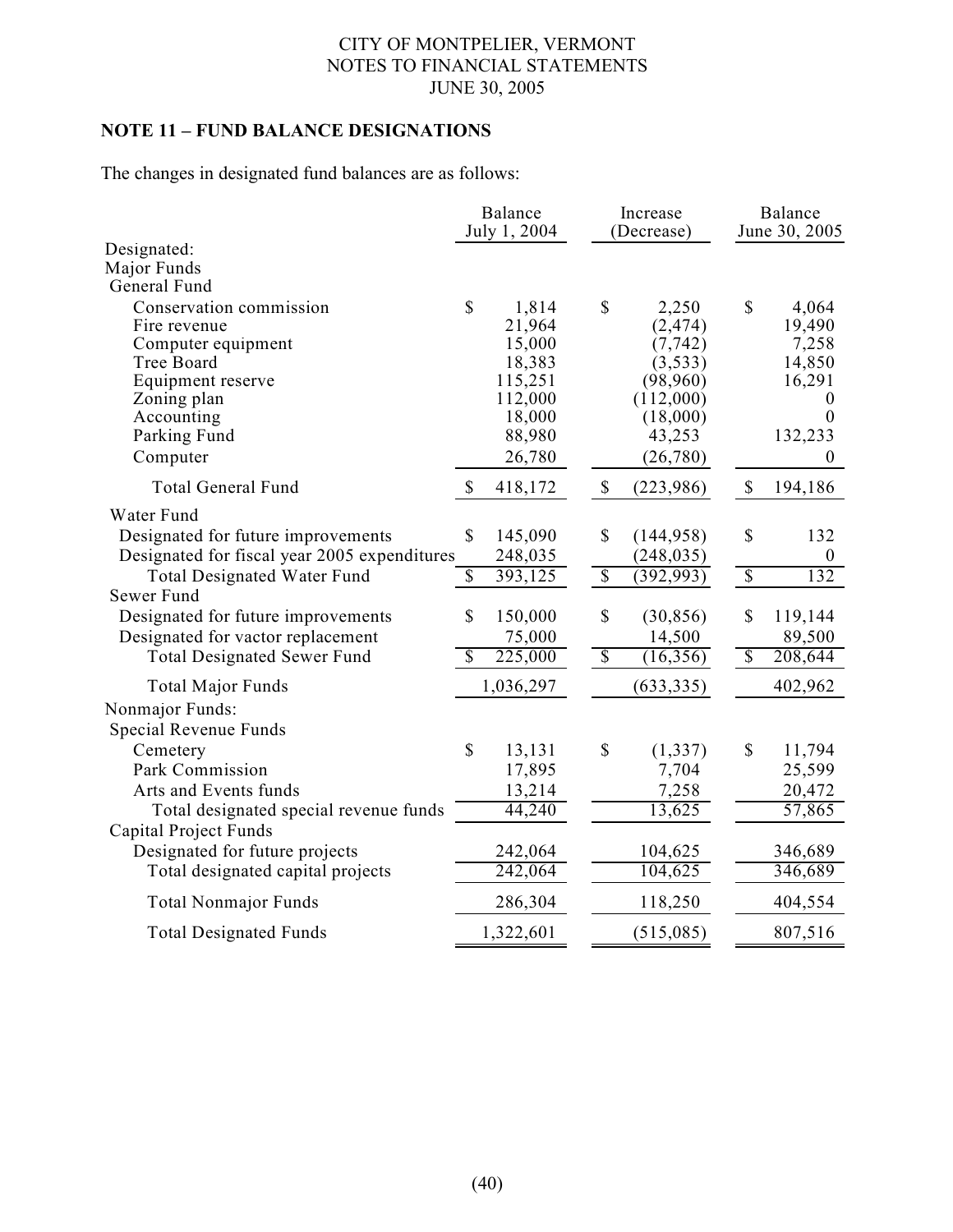## **NOTE 11 – FUND BALANCE DESIGNATIONS**

The changes in designated fund balances are as follows:

|                                              |              | Balance<br>July 1, 2004 |                           | Increase<br>(Decrease) |                          | <b>Balance</b><br>June 30, 2005 |  |  |
|----------------------------------------------|--------------|-------------------------|---------------------------|------------------------|--------------------------|---------------------------------|--|--|
| Designated:<br>Major Funds                   |              |                         |                           |                        |                          |                                 |  |  |
| General Fund                                 |              |                         |                           |                        |                          |                                 |  |  |
| Conservation commission                      | $\mathbf S$  | 1,814                   | \$                        | 2,250                  | $\mathbb{S}$             | 4,064                           |  |  |
| Fire revenue                                 |              | 21,964                  |                           | (2, 474)               |                          | 19,490                          |  |  |
| Computer equipment                           |              | 15,000                  |                           | (7, 742)               |                          | 7,258                           |  |  |
| Tree Board                                   |              | 18,383                  |                           | (3,533)                |                          | 14,850                          |  |  |
| Equipment reserve                            |              | 115,251                 |                           | (98,960)               |                          | 16,291                          |  |  |
| Zoning plan<br>Accounting                    |              | 112,000<br>18,000       |                           | (112,000)<br>(18,000)  |                          | $\theta$<br>$\boldsymbol{0}$    |  |  |
| Parking Fund                                 |              | 88,980                  |                           | 43,253                 |                          | 132,233                         |  |  |
| Computer                                     |              | 26,780                  |                           | (26,780)               |                          | $\boldsymbol{0}$                |  |  |
|                                              |              |                         |                           |                        |                          |                                 |  |  |
| <b>Total General Fund</b>                    | \$           | 418,172                 | $\boldsymbol{\mathsf{S}}$ | (223,986)              | $\$$                     | 194,186                         |  |  |
| Water Fund                                   |              |                         |                           |                        |                          |                                 |  |  |
| Designated for future improvements           | \$           | 145,090                 | \$                        | (144, 958)             | \$                       | 132                             |  |  |
| Designated for fiscal year 2005 expenditures |              | 248,035                 |                           | (248, 035)             |                          | $\boldsymbol{0}$                |  |  |
| <b>Total Designated Water Fund</b>           | \$           | 393,125                 | $\overline{\mathbb{S}}$   | (392, 993)             | $\overline{\mathbb{S}}$  | 132                             |  |  |
| Sewer Fund                                   |              |                         |                           |                        |                          |                                 |  |  |
| Designated for future improvements           | \$           | 150,000                 | \$                        | (30, 856)              | \$                       | 119,144                         |  |  |
| Designated for vactor replacement            |              | 75,000                  |                           | 14,500                 |                          | 89,500                          |  |  |
| <b>Total Designated Sewer Fund</b>           | $\mathbb{S}$ | 225,000                 | $\overline{\mathcal{S}}$  | (16, 356)              | $\overline{\mathcal{S}}$ | 208,644                         |  |  |
| <b>Total Major Funds</b>                     |              | 1,036,297               |                           | (633, 335)             |                          | 402,962                         |  |  |
| Nonmajor Funds:                              |              |                         |                           |                        |                          |                                 |  |  |
| Special Revenue Funds                        |              |                         |                           |                        |                          |                                 |  |  |
| Cemetery                                     | \$           | 13,131                  | \$                        | (1, 337)               | \$                       | 11,794                          |  |  |
| Park Commission                              |              | 17,895                  |                           | 7,704                  |                          | 25,599                          |  |  |
| Arts and Events funds                        |              | 13,214                  |                           | 7,258                  |                          | 20,472                          |  |  |
| Total designated special revenue funds       |              | 44,240                  |                           | 13,625                 |                          | 57,865                          |  |  |
| Capital Project Funds                        |              |                         |                           |                        |                          |                                 |  |  |
| Designated for future projects               |              | 242,064                 |                           | 104,625                |                          | 346,689                         |  |  |
| Total designated capital projects            |              | 242,064                 |                           | 104,625                |                          | 346,689                         |  |  |
| <b>Total Nonmajor Funds</b>                  |              | 286,304                 |                           | 118,250                |                          | 404,554                         |  |  |
| <b>Total Designated Funds</b>                |              | 1,322,601               |                           | (515,085)              |                          | 807,516                         |  |  |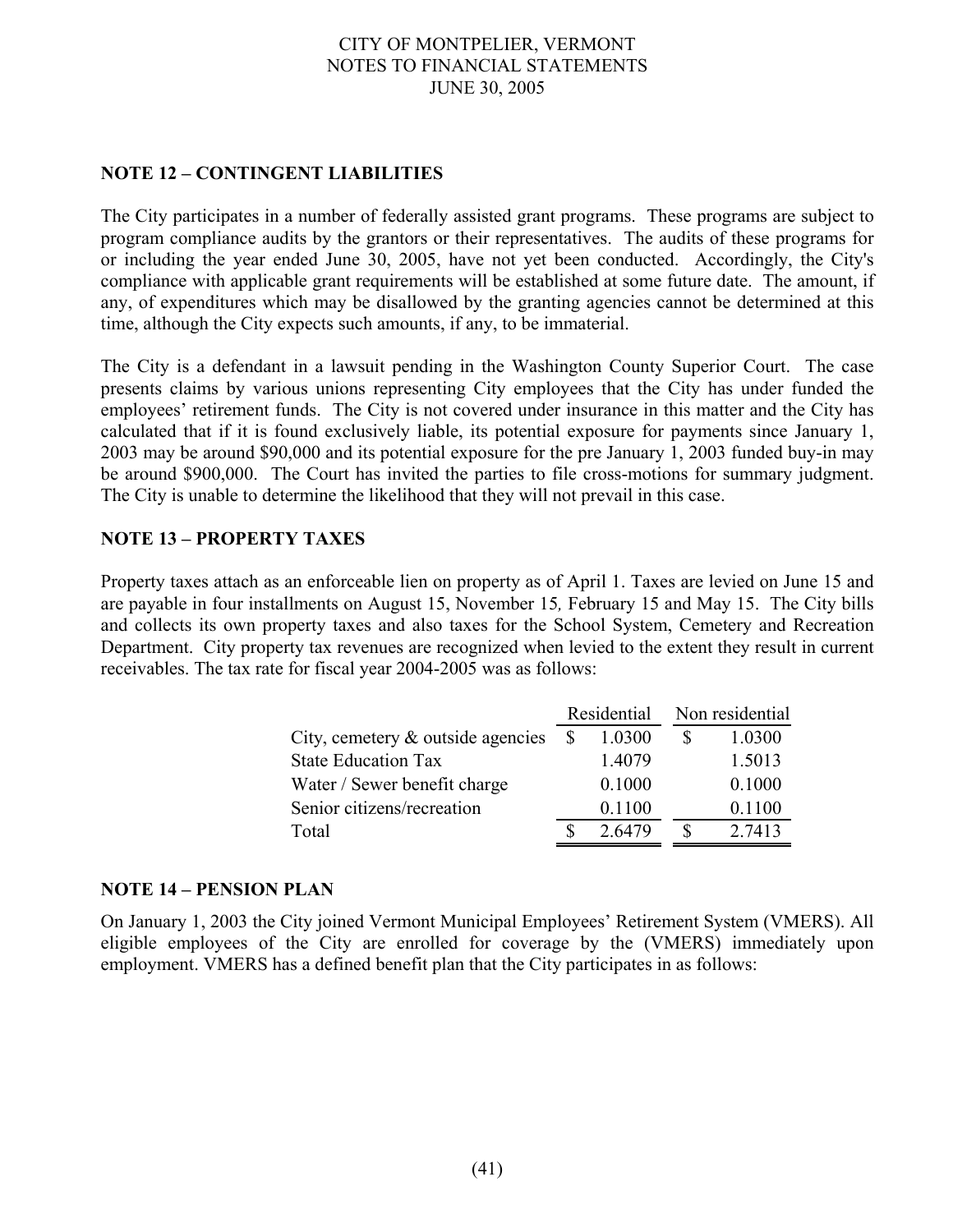## **NOTE 12 – CONTINGENT LIABILITIES**

The City participates in a number of federally assisted grant programs. These programs are subject to program compliance audits by the grantors or their representatives. The audits of these programs for or including the year ended June 30, 2005, have not yet been conducted. Accordingly, the City's compliance with applicable grant requirements will be established at some future date. The amount, if any, of expenditures which may be disallowed by the granting agencies cannot be determined at this time, although the City expects such amounts, if any, to be immaterial.

The City is a defendant in a lawsuit pending in the Washington County Superior Court. The case presents claims by various unions representing City employees that the City has under funded the employees' retirement funds. The City is not covered under insurance in this matter and the City has calculated that if it is found exclusively liable, its potential exposure for payments since January 1, 2003 may be around \$90,000 and its potential exposure for the pre January 1, 2003 funded buy-in may be around \$900,000. The Court has invited the parties to file cross-motions for summary judgment. The City is unable to determine the likelihood that they will not prevail in this case.

## **NOTE 13 – PROPERTY TAXES**

Property taxes attach as an enforceable lien on property as of April 1. Taxes are levied on June 15 and are payable in four installments on August 15, November 15*,* February 15 and May 15. The City bills and collects its own property taxes and also taxes for the School System, Cemetery and Recreation Department. City property tax revenues are recognized when levied to the extent they result in current receivables. The tax rate for fiscal year 2004-2005 was as follows:

|                                      |              | Residential | Non residential |  |  |
|--------------------------------------|--------------|-------------|-----------------|--|--|
| City, cemetery $\&$ outside agencies | <sup>S</sup> | 1.0300      | 1.0300          |  |  |
| <b>State Education Tax</b>           |              | 1.4079      | 1.5013          |  |  |
| Water / Sewer benefit charge         |              | 0.1000      | 0.1000          |  |  |
| Senior citizens/recreation           |              | 0.1100      | 0.1100          |  |  |
| Total                                |              | 2.6479      | 2.7413          |  |  |

#### **NOTE 14 – PENSION PLAN**

On January 1, 2003 the City joined Vermont Municipal Employees' Retirement System (VMERS). All eligible employees of the City are enrolled for coverage by the (VMERS) immediately upon employment. VMERS has a defined benefit plan that the City participates in as follows: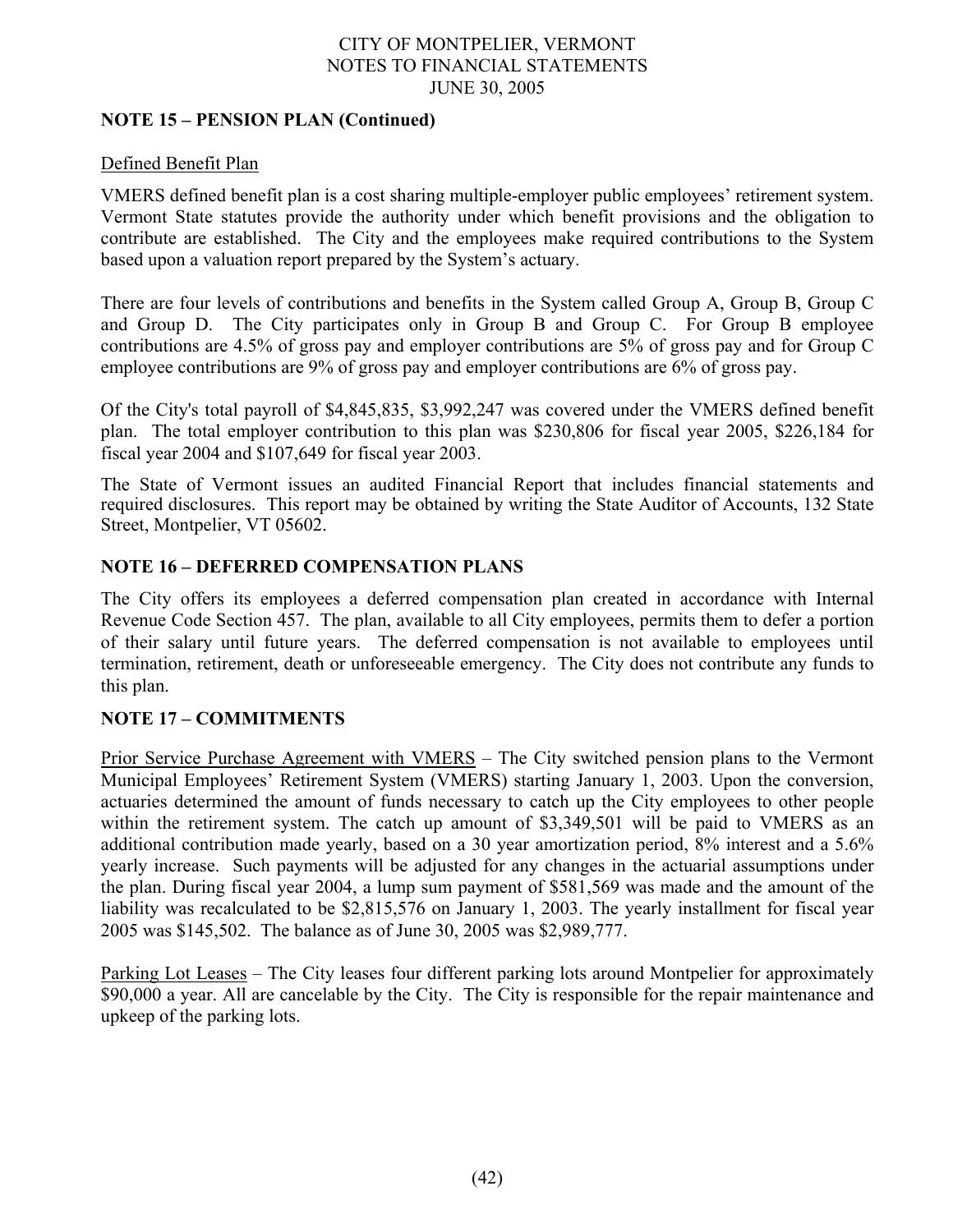## **NOTE 15 – PENSION PLAN (Continued)**

## Defined Benefit Plan

VMERS defined benefit plan is a cost sharing multiple-employer public employees' retirement system. Vermont State statutes provide the authority under which benefit provisions and the obligation to contribute are established. The City and the employees make required contributions to the System based upon a valuation report prepared by the System's actuary.

There are four levels of contributions and benefits in the System called Group A, Group B, Group C and Group D. The City participates only in Group B and Group C. For Group B employee contributions are 4.5% of gross pay and employer contributions are 5% of gross pay and for Group C employee contributions are 9% of gross pay and employer contributions are 6% of gross pay.

Of the City's total payroll of \$4,845,835, \$3,992,247 was covered under the VMERS defined benefit plan. The total employer contribution to this plan was \$230,806 for fiscal year 2005, \$226,184 for fiscal year 2004 and \$107,649 for fiscal year 2003.

The State of Vermont issues an audited Financial Report that includes financial statements and required disclosures. This report may be obtained by writing the State Auditor of Accounts, 132 State Street, Montpelier, VT 05602.

## **NOTE 16 – DEFERRED COMPENSATION PLANS**

The City offers its employees a deferred compensation plan created in accordance with Internal Revenue Code Section 457. The plan, available to all City employees, permits them to defer a portion of their salary until future years. The deferred compensation is not available to employees until termination, retirement, death or unforeseeable emergency. The City does not contribute any funds to this plan.

## **NOTE 17 – COMMITMENTS**

Prior Service Purchase Agreement with VMERS – The City switched pension plans to the Vermont Municipal Employees' Retirement System (VMERS) starting January 1, 2003. Upon the conversion, actuaries determined the amount of funds necessary to catch up the City employees to other people within the retirement system. The catch up amount of \$3,349,501 will be paid to VMERS as an additional contribution made yearly, based on a 30 year amortization period, 8% interest and a 5.6% yearly increase. Such payments will be adjusted for any changes in the actuarial assumptions under the plan. During fiscal year 2004, a lump sum payment of \$581,569 was made and the amount of the liability was recalculated to be \$2,815,576 on January 1, 2003. The yearly installment for fiscal year 2005 was \$145,502. The balance as of June 30, 2005 was \$2,989,777.

Parking Lot Leases – The City leases four different parking lots around Montpelier for approximately \$90,000 a year. All are cancelable by the City. The City is responsible for the repair maintenance and upkeep of the parking lots.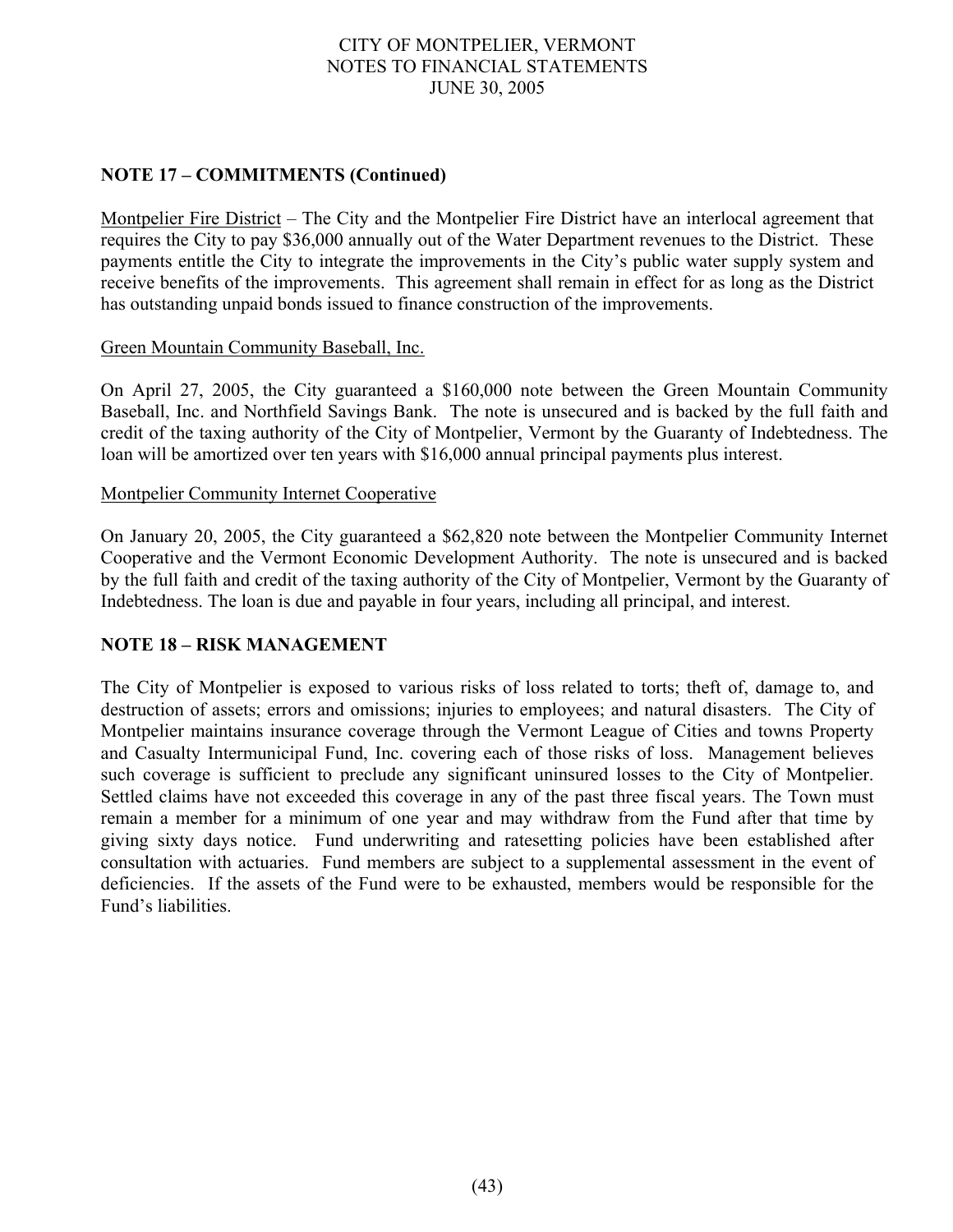## **NOTE 17 – COMMITMENTS (Continued)**

Montpelier Fire District – The City and the Montpelier Fire District have an interlocal agreement that requires the City to pay \$36,000 annually out of the Water Department revenues to the District. These payments entitle the City to integrate the improvements in the City's public water supply system and receive benefits of the improvements. This agreement shall remain in effect for as long as the District has outstanding unpaid bonds issued to finance construction of the improvements.

#### Green Mountain Community Baseball, Inc.

On April 27, 2005, the City guaranteed a \$160,000 note between the Green Mountain Community Baseball, Inc. and Northfield Savings Bank. The note is unsecured and is backed by the full faith and credit of the taxing authority of the City of Montpelier, Vermont by the Guaranty of Indebtedness. The loan will be amortized over ten years with \$16,000 annual principal payments plus interest.

#### Montpelier Community Internet Cooperative

On January 20, 2005, the City guaranteed a \$62,820 note between the Montpelier Community Internet Cooperative and the Vermont Economic Development Authority. The note is unsecured and is backed by the full faith and credit of the taxing authority of the City of Montpelier, Vermont by the Guaranty of Indebtedness. The loan is due and payable in four years, including all principal, and interest.

#### **NOTE 18 – RISK MANAGEMENT**

The City of Montpelier is exposed to various risks of loss related to torts; theft of, damage to, and destruction of assets; errors and omissions; injuries to employees; and natural disasters. The City of Montpelier maintains insurance coverage through the Vermont League of Cities and towns Property and Casualty Intermunicipal Fund, Inc. covering each of those risks of loss. Management believes such coverage is sufficient to preclude any significant uninsured losses to the City of Montpelier. Settled claims have not exceeded this coverage in any of the past three fiscal years. The Town must remain a member for a minimum of one year and may withdraw from the Fund after that time by giving sixty days notice. Fund underwriting and ratesetting policies have been established after consultation with actuaries. Fund members are subject to a supplemental assessment in the event of deficiencies. If the assets of the Fund were to be exhausted, members would be responsible for the Fund's liabilities.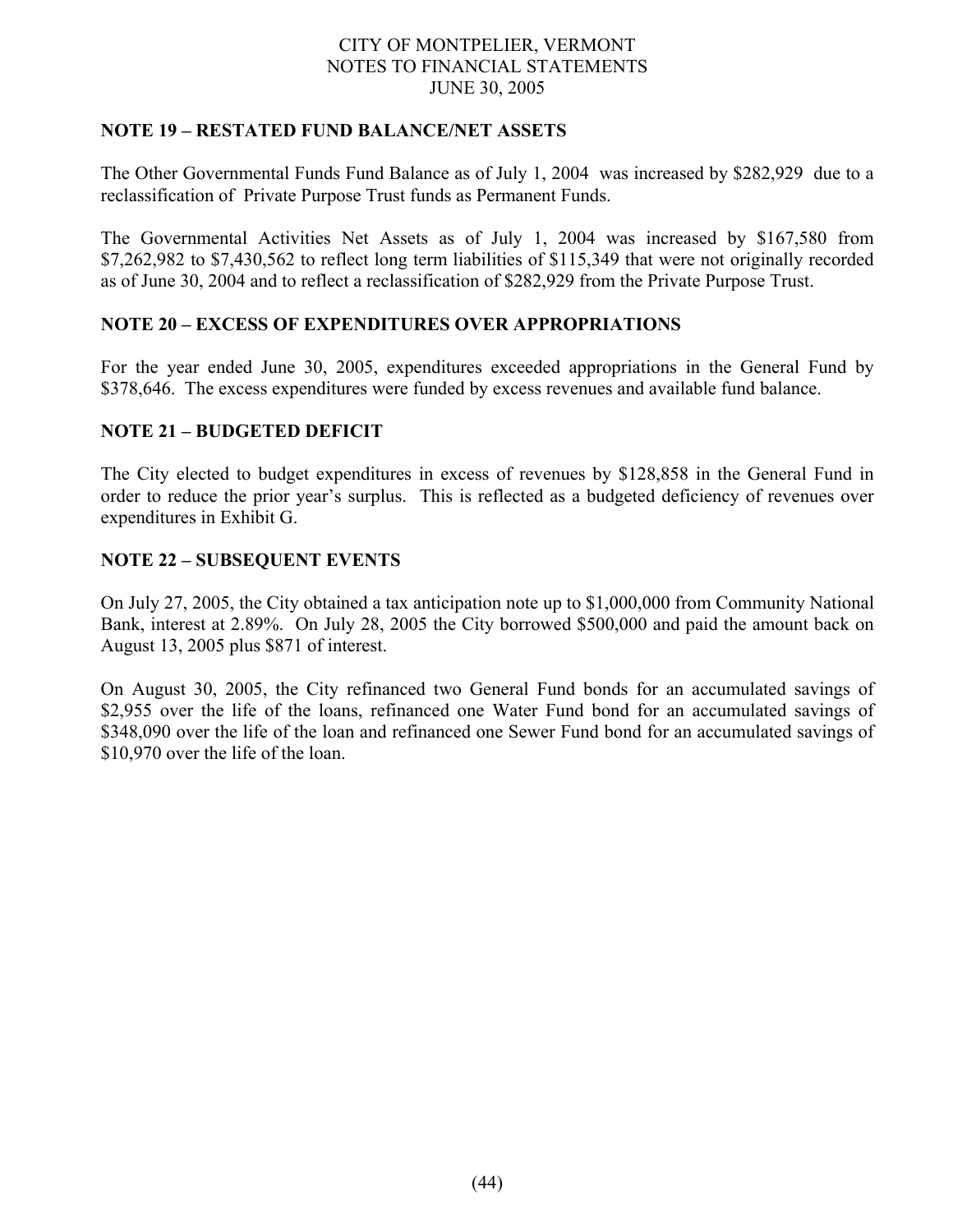## **NOTE 19 – RESTATED FUND BALANCE/NET ASSETS**

The Other Governmental Funds Fund Balance as of July 1, 2004 was increased by \$282,929 due to a reclassification of Private Purpose Trust funds as Permanent Funds.

The Governmental Activities Net Assets as of July 1, 2004 was increased by \$167,580 from \$7,262,982 to \$7,430,562 to reflect long term liabilities of \$115,349 that were not originally recorded as of June 30, 2004 and to reflect a reclassification of \$282,929 from the Private Purpose Trust.

## **NOTE 20 – EXCESS OF EXPENDITURES OVER APPROPRIATIONS**

For the year ended June 30, 2005, expenditures exceeded appropriations in the General Fund by \$378,646. The excess expenditures were funded by excess revenues and available fund balance.

## **NOTE 21 – BUDGETED DEFICIT**

The City elected to budget expenditures in excess of revenues by \$128,858 in the General Fund in order to reduce the prior year's surplus. This is reflected as a budgeted deficiency of revenues over expenditures in Exhibit G.

## **NOTE 22 – SUBSEQUENT EVENTS**

On July 27, 2005, the City obtained a tax anticipation note up to \$1,000,000 from Community National Bank, interest at 2.89%. On July 28, 2005 the City borrowed \$500,000 and paid the amount back on August 13, 2005 plus \$871 of interest.

On August 30, 2005, the City refinanced two General Fund bonds for an accumulated savings of \$2,955 over the life of the loans, refinanced one Water Fund bond for an accumulated savings of \$348,090 over the life of the loan and refinanced one Sewer Fund bond for an accumulated savings of \$10,970 over the life of the loan.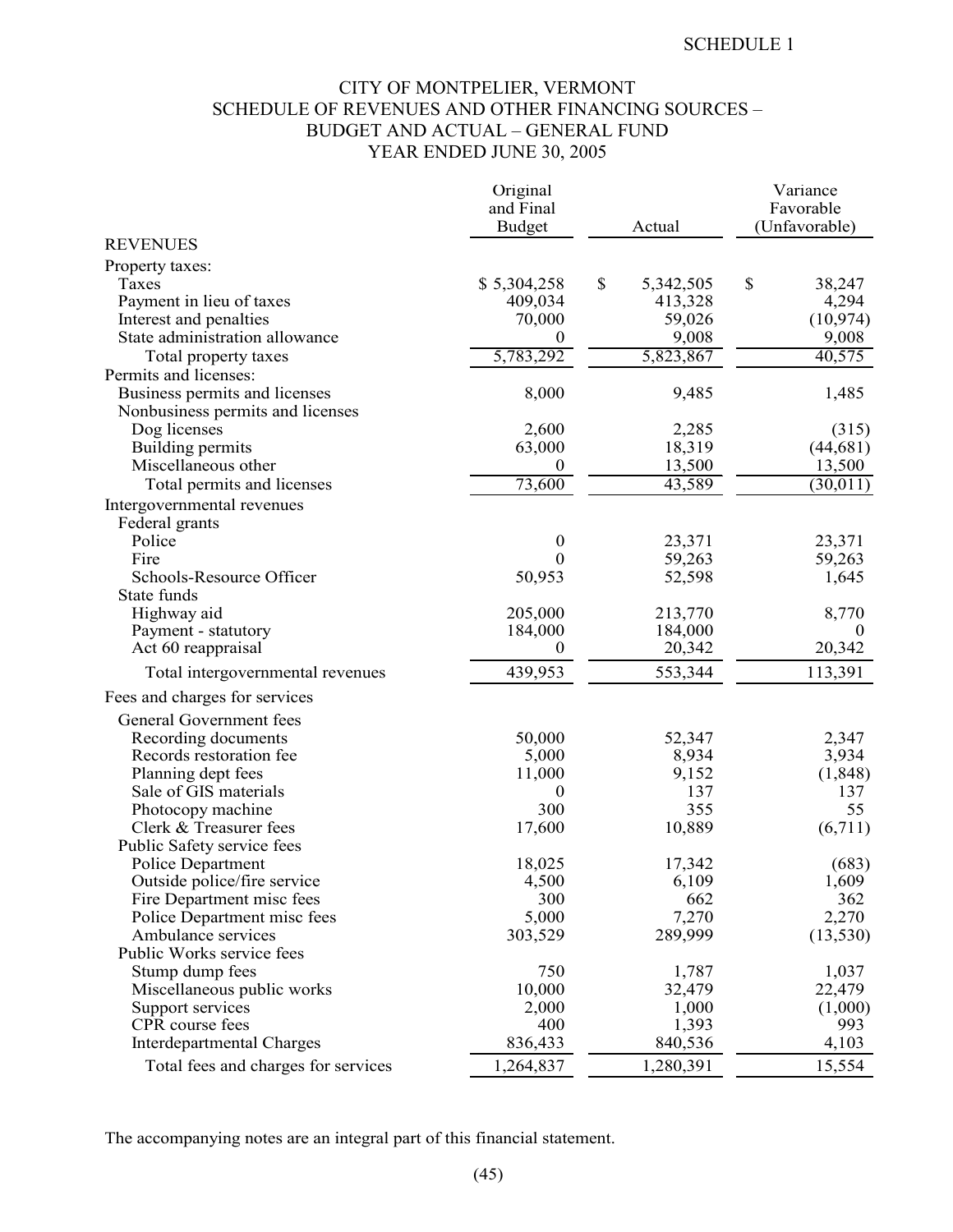## CITY OF MONTPELIER, VERMONT SCHEDULE OF REVENUES AND OTHER FINANCING SOURCES – BUDGET AND ACTUAL – GENERAL FUND YEAR ENDED JUNE 30, 2005

|                                     | Original         |                 | Variance      |
|-------------------------------------|------------------|-----------------|---------------|
|                                     | and Final        |                 | Favorable     |
|                                     | <b>Budget</b>    | Actual          | (Unfavorable) |
| <b>REVENUES</b>                     |                  |                 |               |
| Property taxes:                     |                  |                 |               |
| Taxes                               | \$5,304,258      | \$<br>5,342,505 | \$<br>38,247  |
| Payment in lieu of taxes            | 409,034          | 413,328         | 4,294         |
| Interest and penalties              | 70,000           | 59,026          | (10, 974)     |
| State administration allowance      | $\theta$         | 9,008           | 9,008         |
| Total property taxes                | 5,783,292        | 5,823,867       | 40,575        |
| Permits and licenses:               |                  |                 |               |
| Business permits and licenses       | 8,000            | 9,485           | 1,485         |
| Nonbusiness permits and licenses    |                  |                 |               |
| Dog licenses                        | 2,600            | 2,285           | (315)         |
| Building permits                    | 63,000           | 18,319          | (44, 681)     |
| Miscellaneous other                 | $\boldsymbol{0}$ | 13,500          | 13,500        |
| Total permits and licenses          | 73,600           | 43,589          | (30, 011)     |
| Intergovernmental revenues          |                  |                 |               |
| Federal grants                      |                  |                 |               |
| Police                              | $\boldsymbol{0}$ | 23,371          | 23,371        |
| Fire                                | 0                | 59,263          | 59,263        |
| Schools-Resource Officer            | 50,953           | 52,598          | 1,645         |
| State funds                         |                  |                 |               |
| Highway aid                         | 205,000          | 213,770         | 8,770         |
| Payment - statutory                 | 184,000          | 184,000         | $\theta$      |
| Act 60 reappraisal                  | $\boldsymbol{0}$ | 20,342          | 20,342        |
| Total intergovernmental revenues    | 439,953          | 553,344         | 113,391       |
| Fees and charges for services       |                  |                 |               |
| General Government fees             |                  |                 |               |
| Recording documents                 | 50,000           | 52,347          | 2,347         |
| Records restoration fee             | 5,000            | 8,934           | 3,934         |
| Planning dept fees                  | 11,000           | 9,152           | (1,848)       |
| Sale of GIS materials               | $\theta$         | 137             | 137           |
| Photocopy machine                   | 300              | 355             | 55            |
| Clerk & Treasurer fees              | 17,600           | 10,889          | (6,711)       |
| Public Safety service fees          |                  |                 |               |
| Police Department                   | 18,025           | 17,342          | (683)         |
| Outside police/fire service         | 4,500            | 6,109           | 1,609         |
| Fire Department misc fees           | 300              | 662             | 362           |
| Police Department misc fees         | 5,000            | 7,270           | 2,270         |
| Ambulance services                  | 303,529          | 289,999         | (13, 530)     |
| Public Works service fees           |                  |                 |               |
| Stump dump fees                     | 750              | 1,787           | 1,037         |
| Miscellaneous public works          | 10,000           | 32,479          | 22,479        |
| Support services                    | 2,000            | 1,000           | (1,000)       |
| CPR course fees                     | 400              | 1,393           | 993           |
| Interdepartmental Charges           | 836,433          | 840,536         | 4,103         |
| Total fees and charges for services | 1,264,837        | 1,280,391       | 15,554        |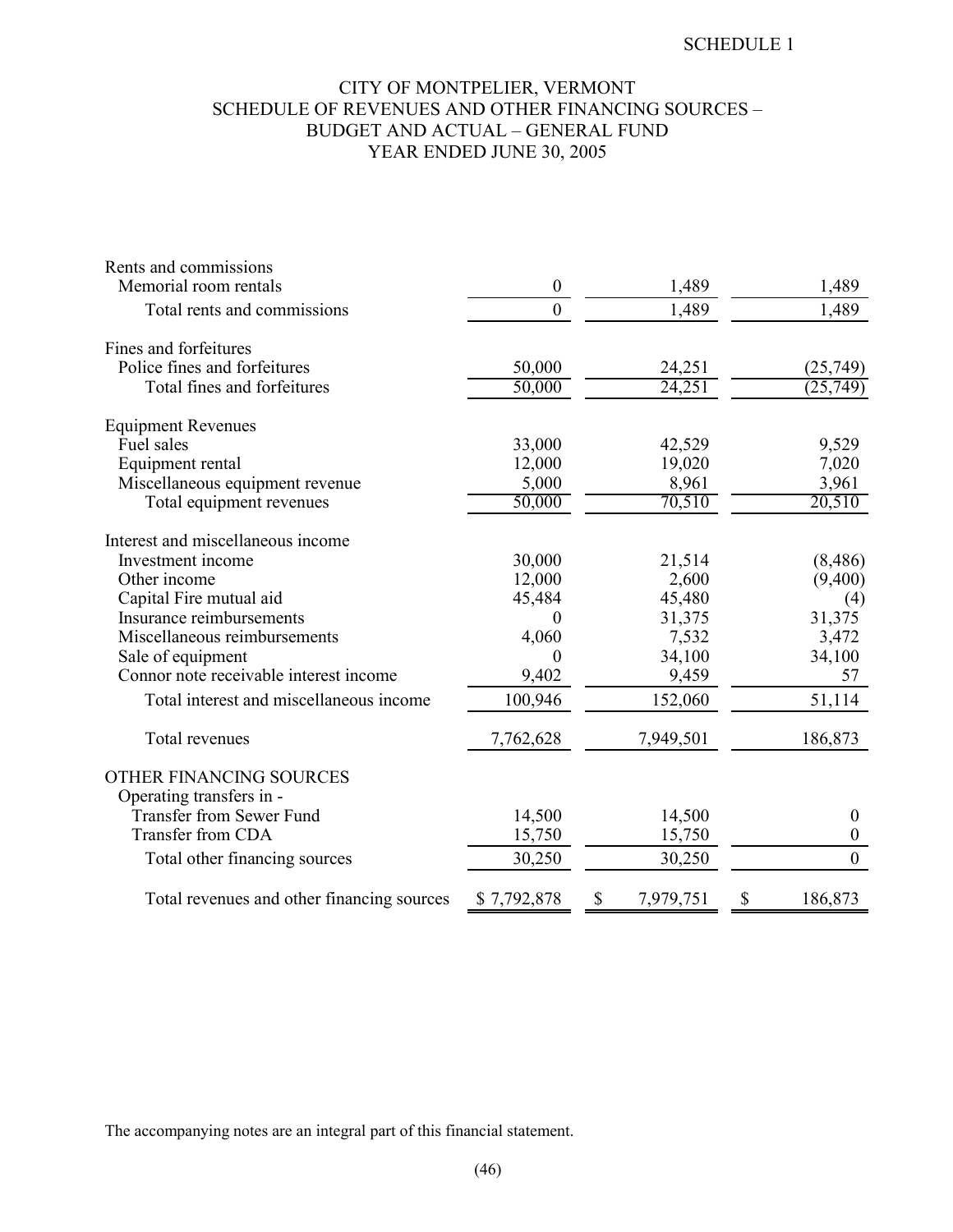## CITY OF MONTPELIER, VERMONT SCHEDULE OF REVENUES AND OTHER FINANCING SOURCES – BUDGET AND ACTUAL – GENERAL FUND YEAR ENDED JUNE 30, 2005

| Rents and commissions                      |                  |                 |         |                  |
|--------------------------------------------|------------------|-----------------|---------|------------------|
| Memorial room rentals                      | $\boldsymbol{0}$ |                 | 1,489   | 1,489            |
| Total rents and commissions                | $\boldsymbol{0}$ |                 | 1,489   | 1,489            |
| Fines and forfeitures                      |                  |                 |         |                  |
| Police fines and forfeitures               | 50,000           |                 | 24,251  | (25, 749)        |
| Total fines and forfeitures                | 50,000           |                 | 24,251  | (25, 749)        |
| <b>Equipment Revenues</b>                  |                  |                 |         |                  |
| Fuel sales                                 | 33,000           |                 | 42,529  | 9,529            |
| Equipment rental                           | 12,000           |                 | 19,020  | 7,020            |
| Miscellaneous equipment revenue            | 5,000            |                 | 8,961   | 3,961            |
| Total equipment revenues                   | 50,000           |                 | 70,510  | 20,510           |
| Interest and miscellaneous income          |                  |                 |         |                  |
| Investment income                          | 30,000           |                 | 21,514  | (8,486)          |
| Other income                               | 12,000           |                 | 2,600   | (9,400)          |
| Capital Fire mutual aid                    | 45,484           |                 | 45,480  | (4)              |
| Insurance reimbursements                   | 0                |                 | 31,375  | 31,375           |
| Miscellaneous reimbursements               | 4,060            |                 | 7,532   | 3,472            |
| Sale of equipment                          | $\boldsymbol{0}$ |                 | 34,100  | 34,100           |
| Connor note receivable interest income     | 9,402            |                 | 9,459   | 57               |
| Total interest and miscellaneous income    | 100,946          |                 | 152,060 | 51,114           |
| Total revenues                             | 7,762,628        | 7,949,501       |         | 186,873          |
| OTHER FINANCING SOURCES                    |                  |                 |         |                  |
| Operating transfers in -                   |                  |                 |         |                  |
| <b>Transfer from Sewer Fund</b>            | 14,500           |                 | 14,500  | $\boldsymbol{0}$ |
| <b>Transfer from CDA</b>                   | 15,750           |                 | 15,750  | $\boldsymbol{0}$ |
| Total other financing sources              | 30,250           |                 | 30,250  | $\overline{0}$   |
| Total revenues and other financing sources | \$7,792,878      | \$<br>7,979,751 | \$      | 186,873          |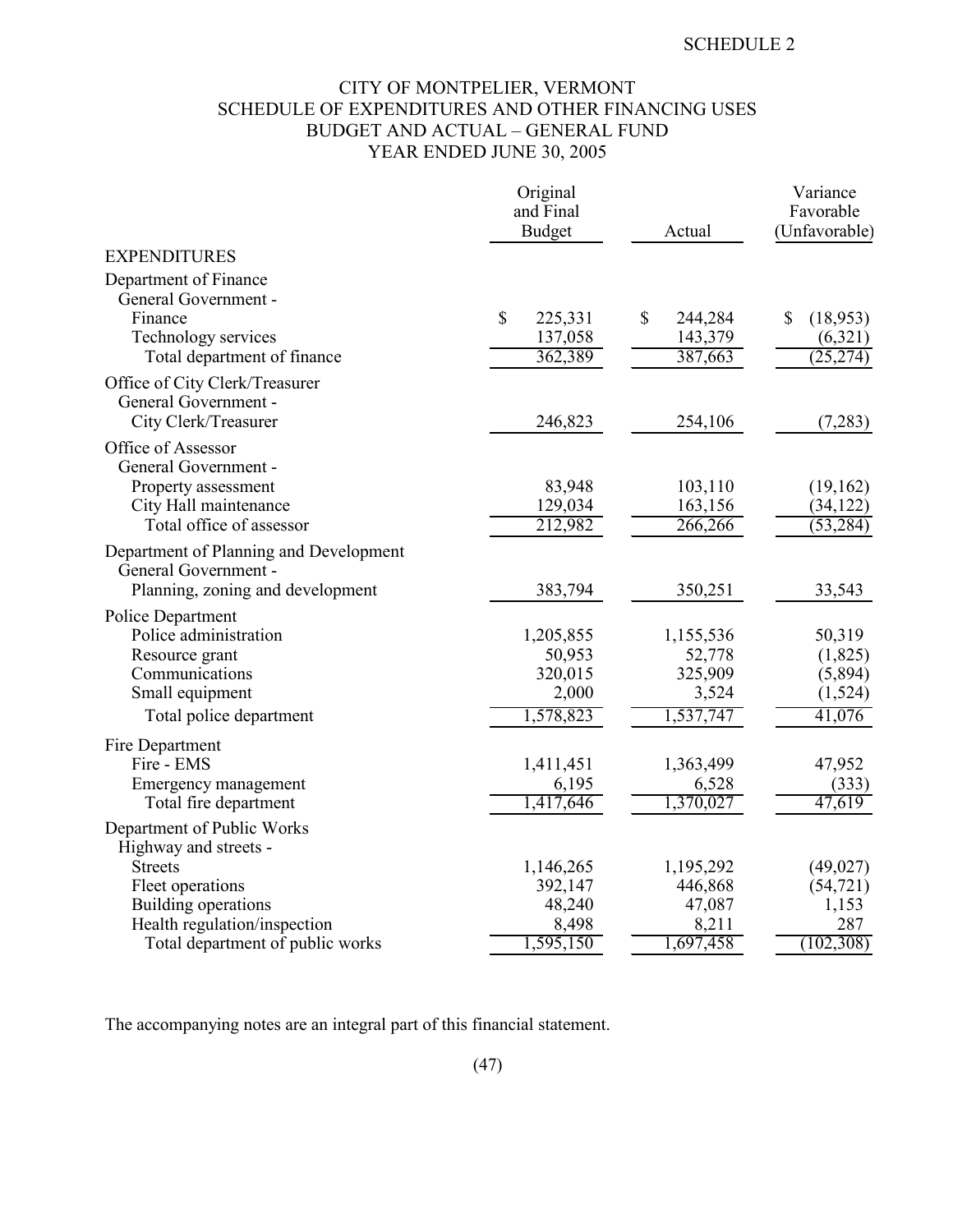## CITY OF MONTPELIER, VERMONT SCHEDULE OF EXPENDITURES AND OTHER FINANCING USES BUDGET AND ACTUAL – GENERAL FUND YEAR ENDED JUNE 30, 2005

|                                                                                | Original<br>and Final |               | Variance<br>Favorable |
|--------------------------------------------------------------------------------|-----------------------|---------------|-----------------------|
|                                                                                | <b>Budget</b>         | Actual        | (Unfavorable)         |
| <b>EXPENDITURES</b>                                                            |                       |               |                       |
| Department of Finance<br>General Government -<br>Finance                       | \$<br>225,331         | \$<br>244,284 | \$<br>(18,953)        |
| Technology services                                                            | 137,058               | 143,379       | (6,321)               |
| Total department of finance                                                    | 362,389               | 387,663       | (25, 274)             |
| Office of City Clerk/Treasurer<br>General Government -<br>City Clerk/Treasurer | 246,823               | 254,106       | (7,283)               |
| Office of Assessor<br>General Government -                                     |                       |               |                       |
| Property assessment                                                            | 83,948                | 103,110       | (19,162)              |
| City Hall maintenance                                                          | 129,034               | 163,156       | (34, 122)             |
| Total office of assessor                                                       | 212,982               | 266,266       | (53, 284)             |
| Department of Planning and Development<br>General Government -                 |                       |               |                       |
| Planning, zoning and development                                               | 383,794               | 350,251       | 33,543                |
| Police Department                                                              |                       |               |                       |
| Police administration                                                          | 1,205,855             | 1,155,536     | 50,319                |
| Resource grant                                                                 | 50,953                | 52,778        | (1, 825)              |
| Communications                                                                 | 320,015               | 325,909       | (5,894)               |
| Small equipment                                                                | 2,000                 | 3,524         | (1,524)               |
| Total police department                                                        | 1,578,823             | 1,537,747     | 41,076                |
| Fire Department                                                                |                       |               |                       |
| Fire - EMS                                                                     | 1,411,451             | 1,363,499     | 47,952                |
| Emergency management                                                           | 6,195                 | 6,528         | (333)                 |
| Total fire department                                                          | 1,417,646             | 1,370,027     | 47,619                |
| Department of Public Works<br>Highway and streets -                            |                       |               |                       |
| <b>Streets</b>                                                                 | 1,146,265             | 1,195,292     | (49, 027)             |
| Fleet operations                                                               | 392,147               | 446,868       | (54, 721)             |
| Building operations                                                            | 48,240                | 47,087        | 1,153                 |
| Health regulation/inspection                                                   | 8,498                 | 8,211         | 287                   |
| Total department of public works                                               | 1,595,150             | 1,697,458     | (102, 308)            |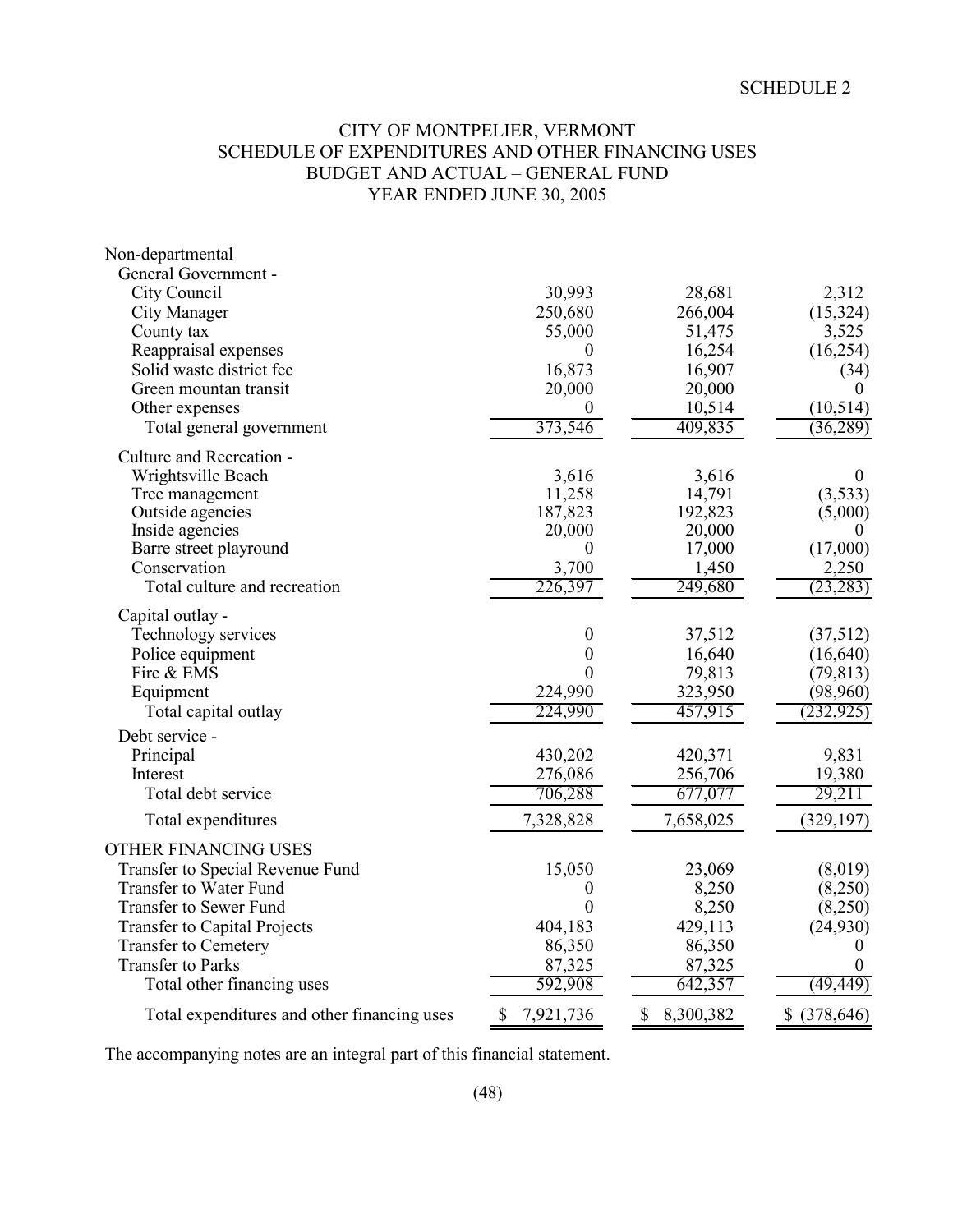## CITY OF MONTPELIER, VERMONT SCHEDULE OF EXPENDITURES AND OTHER FINANCING USES BUDGET AND ACTUAL – GENERAL FUND YEAR ENDED JUNE 30, 2005

| Non-departmental                            |                  |                 |                |
|---------------------------------------------|------------------|-----------------|----------------|
| General Government -                        |                  |                 |                |
| City Council                                | 30,993           | 28,681          | 2,312          |
| City Manager                                | 250,680          | 266,004         | (15, 324)      |
| County tax                                  | 55,000           | 51,475          | 3,525          |
| Reappraisal expenses                        | $\overline{0}$   | 16,254          | (16, 254)      |
| Solid waste district fee                    | 16,873           | 16,907          | (34)           |
| Green mountan transit                       | 20,000           | 20,000          | $\theta$       |
| Other expenses                              | 0                | 10,514          | (10, 514)      |
| Total general government                    | 373,546          | 409,835         | (36, 289)      |
| Culture and Recreation -                    |                  |                 |                |
| Wrightsville Beach                          | 3,616            | 3,616           | $\overline{0}$ |
| Tree management                             | 11,258           | 14,791          | (3,533)        |
| Outside agencies                            | 187,823          | 192,823         | (5,000)        |
| Inside agencies                             | 20,000           | 20,000          | $\theta$       |
| Barre street playround                      | 0                | 17,000          | (17,000)       |
| Conservation                                | 3,700            | 1,450           | 2,250          |
| Total culture and recreation                | 226,397          | 249,680         | (23, 283)      |
| Capital outlay -                            |                  |                 |                |
| Technology services                         | 0                | 37,512          | (37,512)       |
| Police equipment                            | $\boldsymbol{0}$ | 16,640          | (16, 640)      |
| Fire & EMS                                  | 0                | 79,813          | (79, 813)      |
| Equipment                                   | 224,990          | 323,950         | (98,960)       |
| Total capital outlay                        | 224,990          | 457,915         | (232, 925)     |
| Debt service -                              |                  |                 |                |
| Principal                                   | 430,202          | 420,371         | 9,831          |
| Interest                                    | 276,086          | 256,706         | 19,380         |
| Total debt service                          | 706,288          | 677,077         | 29,211         |
| Total expenditures                          | 7,328,828        | 7,658,025       | (329, 197)     |
| <b>OTHER FINANCING USES</b>                 |                  |                 |                |
| Transfer to Special Revenue Fund            | 15,050           | 23,069          | (8,019)        |
| <b>Transfer to Water Fund</b>               | 0                | 8,250           | (8,250)        |
| <b>Transfer to Sewer Fund</b>               | 0                | 8,250           | (8,250)        |
| <b>Transfer to Capital Projects</b>         | 404,183          | 429,113         | (24,930)       |
| <b>Transfer to Cemetery</b>                 | 86,350           | 86,350          | 0              |
| <b>Transfer to Parks</b>                    | 87,325           | 87,325          | $\overline{0}$ |
| Total other financing uses                  | 592,908          | 642,357         | (49, 449)      |
| Total expenditures and other financing uses | \$<br>7,921,736  | \$<br>8,300,382 | \$ (378,646)   |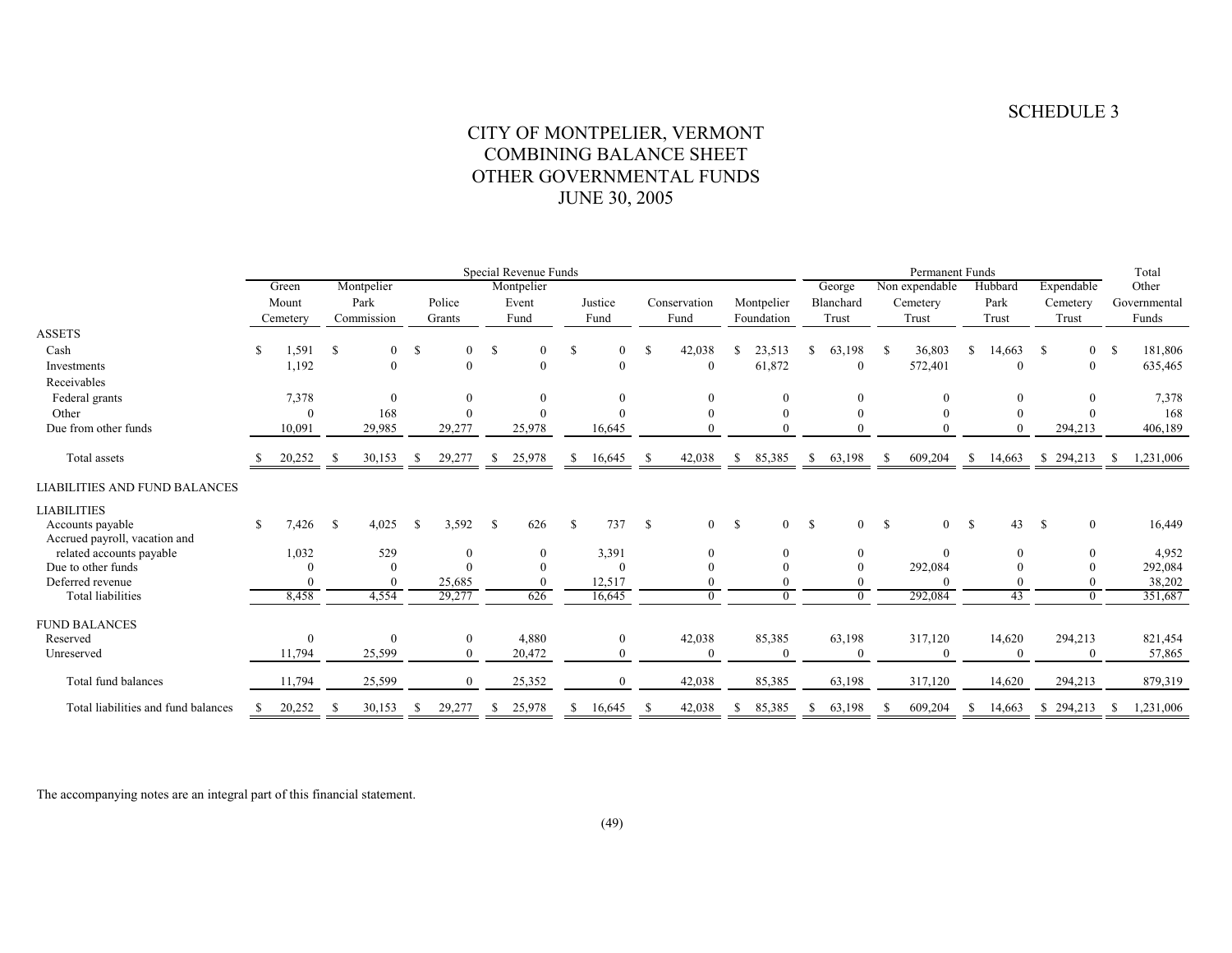## CITY OF MONTPELIER, VERMONT COMBINING BALANCE SHEET OTHER GOVERNMENTAL FUNDS JUNE 30, 2005

|                                                   | Special Revenue Funds |                |               |                |               |              |               |                  |              |          |              |                |               |              |              |                | Total        |                |              |              |              |                  |       |           |
|---------------------------------------------------|-----------------------|----------------|---------------|----------------|---------------|--------------|---------------|------------------|--------------|----------|--------------|----------------|---------------|--------------|--------------|----------------|--------------|----------------|--------------|--------------|--------------|------------------|-------|-----------|
|                                                   |                       | Green          |               | Montpelier     |               |              | Montpelier    |                  |              |          |              |                |               |              | George       | Non expendable |              |                | Hubbard      | Expendable   |              |                  | Other |           |
|                                                   |                       | Mount          |               | Park           |               | Police       |               | Justice<br>Event |              |          | Conservation |                | Montpelier    |              | Blanchard    |                | Cemetery     |                | Park         |              | Cemetery     | Governmental     |       |           |
|                                                   |                       | Cemetery       |               | Commission     |               | Grants       |               | Fund             |              | Fund     | Fund         |                | Foundation    |              |              | Trust          | Trust        |                | Trust        |              | Trust        |                  |       | Funds     |
| <b>ASSETS</b>                                     |                       |                |               |                |               |              |               |                  |              |          |              |                |               |              |              |                |              |                |              |              |              |                  |       |           |
| Cash                                              | \$                    | 1,591          | <sup>\$</sup> | $\overline{0}$ | $\mathcal{S}$ | $\theta$     | <sup>\$</sup> | $\Omega$         | -S           | $\Omega$ | -S           | 42,038         |               | 23,513       | S.           | 63,198         | <sup>S</sup> | 36,803         | S.           | 14,663       | -S           | $\mathbf{0}$     | - \$  | 181,806   |
| Investments                                       |                       | 1,192          |               | $\overline{0}$ |               | $\theta$     |               | $\theta$         |              | $\Omega$ |              | $\mathbf{0}$   |               | 61,872       |              | $\bf{0}$       |              | 572,401        |              | $\theta$     |              | $\mathbf{0}$     |       | 635,465   |
| Receivables                                       |                       |                |               |                |               |              |               |                  |              |          |              |                |               |              |              |                |              |                |              |              |              |                  |       |           |
| Federal grants                                    |                       | 7,378          |               | $\mathbf{0}$   |               | $\theta$     |               | $\overline{0}$   |              |          |              |                |               | $\mathbf{0}$ |              | $\Omega$       |              | $\theta$       |              | $\mathbf{0}$ |              | $\boldsymbol{0}$ |       | 7,378     |
| Other                                             |                       | $\overline{0}$ |               | 168            |               | $\Omega$     |               |                  |              |          |              |                |               | $\Omega$     |              |                |              |                |              | $\Omega$     |              |                  |       | 168       |
| Due from other funds                              |                       | 10,091         |               | 29,985         |               | 29,277       |               | 25,978           |              | 16,645   |              |                |               | $\Omega$     |              | $\Omega$       |              |                |              |              |              | 294,213          |       | 406,189   |
| Total assets                                      |                       | 20,252         | -S            | 30,153         | -S            | 29,277       | -S            | 25,978           | <sup>8</sup> | 16,645   | -S           | 42,038         | \$            | 85,385       | <sup>S</sup> | 63,198         | -S           | 609,204        | -S           | 14,663       |              | \$294,213        |       | 1,231,006 |
| <b>LIABILITIES AND FUND BALANCES</b>              |                       |                |               |                |               |              |               |                  |              |          |              |                |               |              |              |                |              |                |              |              |              |                  |       |           |
| <b>LIABILITIES</b>                                |                       |                |               |                |               |              |               |                  |              |          |              |                |               |              |              |                |              |                |              |              |              |                  |       |           |
| Accounts payable<br>Accrued payroll, vacation and | $\mathbb{S}$          | 7,426          | <sup>S</sup>  | 4,025          | - \$          | 3,592        | $\mathbf{s}$  | 626              | - \$         | 737      | $\mathbf{s}$ | $\overline{0}$ | <sup>\$</sup> | $\theta$     | $\mathbf{s}$ | $\overline{0}$ | - \$         | $\overline{0}$ | <sup>S</sup> | 43           | <sup>S</sup> | $\overline{0}$   |       | 16,449    |
| related accounts payable                          |                       | 1,032          |               | 529            |               | $\theta$     |               | $\Omega$         |              | 3,391    |              | $\theta$       |               | $\theta$     |              | $\Omega$       |              | $\Omega$       |              | $\mathbf{0}$ |              | $\theta$         |       | 4,952     |
| Due to other funds                                |                       |                |               | $\Omega$       |               |              |               |                  |              |          |              |                |               | $\Omega$     |              |                |              | 292,084        |              |              |              | $\mathbf{0}$     |       | 292,084   |
| Deferred revenue                                  |                       |                |               |                |               | 25,685       |               |                  |              | 12,517   |              |                |               |              |              |                |              |                |              |              |              |                  |       | 38,202    |
| <b>Total liabilities</b>                          |                       | 8,458          |               | 4,554          |               | 29,277       |               | 626              |              | 16,645   |              |                |               | $\Omega$     |              | $\Omega$       |              | 292,084        |              | 43           |              | $\Omega$         |       | 351,687   |
|                                                   |                       |                |               |                |               |              |               |                  |              |          |              |                |               |              |              |                |              |                |              |              |              |                  |       |           |
| <b>FUND BALANCES</b><br>Reserved                  |                       | $\Omega$       |               | $\overline{0}$ |               | $\mathbf{0}$ |               | 4,880            |              | 0        |              | 42,038         |               | 85,385       |              | 63,198         |              | 317,120        |              | 14,620       |              | 294,213          |       | 821,454   |
| Unreserved                                        |                       | 11,794         |               | 25,599         |               | $\theta$     |               | 20,472           |              |          |              | $\theta$       |               | $\theta$     |              | $\Omega$       |              |                |              | $\theta$     |              | $\theta$         |       | 57,865    |
|                                                   |                       |                |               |                |               |              |               |                  |              |          |              |                |               |              |              |                |              |                |              |              |              |                  |       |           |
| Total fund balances                               |                       | 11,794         |               | 25,599         |               | $\Omega$     |               | 25,352           |              | O        |              | 42,038         |               | 85,385       |              | 63,198         |              | 317,120        |              | 14,620       |              | 294,213          |       | 879,319   |
| Total liabilities and fund balances               | -S                    | 20,252         | - S           | 30,153         | Ъ             | 29,277       | -S            | 25,978           |              | 16,645   | -S           | 42,038         | -S            | 85,385       | S.           | 63,198         | S            | 609,204        | -S           | 14,663       |              | \$294,213        | - 5   | 1,231,006 |